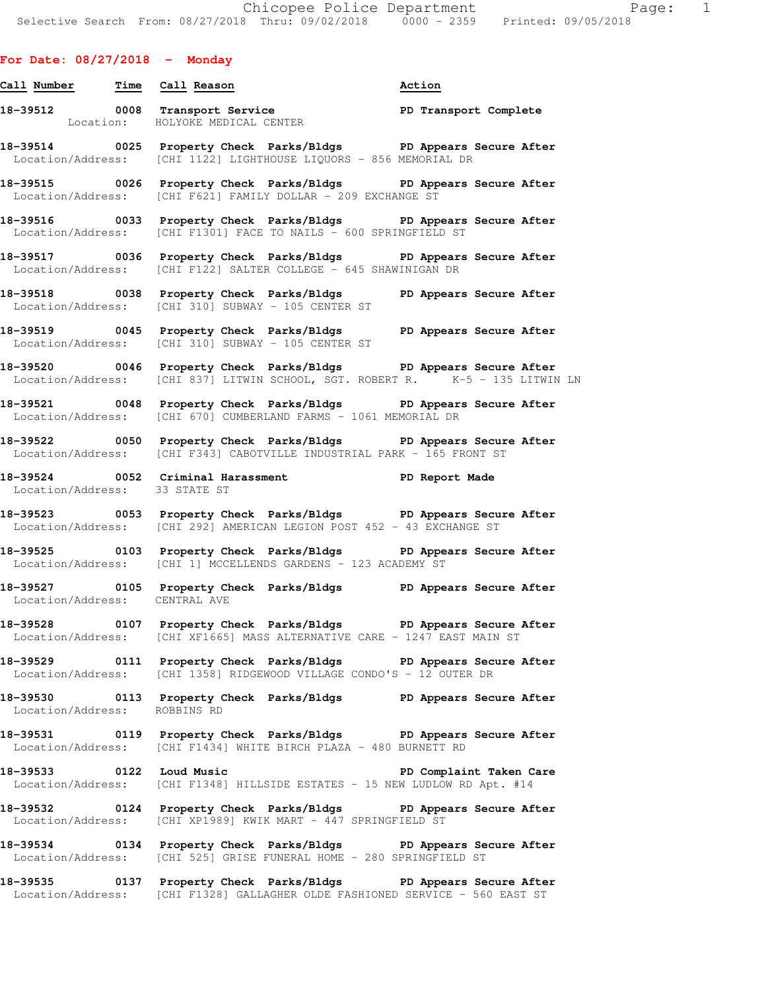# **For Date: 08/27/2018 - Monday**

| Call Number Time Call Reason  |                                                                                                                                                   | Action                  |
|-------------------------------|---------------------------------------------------------------------------------------------------------------------------------------------------|-------------------------|
|                               | 18-39512 0008 Transport Service New PD Transport Complete<br>Location: HOLYOKE MEDICAL CENTER                                                     |                         |
|                               | 18-39514 0025 Property Check Parks/Bldgs PD Appears Secure After<br>Location/Address: [CHI 1122] LIGHTHOUSE LIQUORS - 856 MEMORIAL DR             |                         |
|                               | 18-39515 0026 Property Check Parks/Bldgs PD Appears Secure After<br>Location/Address: [CHI F621] FAMILY DOLLAR - 209 EXCHANGE ST                  |                         |
|                               | 18-39516 0033 Property Check Parks/Bldgs PD Appears Secure After<br>Location/Address: [CHI F1301] FACE TO NAILS - 600 SPRINGFIELD ST              |                         |
|                               | 18-39517 0036 Property Check Parks/Bldgs PD Appears Secure After<br>Location/Address: [CHI F122] SALTER COLLEGE - 645 SHAWINIGAN DR               |                         |
|                               | 18-39518 0038 Property Check Parks/Bldgs PD Appears Secure After<br>Location/Address: [CHI 310] SUBWAY - 105 CENTER ST                            |                         |
|                               | 18-39519 0045 Property Check Parks/Bldgs PD Appears Secure After<br>Location/Address: [CHI 310] SUBWAY - 105 CENTER ST                            |                         |
|                               | 18-39520 0046 Property Check Parks/Bldgs PD Appears Secure After<br>Location/Address: [CHI 837] LITWIN SCHOOL, SGT. ROBERT R. K-5 - 135 LITWIN LN |                         |
|                               | 18-39521 0048 Property Check Parks/Bldgs PD Appears Secure After<br>Location/Address: [CHI 670] CUMBERLAND FARMS - 1061 MEMORIAL DR               |                         |
|                               | 18-39522 0050 Property Check Parks/Bldgs PD Appears Secure After<br>Location/Address: [CHI F343] CABOTVILLE INDUSTRIAL PARK - 165 FRONT ST        |                         |
| Location/Address: 33 STATE ST | 18-39524 0052 Criminal Harassment 18-39524 PD Report Made                                                                                         |                         |
|                               | 18-39523 0053 Property Check Parks/Bldgs PD Appears Secure After<br>Location/Address: [CHI 292] AMERICAN LEGION POST 452 - 43 EXCHANGE ST         |                         |
|                               | 18-39525 0103 Property Check Parks/Bldgs PD Appears Secure After<br>Location/Address: [CHI 1] MCCELLENDS GARDENS - 123 ACADEMY ST                 |                         |
| Location/Address: CENTRAL AVE | 18-39527 0105 Property Check Parks/Bldgs PD Appears Secure After                                                                                  |                         |
|                               | 18-39528 0107 Property Check Parks/Bldgs PD Appears Secure After<br>Location/Address: [CHI XF1665] MASS ALTERNATIVE CARE - 1247 EAST MAIN ST      |                         |
|                               | 18-39529 0111 Property Check Parks/Bldgs PD Appears Secure After<br>Location/Address: [CHI 1358] RIDGEWOOD VILLAGE CONDO'S - 12 OUTER DR          |                         |
| Location/Address: ROBBINS RD  | 18-39530 0113 Property Check Parks/Bldgs PD Appears Secure After                                                                                  |                         |
|                               | 18-39531 0119 Property Check Parks/Bldgs PD Appears Secure After<br>Location/Address: [CHI F1434] WHITE BIRCH PLAZA - 480 BURNETT RD              |                         |
| 18-39533 0122 Loud Music      | Location/Address: [CHI F1348] HILLSIDE ESTATES - 15 NEW LUDLOW RD Apt. #14                                                                        | PD Complaint Taken Care |
|                               | 18-39532 0124 Property Check Parks/Bldgs PD Appears Secure After<br>Location/Address: [CHI XP1989] KWIK MART - 447 SPRINGFIELD ST                 |                         |
|                               | 18-39534 0134 Property Check Parks/Bldgs PD Appears Secure After<br>Location/Address: [CHI 525] GRISE FUNERAL HOME - 280 SPRINGFIELD ST           |                         |

**18-39535 0137 Property Check Parks/Bldgs PD Appears Secure After**  Location/Address: [CHI F1328] GALLAGHER OLDE FASHIONED SERVICE - 560 EAST ST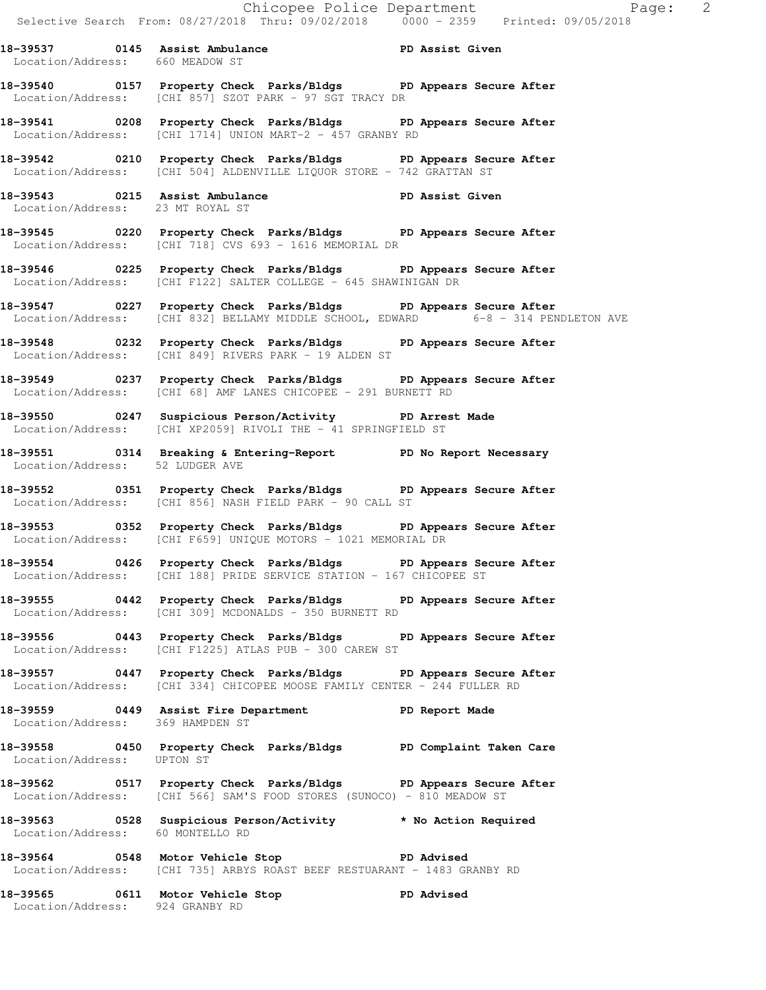**18-39537 0145 Assist Ambulance PD Assist Given**  Location/Address: 660 MEADOW ST **18-39540 0157 Property Check Parks/Bldgs PD Appears Secure After** 

Location/Address: [CHI 857] SZOT PARK - 97 SGT TRACY DR

**18-39541 0208 Property Check Parks/Bldgs PD Appears Secure After**  Location/Address: [CHI 1714] UNION MART-2 - 457 GRANBY RD

**18-39542 0210 Property Check Parks/Bldgs PD Appears Secure After**  Location/Address: [CHI 504] ALDENVILLE LIQUOR STORE - 742 GRATTAN ST

**18-39543 0215 Assist Ambulance PD Assist Given**  Location/Address: 23 MT ROYAL ST

**18-39545 0220 Property Check Parks/Bldgs PD Appears Secure After**  Location/Address: [CHI 718] CVS 693 - 1616 MEMORIAL DR

**18-39546 0225 Property Check Parks/Bldgs PD Appears Secure After**  Location/Address: [CHI F122] SALTER COLLEGE - 645 SHAWINIGAN DR

**18-39547 0227 Property Check Parks/Bldgs PD Appears Secure After**  Location/Address: [CHI 832] BELLAMY MIDDLE SCHOOL, EDWARD 6-8 - 314 PENDLETON AVE

**18-39548 0232 Property Check Parks/Bldgs PD Appears Secure After**  Location/Address: [CHI 849] RIVERS PARK - 19 ALDEN ST

**18-39549 0237 Property Check Parks/Bldgs PD Appears Secure After**  Location/Address: [CHI 68] AMF LANES CHICOPEE - 291 BURNETT RD

**18-39550 0247 Suspicious Person/Activity PD Arrest Made**  Location/Address: [CHI XP2059] RIVOLI THE - 41 SPRINGFIELD ST

**18-39551 0314 Breaking & Entering-Report PD No Report Necessary**  Location/Address: 52 LUDGER AVE

**18-39552 0351 Property Check Parks/Bldgs PD Appears Secure After**  Location/Address: [CHI 856] NASH FIELD PARK - 90 CALL ST

**18-39553 0352 Property Check Parks/Bldgs PD Appears Secure After**  Location/Address: [CHI F659] UNIQUE MOTORS - 1021 MEMORIAL DR

**18-39554 0426 Property Check Parks/Bldgs PD Appears Secure After**  Location/Address: [CHI 188] PRIDE SERVICE STATION - 167 CHICOPEE ST

**18-39555 0442 Property Check Parks/Bldgs PD Appears Secure After**  Location/Address: [CHI 309] MCDONALDS - 350 BURNETT RD

**18-39556 0443 Property Check Parks/Bldgs PD Appears Secure After**  Location/Address: [CHI F1225] ATLAS PUB - 300 CAREW ST

**18-39557 0447 Property Check Parks/Bldgs PD Appears Secure After**  Location/Address: [CHI 334] CHICOPEE MOOSE FAMILY CENTER - 244 FULLER RD

**18-39559 0449 Assist Fire Department PD Report Made**  Location/Address: 369 HAMPDEN ST

**18-39558 0450 Property Check Parks/Bldgs PD Complaint Taken Care**  Location/Address: UPTON ST

**18-39562 0517 Property Check Parks/Bldgs PD Appears Secure After**  Location/Address: [CHI 566] SAM'S FOOD STORES (SUNOCO) - 810 MEADOW ST

**18-39563 0528 Suspicious Person/Activity \* No Action Required**  Location/Address: 60 MONTELLO RD

**18-39564 0548 Motor Vehicle Stop PD Advised**  Location/Address: [CHI 735] ARBYS ROAST BEEF RESTUARANT - 1483 GRANBY RD

**18-39565 0611 Motor Vehicle Stop PD Advised**  Location/Address: 924 GRANBY RD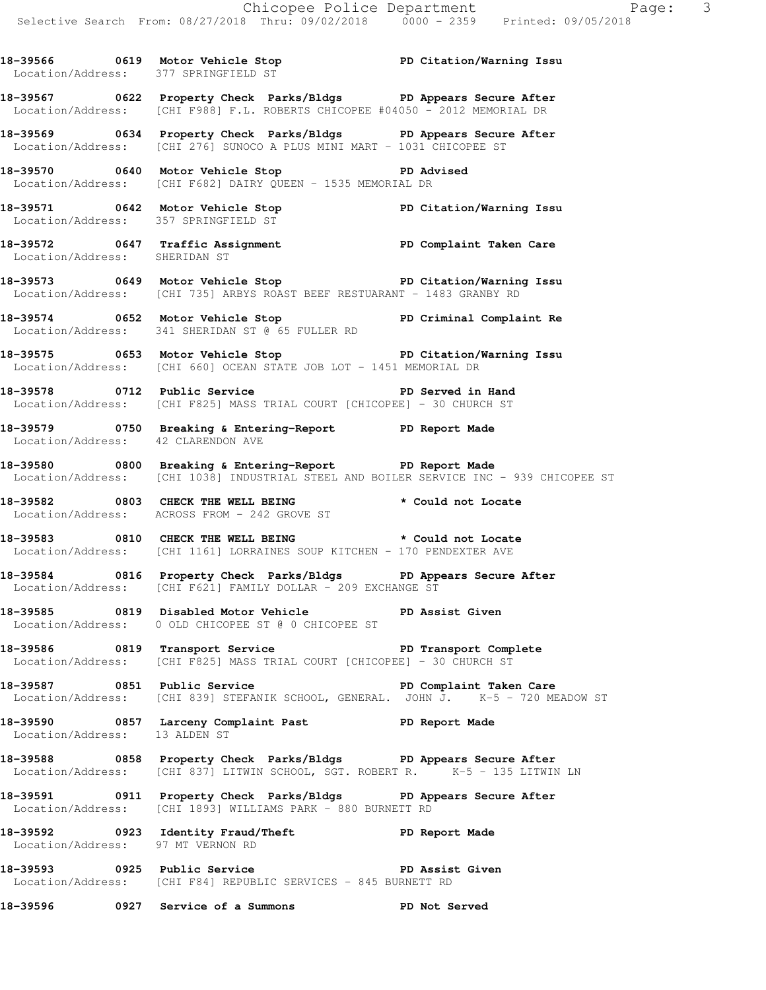**18-39566 0619 Motor Vehicle Stop PD Citation/Warning Issu** 

Location/Address: 377 SPRINGFIELD ST

**18-39567 0622 Property Check Parks/Bldgs PD Appears Secure After**  Location/Address: [CHI F988] F.L. ROBERTS CHICOPEE #04050 - 2012 MEMORIAL DR **18-39569 0634 Property Check Parks/Bldgs PD Appears Secure After**  Location/Address: [CHI 276] SUNOCO A PLUS MINI MART - 1031 CHICOPEE ST **18-39570 0640 Motor Vehicle Stop PD Advised**  Location/Address: [CHI F682] DAIRY QUEEN - 1535 MEMORIAL DR **18-39571 0642 Motor Vehicle Stop PD Citation/Warning Issu**  Location/Address: 357 SPRINGFIELD ST **18-39572 0647 Traffic Assignment PD Complaint Taken Care**  Location/Address: SHERIDAN ST **18-39573 0649 Motor Vehicle Stop PD Citation/Warning Issu**  Location/Address: [CHI 735] ARBYS ROAST BEEF RESTUARANT - 1483 GRANBY RD **18-39574 0652 Motor Vehicle Stop PD Criminal Complaint Re**  Location/Address: 341 SHERIDAN ST @ 65 FULLER RD **18-39575 0653 Motor Vehicle Stop PD Citation/Warning Issu**  Location/Address: [CHI 660] OCEAN STATE JOB LOT - 1451 MEMORIAL DR **18-39578 0712 Public Service PD Served in Hand**  Location/Address: [CHI F825] MASS TRIAL COURT [CHICOPEE] - 30 CHURCH ST **18-39579 0750 Breaking & Entering-Report PD Report Made**  Location/Address: 42 CLARENDON AVE **18-39580 0800 Breaking & Entering-Report PD Report Made**  Location/Address: [CHI 1038] INDUSTRIAL STEEL AND BOILER SERVICE INC - 939 CHICOPEE ST **18-39582 0803 CHECK THE WELL BEING \* Could not Locate**  Location/Address: ACROSS FROM - 242 GROVE ST **18-39583 0810 CHECK THE WELL BEING \* Could not Locate**  Location/Address: [CHI 1161] LORRAINES SOUP KITCHEN - 170 PENDEXTER AVE **18-39584 0816 Property Check Parks/Bldgs PD Appears Secure After**  Location/Address: [CHI F621] FAMILY DOLLAR - 209 EXCHANGE ST **18-39585 0819 Disabled Motor Vehicle PD Assist Given**  Location/Address: 0 OLD CHICOPEE ST @ 0 CHICOPEE ST 18-39586 0819 Transport Service **PD Transport Complete** Location/Address: [CHI F825] MASS TRIAL COURT [CHICOPEE] - 30 CHURCH ST **18-39587 0851 Public Service PD Complaint Taken Care**  Location/Address: [CHI 839] STEFANIK SCHOOL, GENERAL. JOHN J. K-5 - 720 MEADOW ST **18-39590 0857 Larceny Complaint Past PD Report Made**  Location/Address: 13 ALDEN ST **18-39588 0858 Property Check Parks/Bldgs PD Appears Secure After**  Location/Address: [CHI 837] LITWIN SCHOOL, SGT. ROBERT R. K-5 - 135 LITWIN LN **18-39591 0911 Property Check Parks/Bldgs PD Appears Secure After**  Location/Address: [CHI 1893] WILLIAMS PARK - 880 BURNETT RD **18-39592 0923 Identity Fraud/Theft PD Report Made**  Location/Address: 97 MT VERNON RD **18-39593 0925 Public Service PD Assist Given**  Location/Address: [CHI F84] REPUBLIC SERVICES - 845 BURNETT RD

**18-39596 0927 Service of a Summons PD Not Served**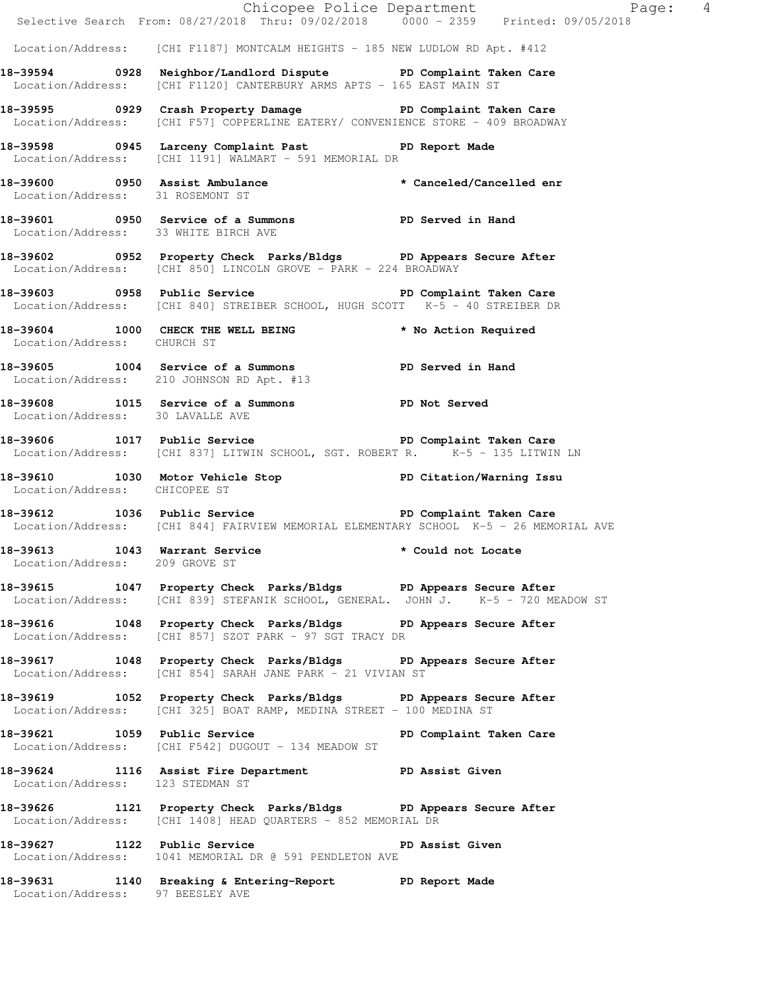|                                                                 | E Chicopee Police Department<br>Selective Search From: 08/27/2018 Thru: 09/02/2018 0000 - 2359 Printed: 09/05/2018                                    | Page: 4            |
|-----------------------------------------------------------------|-------------------------------------------------------------------------------------------------------------------------------------------------------|--------------------|
|                                                                 |                                                                                                                                                       |                    |
|                                                                 | Location/Address: [CHI F1187] MONTCALM HEIGHTS - 185 NEW LUDLOW RD Apt. #412                                                                          |                    |
|                                                                 | 18-39594 0928 Neighbor/Landlord Dispute PD Complaint Taken Care<br>Location/Address: [CHI F1120] CANTERBURY ARMS APTS - 165 EAST MAIN ST              |                    |
|                                                                 | 18-39595 		 0929 Crash Property Damage 		 PD Complaint Taken Care<br>Location/Address: [CHI F57] COPPERLINE EATERY/ CONVENIENCE STORE - 409 BROADWAY  |                    |
|                                                                 | 18-39598 0945 Larceny Complaint Past PD Report Made<br>Location/Address: [CHI 1191] WALMART - 591 MEMORIAL DR                                         |                    |
| Location/Address: 31 ROSEMONT ST                                | 18-39600 0950 Assist Ambulance * * Canceled/Cancelled enr                                                                                             |                    |
| Location/Address: 33 WHITE BIRCH AVE                            | 18-39601 0950 Service of a Summons PD Served in Hand                                                                                                  |                    |
|                                                                 | 18-39602 0952 Property Check Parks/Bldgs PD Appears Secure After<br>Location/Address: [CHI 850] LINCOLN GROVE - PARK - 224 BROADWAY                   |                    |
|                                                                 | 18-39603 0958 Public Service 2008 PD Complaint Taken Care<br>Location/Address: [CHI 840] STREIBER SCHOOL, HUGH SCOTT K-5 - 40 STREIBER DR             |                    |
| Location/Address: CHURCH ST                                     | 18-39604 1000 CHECK THE WELL BEING * No Action Required                                                                                               |                    |
|                                                                 | 18-39605 1004 Service of a Summons PD Served in Hand<br>Location/Address: 210 JOHNSON RD Apt. #13                                                     |                    |
| Location/Address: 30 LAVALLE AVE                                | 18-39608 1015 Service of a Summons PD Not Served                                                                                                      |                    |
|                                                                 | 18-39606 1017 Public Service 20 PD Complaint Taken Care<br>Location/Address: [CHI 837] LITWIN SCHOOL, SGT. ROBERT R. K-5 - 135 LITWIN LN              |                    |
| Location/Address: CHICOPEE ST                                   | 18-39610 1030 Motor Vehicle Stop PD Citation/Warning Issu                                                                                             |                    |
|                                                                 | 18-39612 1036 Public Service 20 PD Complaint Taken Care<br>Location/Address: [CHI 844] FAIRVIEW MEMORIAL ELEMENTARY SCHOOL K-5 - 26 MEMORIAL AVE      |                    |
| 18-39613 1043 Warrant Service<br>Location/Address: 209 GROVE ST |                                                                                                                                                       | * Could not Locate |
|                                                                 | 18-39615 1047 Property Check Parks/Bldgs PD Appears Secure After<br>Location/Address: [CHI 839] STEFANIK SCHOOL, GENERAL. JOHN J. K-5 - 720 MEADOW ST |                    |
|                                                                 | 18-39616 1048 Property Check Parks/Bldgs PD Appears Secure After<br>Location/Address: [CHI 857] SZOT PARK - 97 SGT TRACY DR                           |                    |
|                                                                 | 18-39617 1048 Property Check Parks/Bldgs PD Appears Secure After<br>Location/Address: [CHI 854] SARAH JANE PARK - 21 VIVIAN ST                        |                    |
|                                                                 | 18-39619 1052 Property Check Parks/Bldgs PD Appears Secure After<br>Location/Address: [CHI 325] BOAT RAMP, MEDINA STREET - 100 MEDINA ST              |                    |
|                                                                 | 18-39621 1059 Public Service 2011 PD Complaint Taken Care<br>Location/Address: [CHI F542] DUGOUT - 134 MEADOW ST                                      |                    |
| Location/Address: 123 STEDMAN ST                                | 18-39624 1116 Assist Fire Department PD Assist Given                                                                                                  |                    |
|                                                                 | 18-39626 1121 Property Check Parks/Bldgs PD Appears Secure After<br>Location/Address: [CHI 1408] HEAD QUARTERS - 852 MEMORIAL DR                      |                    |
|                                                                 | 18-39627 1122 Public Service<br>Location/Address: 1041 MEMORIAL DR @ 591 PENDLETON AVE                                                                | PD Assist Given    |
|                                                                 | 18-39631 1140 Breaking & Entering-Report PD Report Made<br>Location/Address: 97 BEESLEY AVE                                                           |                    |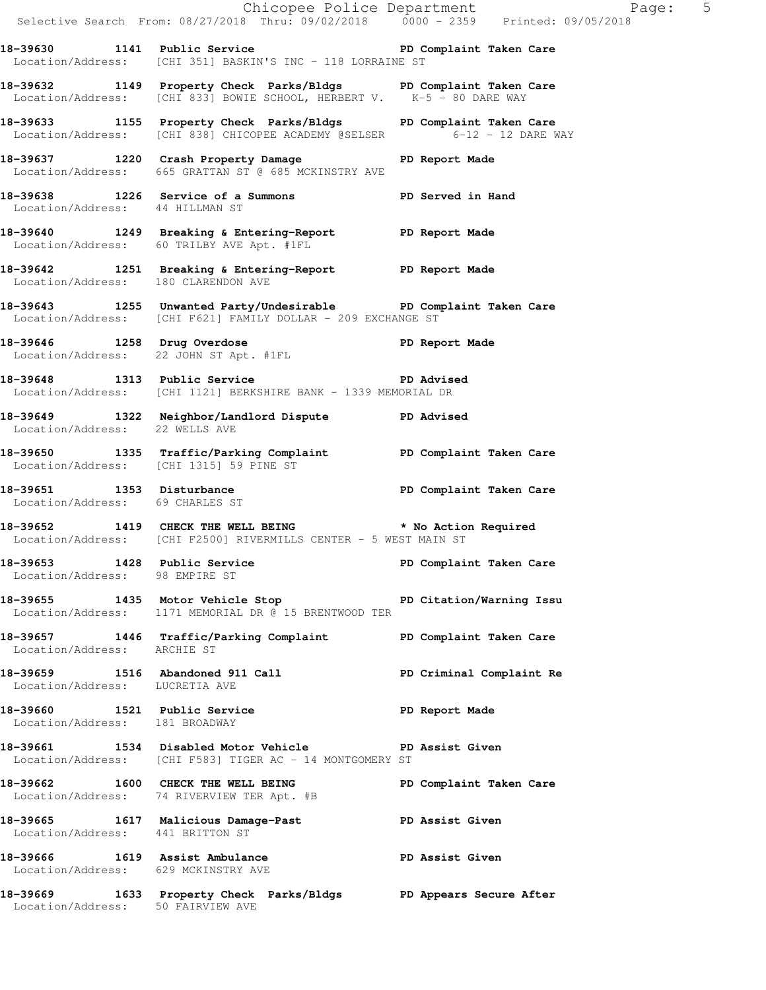|                                                                |                                                                                                                                             | Chicopee Police Department<br>Selective Search From: 08/27/2018 Thru: 09/02/2018 0000 - 2359 Printed: 09/05/2018 |
|----------------------------------------------------------------|---------------------------------------------------------------------------------------------------------------------------------------------|------------------------------------------------------------------------------------------------------------------|
|                                                                | 18-39630 1141 Public Service New PD Complaint Taken Care<br>Location/Address: [CHI 351] BASKIN'S INC - 118 LORRAINE ST                      |                                                                                                                  |
|                                                                | 18-39632 1149 Property Check Parks/Bldgs PD Complaint Taken Care<br>Location/Address: [CHI 833] BOWIE SCHOOL, HERBERT V. K-5 - 80 DARE WAY  |                                                                                                                  |
|                                                                | 18-39633 1155 Property Check Parks/Bldgs PD Complaint Taken Care<br>Location/Address: [CHI 838] CHICOPEE ACADEMY @SELSER 6-12 - 12 DARE WAY |                                                                                                                  |
|                                                                | 18-39637 1220 Crash Property Damage PD Report Made<br>Location/Address: 665 GRATTAN ST @ 685 MCKINSTRY AVE                                  |                                                                                                                  |
| Location/Address: 44 HILLMAN ST                                | 18-39638 1226 Service of a Summons PD Served in Hand                                                                                        |                                                                                                                  |
|                                                                | 18-39640 1249 Breaking & Entering-Report PD Report Made<br>Location/Address: 60 TRILBY AVE Apt. #1FL                                        |                                                                                                                  |
| Location/Address: 180 CLARENDON AVE                            | 18-39642 1251 Breaking & Entering-Report PD Report Made                                                                                     |                                                                                                                  |
|                                                                | 18-39643 1255 Unwanted Party/Undesirable PD Complaint Taken Care<br>Location/Address: [CHI F621] FAMILY DOLLAR - 209 EXCHANGE ST            |                                                                                                                  |
|                                                                | 18-39646 1258 Drug Overdose PD Report Made<br>Location/Address: 22 JOHN ST Apt. #1FL                                                        |                                                                                                                  |
|                                                                | 18-39648 1313 Public Service PD Advised<br>Location/Address: [CHI 1121] BERKSHIRE BANK - 1339 MEMORIAL DR                                   |                                                                                                                  |
| Location/Address: 22 WELLS AVE                                 | 18-39649 1322 Neighbor/Landlord Dispute PD Advised                                                                                          |                                                                                                                  |
|                                                                | 18-39650 1335 Traffic/Parking Complaint PD Complaint Taken Care<br>Location/Address: [CHI 1315] 59 PINE ST                                  |                                                                                                                  |
| Location/Address: 69 CHARLES ST                                | 18-39651 1353 Disturbance<br>18-39651 1353 Disturbance 1988 PD Complaint Taken Care                                                         |                                                                                                                  |
|                                                                | 18-39652 1419 CHECK THE WELL BEING * No Action Required<br>Location/Address: [CHI F2500] RIVERMILLS CENTER - 5 WEST MAIN ST                 |                                                                                                                  |
| 18-39653 1428 Public Service<br>Location/Address: 98 EMPIRE ST |                                                                                                                                             | PD Complaint Taken Care                                                                                          |
|                                                                | 18-39655 1435 Motor Vehicle Stop North PD Citation/Warning Issu<br>Location/Address: 1171 MEMORIAL DR @ 15 BRENTWOOD TER                    |                                                                                                                  |
| Location/Address: ARCHIE ST                                    | 18-39657 1446 Traffic/Parking Complaint PD Complaint Taken Care                                                                             |                                                                                                                  |
| Location/Address: LUCRETIA AVE                                 | 18-39659 1516 Abandoned 911 Call                                                                                                            | PD Criminal Complaint Re                                                                                         |
| Location/Address: 181 BROADWAY                                 | 18-39660 1521 Public Service                                                                                                                | PD Report Made                                                                                                   |
|                                                                | 18-39661 1534 Disabled Motor Vehicle PD Assist Given<br>Location/Address: [CHI F583] TIGER AC - 14 MONTGOMERY ST                            |                                                                                                                  |
|                                                                | 18-39662 1600 CHECK THE WELL BEING<br>Location/Address: 74 RIVERVIEW TER Apt. #B                                                            | PD Complaint Taken Care                                                                                          |
| Location/Address: 441 BRITTON ST                               | 18-39665 1617 Malicious Damage-Past PD Assist Given                                                                                         |                                                                                                                  |
| Location/Address: 629 MCKINSTRY AVE                            | 18-39666 1619 Assist Ambulance 18 PD Assist Given                                                                                           |                                                                                                                  |
|                                                                | 18-39669 1633 Property Check Parks/Bldgs PD Appears Secure After<br>Location/Address: 50 FAIRVIEW AVE                                       |                                                                                                                  |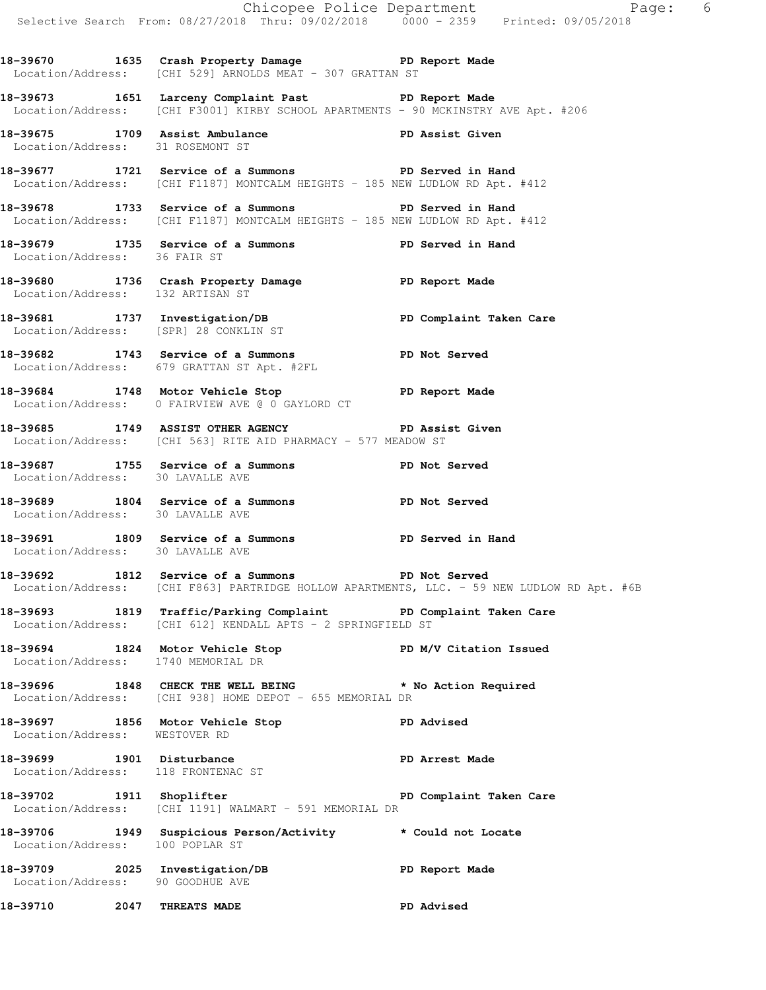**18-39670 1635 Crash Property Damage PD Report Made**  Location/Address: [CHI 529] ARNOLDS MEAT - 307 GRATTAN ST

**18-39673 1651 Larceny Complaint Past PD Report Made**  Location/Address: [CHI F3001] KIRBY SCHOOL APARTMENTS - 90 MCKINSTRY AVE Apt. #206

**18-39675 1709 Assist Ambulance PD Assist Given**  Location/Address: 31 ROSEMONT ST

**18-39677 1721 Service of a Summons PD Served in Hand**  Location/Address: [CHI F1187] MONTCALM HEIGHTS - 185 NEW LUDLOW RD Apt. #412

**18-39678 1733 Service of a Summons PD Served in Hand**  Location/Address: [CHI F1187] MONTCALM HEIGHTS - 185 NEW LUDLOW RD Apt. #412

**18-39679 1735 Service of a Summons PD Served in Hand**  Location/Address: 36 FAIR ST

**18-39680 1736 Crash Property Damage PD Report Made**  Location/Address: 132 ARTISAN ST

18-39681 1737 Investigation/DB **PD Complaint Taken Care** Location/Address: [SPR] 28 CONKLIN ST

**18-39682 1743 Service of a Summons PD Not Served**  Location/Address: 679 GRATTAN ST Apt. #2FL

18-39684 1748 Motor Vehicle Stop **PD Report Made** Location/Address: 0 FAIRVIEW AVE @ 0 GAYLORD CT

**18-39685 1749 ASSIST OTHER AGENCY PD Assist Given**  Location/Address: [CHI 563] RITE AID PHARMACY - 577 MEADOW ST

**18-39687 1755 Service of a Summons PD Not Served**  Location/Address: 30 LAVALLE AVE

**18-39689 1804 Service of a Summons PD Not Served**  Location/Address: 30 LAVALLE AVE

**18-39691 1809 Service of a Summons PD Served in Hand**  Location/Address: 30 LAVALLE AVE

**18-39692 1812 Service of a Summons PD Not Served**  Location/Address: [CHI F863] PARTRIDGE HOLLOW APARTMENTS, LLC. - 59 NEW LUDLOW RD Apt. #6B

**18-39693 1819 Traffic/Parking Complaint PD Complaint Taken Care**  Location/Address: [CHI 612] KENDALL APTS - 2 SPRINGFIELD ST

18-39694 1824 Motor Vehicle Stop **PD M/V Citation Issued** Location/Address: 1740 MEMORIAL DR

**18-39696 1848 CHECK THE WELL BEING \* No Action Required**  Location/Address: [CHI 938] HOME DEPOT - 655 MEMORIAL DR

18-39697 1856 Motor Vehicle Stop **PD Advised** Location/Address: WESTOVER RD

**18-39699 1901 Disturbance PD Arrest Made**  Location/Address: 118 FRONTENAC ST

**18-39702 1911 Shoplifter PD Complaint Taken Care**  Location/Address: [CHI 1191] WALMART - 591 MEMORIAL DR

**18-39706 1949 Suspicious Person/Activity \* Could not Locate**  Location/Address: 100 POPLAR ST

**18-39709 2025 Investigation/DB PD Report Made**  Location/Address: 90 GOODHUE AVE

**18-39710 2047 THREATS MADE PD Advised**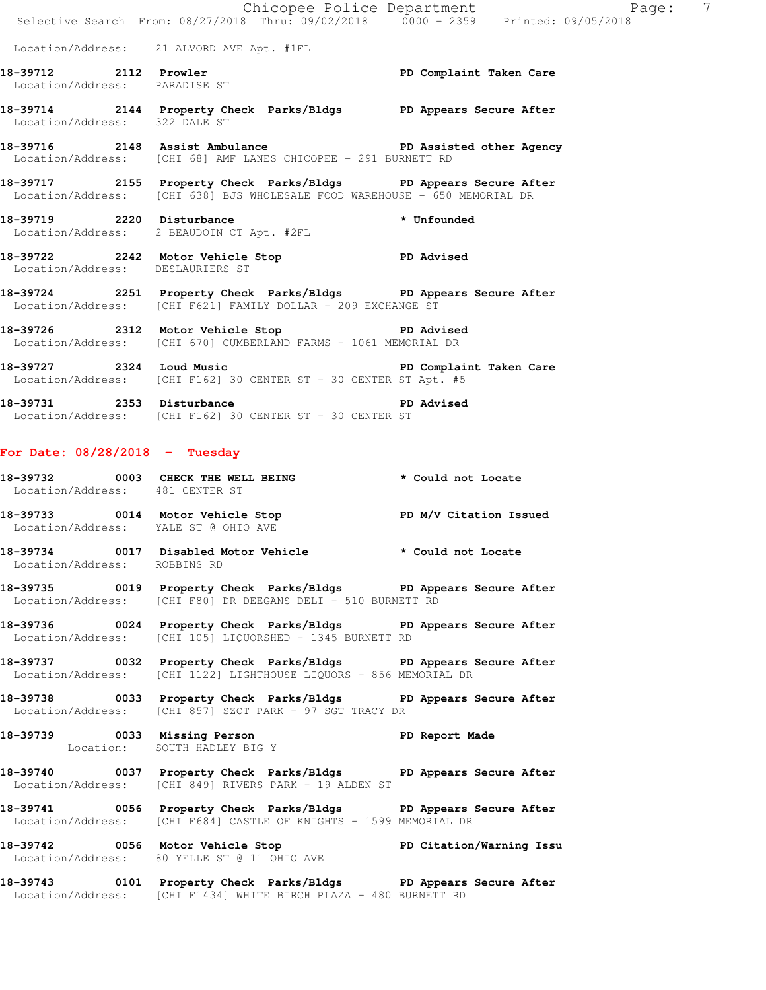|                                                        | Selective Search From: 08/27/2018 Thru: 09/02/2018 0000 - 2359 Printed: 09/05/2018                                                             |                         |
|--------------------------------------------------------|------------------------------------------------------------------------------------------------------------------------------------------------|-------------------------|
|                                                        | Location/Address: 21 ALVORD AVE Apt. #1FL                                                                                                      |                         |
| 18-39712 2112 Prowler<br>Location/Address: PARADISE ST |                                                                                                                                                | PD Complaint Taken Care |
| Location/Address: 322 DALE ST                          | 18-39714 2144 Property Check Parks/Bldgs PD Appears Secure After                                                                               |                         |
|                                                        | 18-39716 2148 Assist Ambulance New PD Assisted other Agency<br>Location/Address: [CHI 68] AMF LANES CHICOPEE - 291 BURNETT RD                  |                         |
|                                                        | 18-39717 2155 Property Check Parks/Bldgs PD Appears Secure After<br>Location/Address: [CHI 638] BJS WHOLESALE FOOD WAREHOUSE - 650 MEMORIAL DR |                         |
| 18-39719 2220 Disturbance                              | 3-39719 2220 Disturbance * Unfounded<br>Location/Address: 2 BEAUDOIN CT Apt. #2FL                                                              |                         |
| Location/Address: DESLAURIERS ST                       | 18-39722 2242 Motor Vehicle Stop PD Advised                                                                                                    |                         |
|                                                        | 18-39724 2251 Property Check Parks/Bldgs PD Appears Secure After<br>Location/Address: [CHI F621] FAMILY DOLLAR - 209 EXCHANGE ST               |                         |
|                                                        | 18-39726 2312 Motor Vehicle Stop 30 PD Advised<br>Location/Address: [CHI 670] CUMBERLAND FARMS - 1061 MEMORIAL DR                              |                         |
|                                                        | 18-39727 2324 Loud Music 2008 PD Complaint Taken Care<br>Location/Address: [CHI F162] 30 CENTER ST - 30 CENTER ST Apt. #5                      |                         |
|                                                        | 18-39731 2353 Disturbance<br>Location/Address: [CHI F162] 30 CENTER ST - 30 CENTER ST                                                          | <b>PD</b> Advised       |
| For Date: $08/28/2018$ - Tuesday                       |                                                                                                                                                |                         |
| Location/Address: 481 CENTER ST                        | 18-39732 0003 CHECK THE WELL BEING * Could not Locate                                                                                          |                         |
|                                                        | 18-39733 0014 Motor Vehicle Stop N/V Citation Issued<br>Location/Address: YALE ST @ OHIO AVE                                                   |                         |
| Location/Address: ROBBINS RD                           | 18-39734 0017 Disabled Motor Vehicle * Could not Locate                                                                                        |                         |
|                                                        | 18-39735 0019 Property Check Parks/Bldgs PD Appears Secure After<br>Location/Address: [CHI F80] DR DEEGANS DELI - 510 BURNETT RD               |                         |
|                                                        | 18-39736 0024 Property Check Parks/Bldgs PD Appears Secure After<br>Location/Address: [CHI 105] LIQUORSHED - 1345 BURNETT RD                   |                         |
|                                                        | 18-39737 0032 Property Check Parks/Bldgs PD Appears Secure After<br>Location/Address: [CHI 1122] LIGHTHOUSE LIQUORS - 856 MEMORIAL DR          |                         |
|                                                        | 18-39738 0033 Property Check Parks/Bldgs PD Appears Secure After<br>Location/Address: [CHI 857] SZOT PARK - 97 SGT TRACY DR                    |                         |
|                                                        | 18-39739 0033 Missing Person<br>Location: SOUTH HADLEY BIG Y                                                                                   |                         |
|                                                        | 18-39740 0037 Property Check Parks/Bldgs PD Appears Secure After<br>Location/Address: [CHI 849] RIVERS PARK - 19 ALDEN ST                      |                         |
|                                                        | 18-39741 0056 Property Check Parks/Bldgs PD Appears Secure After<br>Location/Address: [CHI F684] CASTLE OF KNIGHTS - 1599 MEMORIAL DR          |                         |
|                                                        | 18-39742 0056 Motor Vehicle Stop PD Citation/Warning Issu<br>Location/Address: 80 YELLE ST @ 11 OHIO AVE                                       |                         |
|                                                        | 18-39743 0101 Property Check Parks/Bldgs PD Appears Secure After<br>Location/Address: [CHI F1434] WHITE BIRCH PLAZA - 480 BURNETT RD           |                         |

Chicopee Police Department The Page: 7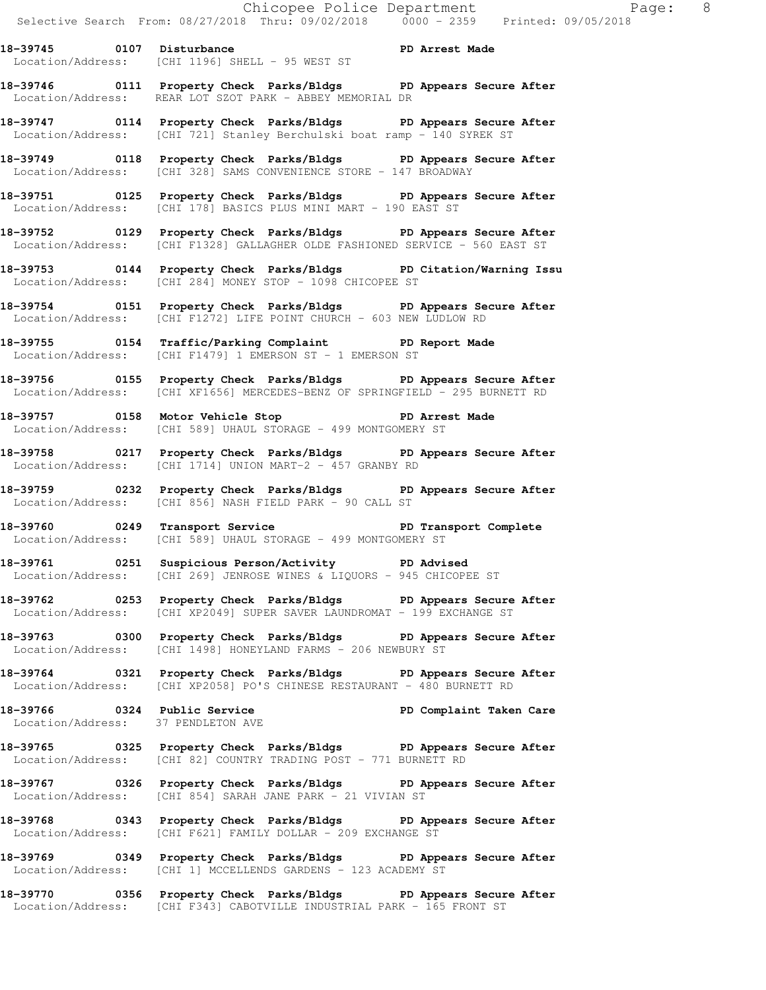**18-39746 0111 Property Check Parks/Bldgs PD Appears Secure After**  Location/Address: REAR LOT SZOT PARK - ABBEY MEMORIAL DR

**18-39747 0114 Property Check Parks/Bldgs PD Appears Secure After**  Location/Address: [CHI 721] Stanley Berchulski boat ramp - 140 SYREK ST

**18-39749 0118 Property Check Parks/Bldgs PD Appears Secure After**  Location/Address: [CHI 328] SAMS CONVENIENCE STORE - 147 BROADWAY

**18-39751 0125 Property Check Parks/Bldgs PD Appears Secure After**  Location/Address: [CHI 178] BASICS PLUS MINI MART - 190 EAST ST

**18-39752 0129 Property Check Parks/Bldgs PD Appears Secure After**  Location/Address: [CHI F1328] GALLAGHER OLDE FASHIONED SERVICE - 560 EAST ST

**18-39753 0144 Property Check Parks/Bldgs PD Citation/Warning Issu**  Location/Address: [CHI 284] MONEY STOP - 1098 CHICOPEE ST

**18-39754 0151 Property Check Parks/Bldgs PD Appears Secure After**  Location/Address: [CHI F1272] LIFE POINT CHURCH - 603 NEW LUDLOW RD

**18-39755 0154 Traffic/Parking Complaint PD Report Made**  Location/Address: [CHI F1479] 1 EMERSON ST - 1 EMERSON ST

**18-39756 0155 Property Check Parks/Bldgs PD Appears Secure After**  Location/Address: [CHI XF1656] MERCEDES-BENZ OF SPRINGFIELD - 295 BURNETT RD

18-39757 **0158** Motor Vehicle Stop **PD Arrest Made** Location/Address: [CHI 589] UHAUL STORAGE - 499 MONTGOMERY ST

**18-39758 0217 Property Check Parks/Bldgs PD Appears Secure After**  Location/Address: [CHI 1714] UNION MART-2 - 457 GRANBY RD

**18-39759 0232 Property Check Parks/Bldgs PD Appears Secure After**  Location/Address: [CHI 856] NASH FIELD PARK - 90 CALL ST

**18-39760 0249 Transport Service PD Transport Complete**  Location/Address: [CHI 589] UHAUL STORAGE - 499 MONTGOMERY ST

**18-39761 0251 Suspicious Person/Activity PD Advised**  Location/Address: [CHI 269] JENROSE WINES & LIQUORS - 945 CHICOPEE ST

**18-39762 0253 Property Check Parks/Bldgs PD Appears Secure After**  Location/Address: [CHI XP2049] SUPER SAVER LAUNDROMAT - 199 EXCHANGE ST

**18-39763 0300 Property Check Parks/Bldgs PD Appears Secure After**  Location/Address: [CHI 1498] HONEYLAND FARMS - 206 NEWBURY ST

**18-39764 0321 Property Check Parks/Bldgs PD Appears Secure After**  Location/Address: [CHI XP2058] PO'S CHINESE RESTAURANT - 480 BURNETT RD

**18-39766 0324 Public Service PD Complaint Taken Care**  Location/Address: 37 PENDLETON AVE

**18-39765 0325 Property Check Parks/Bldgs PD Appears Secure After**  Location/Address: [CHI 82] COUNTRY TRADING POST - 771 BURNETT RD

**18-39767 0326 Property Check Parks/Bldgs PD Appears Secure After**  Location/Address: [CHI 854] SARAH JANE PARK - 21 VIVIAN ST

**18-39768 0343 Property Check Parks/Bldgs PD Appears Secure After**  Location/Address: [CHI F621] FAMILY DOLLAR - 209 EXCHANGE ST

**18-39769 0349 Property Check Parks/Bldgs PD Appears Secure After**  Location/Address: [CHI 1] MCCELLENDS GARDENS - 123 ACADEMY ST

**18-39770 0356 Property Check Parks/Bldgs PD Appears Secure After**  Location/Address: [CHI F343] CABOTVILLE INDUSTRIAL PARK - 165 FRONT ST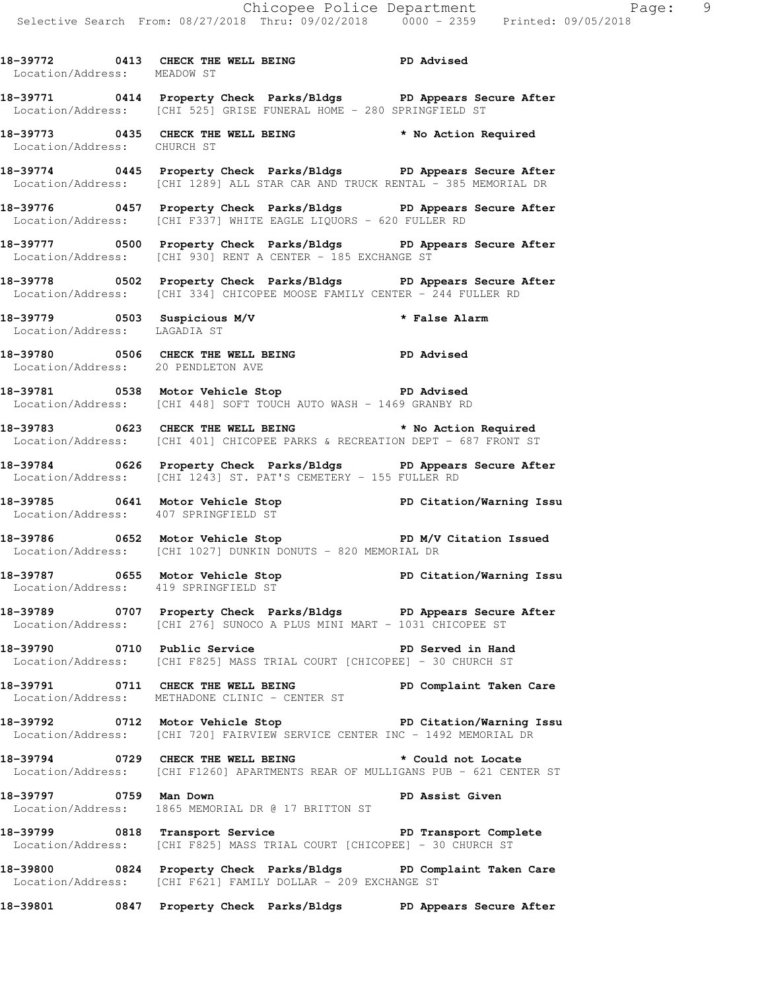**18-39772 0413 CHECK THE WELL BEING PD Advised**  Location/Address: MEADOW ST

**18-39771 0414 Property Check Parks/Bldgs PD Appears Secure After**  Location/Address: [CHI 525] GRISE FUNERAL HOME - 280 SPRINGFIELD ST

**18-39773 0435 CHECK THE WELL BEING \* No Action Required**  Location/Address: CHURCH ST

**18-39774 0445 Property Check Parks/Bldgs PD Appears Secure After**  Location/Address: [CHI 1289] ALL STAR CAR AND TRUCK RENTAL - 385 MEMORIAL DR

**18-39776 0457 Property Check Parks/Bldgs PD Appears Secure After**  Location/Address: [CHI F337] WHITE EAGLE LIQUORS - 620 FULLER RD

**18-39777 0500 Property Check Parks/Bldgs PD Appears Secure After**  Location/Address: [CHI 930] RENT A CENTER - 185 EXCHANGE ST

**18-39778 0502 Property Check Parks/Bldgs PD Appears Secure After**  Location/Address: [CHI 334] CHICOPEE MOOSE FAMILY CENTER - 244 FULLER RD

**18-39779 0503 Suspicious M/V \* False Alarm**  Location/Address: LAGADIA ST

**18-39780 0506 CHECK THE WELL BEING PD Advised**  Location/Address: 20 PENDLETON AVE

18-39781 0538 Motor Vehicle Stop **PD Advised** Location/Address: [CHI 448] SOFT TOUCH AUTO WASH - 1469 GRANBY RD

**18-39783 0623 CHECK THE WELL BEING \* No Action Required**  Location/Address: [CHI 401] CHICOPEE PARKS & RECREATION DEPT - 687 FRONT ST

**18-39784 0626 Property Check Parks/Bldgs PD Appears Secure After**  Location/Address: [CHI 1243] ST. PAT'S CEMETERY - 155 FULLER RD

**18-39785 0641 Motor Vehicle Stop PD Citation/Warning Issu**  Location/Address: 407 SPRINGFIELD ST

**18-39786 0652 Motor Vehicle Stop PD M/V Citation Issued**  Location/Address: [CHI 1027] DUNKIN DONUTS - 820 MEMORIAL DR

**18-39787 0655 Motor Vehicle Stop PD Citation/Warning Issu**  Location/Address: 419 SPRINGFIELD ST

**18-39789 0707 Property Check Parks/Bldgs PD Appears Secure After**  Location/Address: [CHI 276] SUNOCO A PLUS MINI MART - 1031 CHICOPEE ST

**18-39790 0710 Public Service PD Served in Hand**  Location/Address: [CHI F825] MASS TRIAL COURT [CHICOPEE] - 30 CHURCH ST

**18-39791 0711 CHECK THE WELL BEING PD Complaint Taken Care**  Location/Address: METHADONE CLINIC - CENTER ST

**18-39792 0712 Motor Vehicle Stop PD Citation/Warning Issu**  Location/Address: [CHI 720] FAIRVIEW SERVICE CENTER INC - 1492 MEMORIAL DR

**18-39794 0729 CHECK THE WELL BEING \* Could not Locate**  Location/Address: [CHI F1260] APARTMENTS REAR OF MULLIGANS PUB - 621 CENTER ST

**18-39797 0759 Man Down PD Assist Given**  Location/Address: 1865 MEMORIAL DR @ 17 BRITTON ST

**18-39799 0818 Transport Service PD Transport Complete**  Location/Address: [CHI F825] MASS TRIAL COURT [CHICOPEE] - 30 CHURCH ST

**18-39800 0824 Property Check Parks/Bldgs PD Complaint Taken Care**  Location/Address: [CHI F621] FAMILY DOLLAR - 209 EXCHANGE ST

**18-39801 0847 Property Check Parks/Bldgs PD Appears Secure After**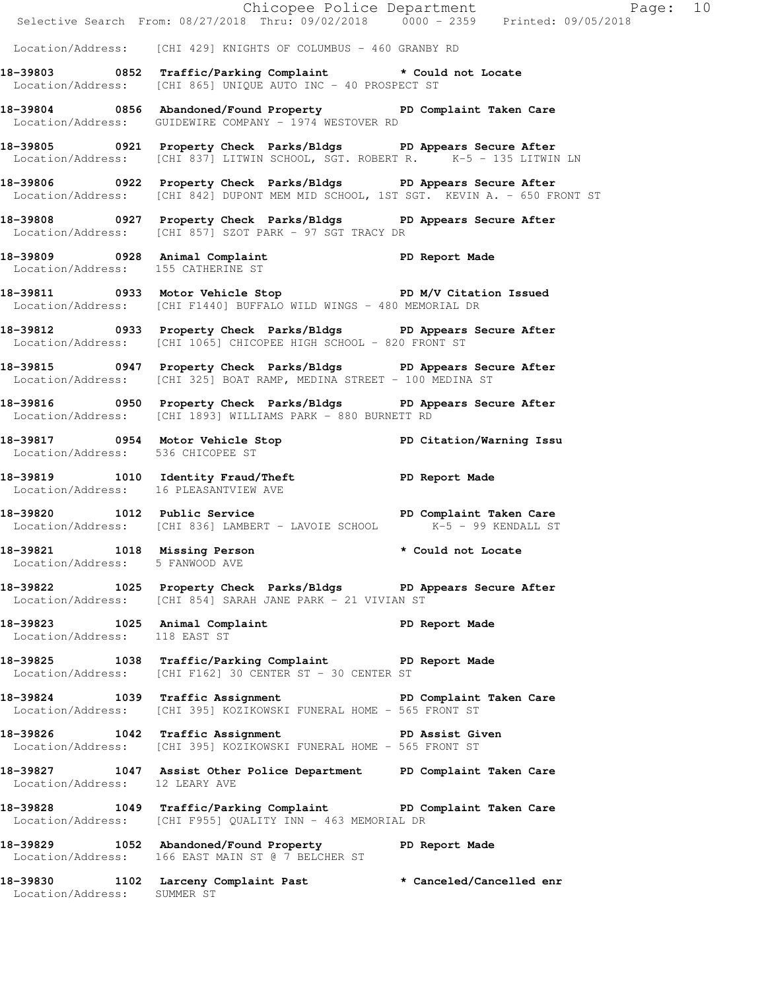|                                                                 | E<br>Chicopee Police Department<br>Selective Search From: 08/27/2018 Thru: 09/02/2018 0000 - 2359 Printed: 09/05/2018                                   | Page: 10           |  |
|-----------------------------------------------------------------|---------------------------------------------------------------------------------------------------------------------------------------------------------|--------------------|--|
|                                                                 | Location/Address: [CHI 429] KNIGHTS OF COLUMBUS - 460 GRANBY RD                                                                                         |                    |  |
|                                                                 | 18-39803 0852 Traffic/Parking Complaint * Could not Locate                                                                                              |                    |  |
|                                                                 | Location/Address: [CHI 865] UNIQUE AUTO INC - 40 PROSPECT ST                                                                                            |                    |  |
|                                                                 | 18-39804 0856 Abandoned/Found Property PD Complaint Taken Care<br>Location/Address: GUIDEWIRE COMPANY - 1974 WESTOVER RD                                |                    |  |
|                                                                 | 18-39805 0921 Property Check Parks/Bldgs PD Appears Secure After<br>Location/Address: [CHI 837] LITWIN SCHOOL, SGT. ROBERT R. K-5 - 135 LITWIN LN       |                    |  |
|                                                                 | 18-39806 0922 Property Check Parks/Bldgs PD Appears Secure After<br>Location/Address: [CHI 842] DUPONT MEM MID SCHOOL, 1ST SGT. KEVIN A. - 650 FRONT ST |                    |  |
|                                                                 | 18-39808 0927 Property Check Parks/Bldgs PD Appears Secure After<br>Location/Address: [CHI 857] SZOT PARK - 97 SGT TRACY DR                             |                    |  |
|                                                                 | 18-39809 0928 Animal Complaint<br>Location/Address: 155 CATHERINE ST                                                                                    |                    |  |
|                                                                 | 18-39811 0933 Motor Vehicle Stop N/V Citation Issued<br>Location/Address: [CHI F1440] BUFFALO WILD WINGS - 480 MEMORIAL DR                              |                    |  |
|                                                                 | 18-39812 0933 Property Check Parks/Bldgs PD Appears Secure After<br>Location/Address: [CHI 1065] CHICOPEE HIGH SCHOOL - 820 FRONT ST                    |                    |  |
|                                                                 | 18-39815 0947 Property Check Parks/Bldgs PD Appears Secure After<br>Location/Address: [CHI 325] BOAT RAMP, MEDINA STREET - 100 MEDINA ST                |                    |  |
|                                                                 | 18-39816 		 0950 Property Check Parks/Bldgs 		 PD Appears Secure After<br>Location/Address: [CHI 1893] WILLIAMS PARK - 880 BURNETT RD                   |                    |  |
| Location/Address: 536 CHICOPEE ST                               | 18-39817 18954 Motor Vehicle Stop 1890 PD Citation/Warning Issu                                                                                         |                    |  |
| Location/Address: 16 PLEASANTVIEW AVE                           | 18-39819 1010 Identity Fraud/Theft ND PD Report Made                                                                                                    |                    |  |
|                                                                 | 18-39820 1012 Public Service 20 PD Complaint Taken Care<br>Location/Address: [CHI 836] LAMBERT - LAVOIE SCHOOL K-5 - 99 KENDALL ST                      |                    |  |
| 18-39821 1018 Missing Person<br>Location/Address: 5 FANWOOD AVE |                                                                                                                                                         | * Could not Locate |  |
|                                                                 | 18-39822 1025 Property Check Parks/Bldgs PD Appears Secure After<br>Location/Address: [CHI 854] SARAH JANE PARK - 21 VIVIAN ST                          |                    |  |
|                                                                 | 18-39823 1025 Animal Complaint PD Report Made Location/Address: 118 EAST ST                                                                             |                    |  |
|                                                                 | 18-39825 1038 Traffic/Parking Complaint PD Report Made<br>Location/Address: [CHI F162] 30 CENTER ST - 30 CENTER ST                                      |                    |  |
|                                                                 | 18-39824 1039 Traffic Assignment New PD Complaint Taken Care<br>Location/Address: [CHI 395] KOZIKOWSKI FUNERAL HOME - 565 FRONT ST                      |                    |  |
|                                                                 | 18-39826 1042 Traffic Assignment PD Assist Given<br>Location/Address: [CHI 395] KOZIKOWSKI FUNERAL HOME - 565 FRONT ST                                  |                    |  |
| Location/Address: 12 LEARY AVE                                  | 18-39827 1047 Assist Other Police Department PD Complaint Taken Care                                                                                    |                    |  |
|                                                                 | 18-39828 1049 Traffic/Parking Complaint PD Complaint Taken Care<br>Location/Address: [CHI F955] QUALITY INN - 463 MEMORIAL DR                           |                    |  |
|                                                                 | 18-39829 1052 Abandoned/Found Property<br>Location/Address: 166 EAST MAIN ST @ 7 BELCHER ST                                                             | PD Report Made     |  |
| Location/Address: SUMMER ST                                     | 18-39830 1102 Larceny Complaint Past * Canceled/Cancelled enr                                                                                           |                    |  |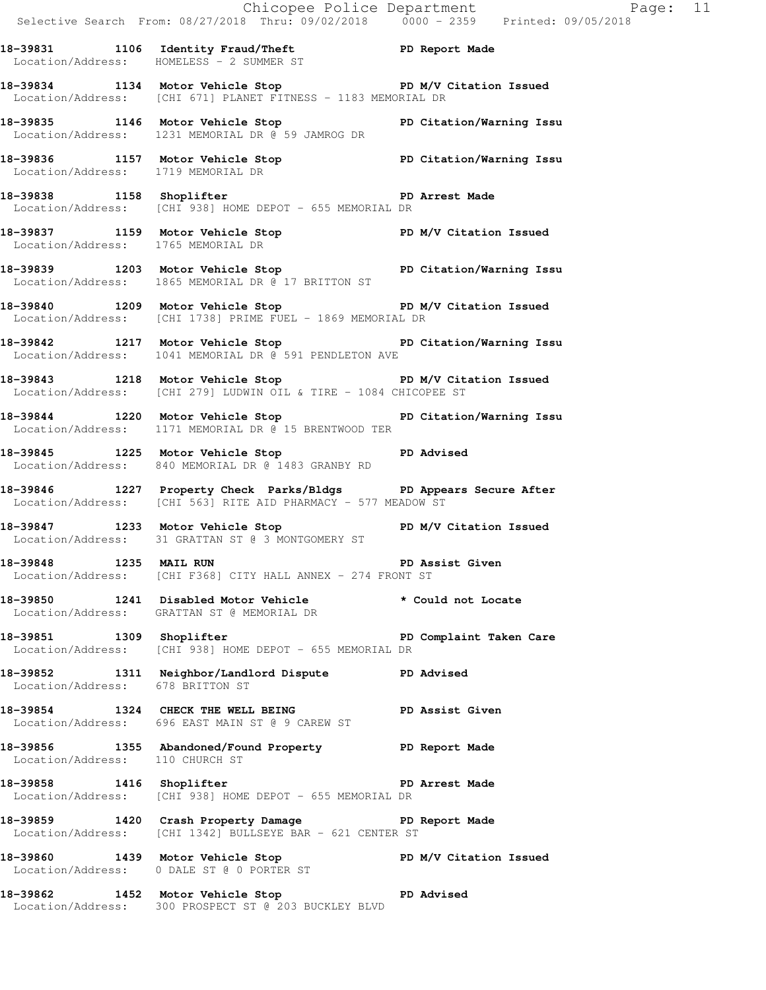|                                  | Chicopee Police Department<br>Selective Search From: 08/27/2018 Thru: 09/02/2018   0000 - 2359   Printed: 09/05/2018              |                        |
|----------------------------------|-----------------------------------------------------------------------------------------------------------------------------------|------------------------|
|                                  | 18-39831 1106 Identity Fraud/Theft PD Report Made<br>Location/Address: HOMELESS - 2 SUMMER ST                                     |                        |
|                                  | 18-39834 1134 Motor Vehicle Stop N/V Citation Issued<br>Location/Address: [CHI 671] PLANET FITNESS - 1183 MEMORIAL DR             |                        |
|                                  | 18-39835 1146 Motor Vehicle Stop North PD Citation/Warning Issu<br>Location/Address: 1231 MEMORIAL DR @ 59 JAMROG DR              |                        |
|                                  | 18-39836 1157 Motor Vehicle Stop PD Citation/Warning Issu<br>Location/Address: 1719 MEMORIAL DR                                   |                        |
|                                  | 18-39838 1158 Shoplifter 18 and PD Arrest Made<br>Location/Address: [CHI 938] HOME DEPOT - 655 MEMORIAL DR                        |                        |
|                                  | 18-39837 1159 Motor Vehicle Stop PD M/V Citation Issued<br>Location/Address: 1765 MEMORIAL DR                                     |                        |
|                                  | 18-39839 1203 Motor Vehicle Stop North PD Citation/Warning Issu<br>Location/Address: 1865 MEMORIAL DR @ 17 BRITTON ST             |                        |
|                                  | 18-39840 1209 Motor Vehicle Stop North PD M/V Citation Issued<br>Location/Address: [CHI 1738] PRIME FUEL - 1869 MEMORIAL DR       |                        |
|                                  | 18-39842 1217 Motor Vehicle Stop PD Citation/Warning Issu<br>Location/Address: 1041 MEMORIAL DR @ 591 PENDLETON AVE               |                        |
|                                  | 18-39843 1218 Motor Vehicle Stop N/V Citation Issued<br>Location/Address: [CHI 279] LUDWIN OIL & TIRE - 1084 CHICOPEE ST          |                        |
|                                  | 18-39844 1220 Motor Vehicle Stop PD Citation/Warning Issu<br>Location/Address: 1171 MEMORIAL DR @ 15 BRENTWOOD TER                |                        |
|                                  | Location/Address: 840 MEMORIAL DR @ 1483 GRANBY RD                                                                                |                        |
|                                  | 18-39846 1227 Property Check Parks/Bldgs PD Appears Secure After<br>Location/Address: [CHI 563] RITE AID PHARMACY - 577 MEADOW ST |                        |
|                                  | 18-39847 1233 Motor Vehicle Stop N/V Citation Issued<br>Location/Address: 31 GRATTAN ST @ 3 MONTGOMERY ST                         |                        |
| 18-39848 1235 MAIL RUN           | Location/Address: [CHI F368] CITY HALL ANNEX - 274 FRONT ST                                                                       | PD Assist Given        |
|                                  | 18-39850 1241 Disabled Motor Vehicle<br>Location/Address: GRATTAN ST @ MEMORIAL DR                                                | * Could not Locate     |
|                                  | 18-39851 1309 Shoplifter 2008 PD Complaint Taken Care<br>Location/Address: [CHI 938] HOME DEPOT - 655 MEMORIAL DR                 |                        |
| Location/Address: 678 BRITTON ST | 18-39852 1311 Neighbor/Landlord Dispute PD Advised                                                                                |                        |
|                                  | 18-39854 1324 CHECK THE WELL BEING PD Assist Given<br>Location/Address: 696 EAST MAIN ST @ 9 CAREW ST                             |                        |
|                                  | 18-39856 1355 Abandoned/Found Property PD Report Made<br>Location/Address: 110 CHURCH ST                                          |                        |
|                                  | 18-39858 1416 Shoplifter<br>Location/Address: [CHI 938] HOME DEPOT - 655 MEMORIAL DR                                              | PD Arrest Made         |
|                                  | 18-39859 1420 Crash Property Damage PD Report Made<br>Location/Address: [CHI 1342] BULLSEYE BAR - 621 CENTER ST                   |                        |
|                                  | 18-39860 1439 Motor Vehicle Stop<br>Location/Address: 0 DALE ST @ 0 PORTER ST                                                     | PD M/V Citation Issued |
|                                  | 18-39862 1452 Motor Vehicle Stop 50 PD Advised                                                                                    |                        |

Location/Address: 300 PROSPECT ST @ 203 BUCKLEY BLVD

Page:  $11$ <br> $18$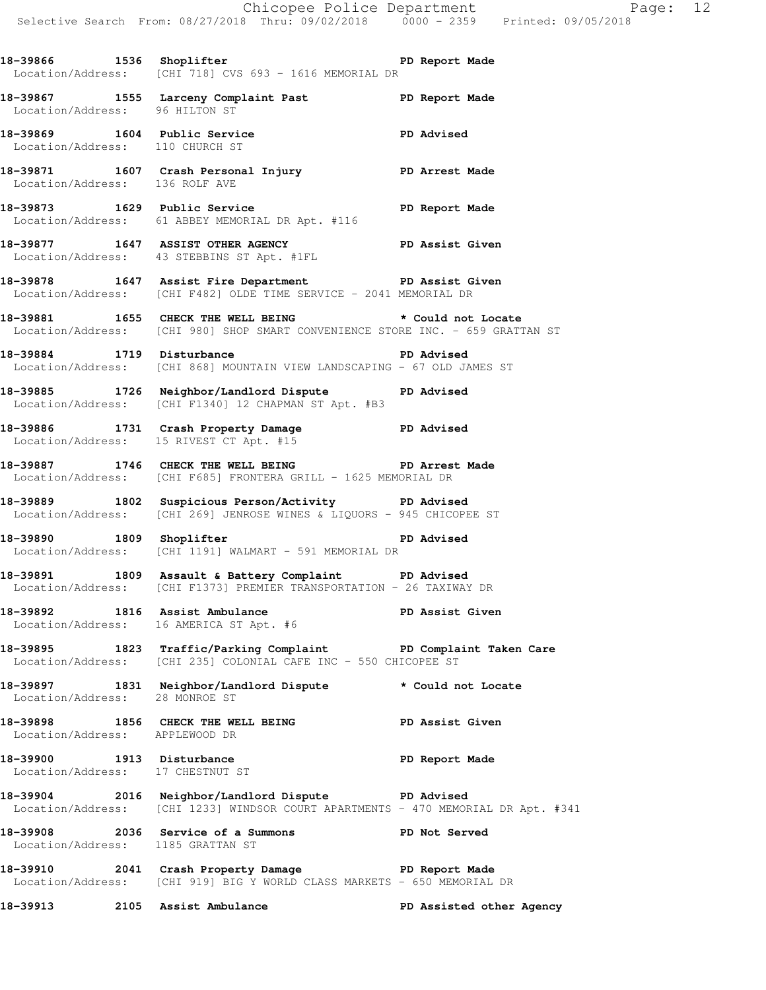**18-39866 1536 Shoplifter PD Report Made**  Location/Address: [CHI 718] CVS 693 - 1616 MEMORIAL DR **18-39867 1555 Larceny Complaint Past PD Report Made**  Location/Address: 96 HILTON ST **18-39869 1604 Public Service PD Advised**  Location/Address: 110 CHURCH ST **18-39871 1607 Crash Personal Injury PD Arrest Made**  Location/Address: 136 ROLF AVE **18-39873 1629 Public Service PD Report Made**  Location/Address: 61 ABBEY MEMORIAL DR Apt. #116 **18-39877 1647 ASSIST OTHER AGENCY PD Assist Given**  Location/Address: 43 STEBBINS ST Apt. #1FL **18-39878 1647 Assist Fire Department PD Assist Given**  Location/Address: [CHI F482] OLDE TIME SERVICE - 2041 MEMORIAL DR **18-39881 1655 CHECK THE WELL BEING \* Could not Locate**  Location/Address: [CHI 980] SHOP SMART CONVENIENCE STORE INC. - 659 GRATTAN ST

**18-39884 1719 Disturbance PD Advised**  Location/Address: [CHI 868] MOUNTAIN VIEW LANDSCAPING - 67 OLD JAMES ST

**18-39885 1726 Neighbor/Landlord Dispute PD Advised**  Location/Address: [CHI F1340] 12 CHAPMAN ST Apt. #B3

**18-39886 1731 Crash Property Damage PD Advised**  Location/Address: 15 RIVEST CT Apt. #15

**18-39887 1746 CHECK THE WELL BEING PD Arrest Made**  Location/Address: [CHI F685] FRONTERA GRILL - 1625 MEMORIAL DR

**18-39889 1802 Suspicious Person/Activity PD Advised**  Location/Address: [CHI 269] JENROSE WINES & LIQUORS - 945 CHICOPEE ST

**18-39890 1809 Shoplifter PD Advised**  Location/Address: [CHI 1191] WALMART - 591 MEMORIAL DR

**18-39891 1809 Assault & Battery Complaint PD Advised**  Location/Address: [CHI F1373] PREMIER TRANSPORTATION - 26 TAXIWAY DR

**18-39892 1816 Assist Ambulance PD Assist Given**  Location/Address: 16 AMERICA ST Apt. #6

**18-39895 1823 Traffic/Parking Complaint PD Complaint Taken Care**  Location/Address: [CHI 235] COLONIAL CAFE INC - 550 CHICOPEE ST

**18-39897 1831 Neighbor/Landlord Dispute \* Could not Locate**  Location/Address: 28 MONROE ST

18-39898 1856 CHECK THE WELL BEING **PD Assist Given** Location/Address: APPLEWOOD DR

**18-39900 1913 Disturbance PD Report Made**  Location/Address: 17 CHESTNUT ST

**18-39904 2016 Neighbor/Landlord Dispute PD Advised**  Location/Address: [CHI 1233] WINDSOR COURT APARTMENTS - 470 MEMORIAL DR Apt. #341

**18-39908 2036 Service of a Summons PD Not Served**  Location/Address: 1185 GRATTAN ST

**18-39910 2041 Crash Property Damage PD Report Made**  Location/Address: [CHI 919] BIG Y WORLD CLASS MARKETS - 650 MEMORIAL DR

**18-39913 2105 Assist Ambulance PD Assisted other Agency**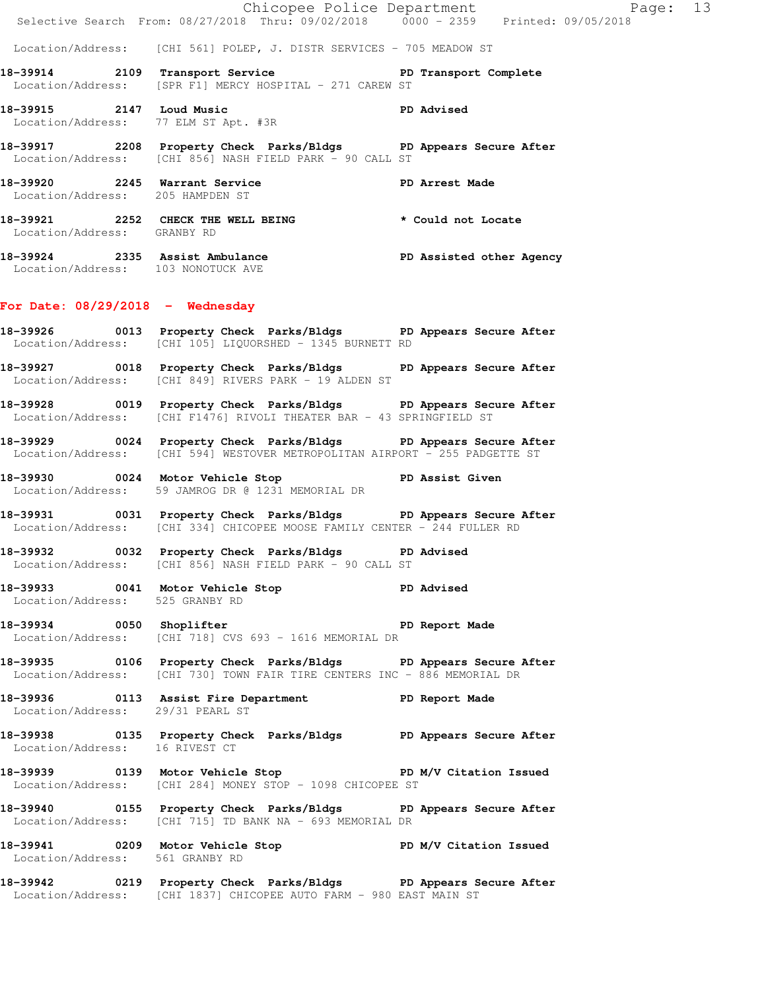|                                    |                                                                                                                                                 | Chicopee Police Department<br>Selective Search From: 08/27/2018 Thru: 09/02/2018 0000 - 2359 Printed: 09/05/2018 |  |
|------------------------------------|-------------------------------------------------------------------------------------------------------------------------------------------------|------------------------------------------------------------------------------------------------------------------|--|
|                                    | Location/Address: [CHI 561] POLEP, J. DISTR SERVICES - 705 MEADOW ST                                                                            |                                                                                                                  |  |
|                                    | 18-39914 2109 Transport Service New PD Transport Complete<br>Location/Address: [SPR F1] MERCY HOSPITAL - 271 CAREW ST                           |                                                                                                                  |  |
|                                    | 18-39915 2147 Loud Music<br>Location/Address: 77 ELM ST Apt. #3R                                                                                | <b>PD Advised</b>                                                                                                |  |
|                                    | 18-39917 2208 Property Check Parks/Bldgs PD Appears Secure After<br>Location/Address: [CHI 856] NASH FIELD PARK - 90 CALL ST                    |                                                                                                                  |  |
| Location/Address: 205 HAMPDEN ST   | 18-39920 2245 Warrant Service                                                                                                                   | PD Arrest Made                                                                                                   |  |
| Location/Address: GRANBY RD        | 18-39921 2252 CHECK THE WELL BEING * Could not Locate                                                                                           |                                                                                                                  |  |
|                                    | 18-39924 2335 Assist Ambulance PD Assisted other Agency<br>Location/Address: 103 NONOTUCK AVE                                                   |                                                                                                                  |  |
| For Date: $08/29/2018$ - Wednesday |                                                                                                                                                 |                                                                                                                  |  |
|                                    | 18-39926 0013 Property Check Parks/Bldgs PD Appears Secure After<br>Location/Address: [CHI 105] LIQUORSHED - 1345 BURNETT RD                    |                                                                                                                  |  |
|                                    | 18-39927 0018 Property Check Parks/Bldgs PD Appears Secure After<br>Location/Address: [CHI 849] RIVERS PARK - 19 ALDEN ST                       |                                                                                                                  |  |
|                                    | 18-39928 0019 Property Check Parks/Bldgs PD Appears Secure After<br>Location/Address: [CHI F1476] RIVOLI THEATER BAR - 43 SPRINGFIELD ST        |                                                                                                                  |  |
|                                    | 18-39929 0024 Property Check Parks/Bldgs PD Appears Secure After<br>Location/Address: [CHI 594] WESTOVER METROPOLITAN AIRPORT - 255 PADGETTE ST |                                                                                                                  |  |
|                                    | 18-39930 0024 Motor Vehicle Stop New PD Assist Given<br>Location/Address: 59 JAMROG DR @ 1231 MEMORIAL DR                                       |                                                                                                                  |  |
|                                    | 18-39931 0031 Property Check Parks/Bldgs PD Appears Secure After<br>Location/Address: [CHI 334] CHICOPEE MOOSE FAMILY CENTER - 244 FULLER RD    |                                                                                                                  |  |
|                                    | 18-39932 0032 Property Check Parks/Bldgs PD Advised<br>Location/Address: [CHI 856] NASH FIELD PARK - 90 CALL ST                                 |                                                                                                                  |  |
| Location/Address: 525 GRANBY RD    | 18-39933 0041 Motor Vehicle Stop 50 PD Advised                                                                                                  |                                                                                                                  |  |
|                                    | 18-39934 0050 Shoplifter 20 PD Report Made<br>Location/Address: [CHI 718] CVS 693 - 1616 MEMORIAL DR                                            |                                                                                                                  |  |
|                                    | 18-39935 0106 Property Check Parks/Bldgs PD Appears Secure After<br>Location/Address: [CHI 730] TOWN FAIR TIRE CENTERS INC - 886 MEMORIAL DR    |                                                                                                                  |  |
|                                    | 18-39936 0113 Assist Fire Department PD Report Made<br>Location/Address: 29/31 PEARL ST                                                         |                                                                                                                  |  |
| Location/Address: 16 RIVEST CT     | 18-39938 0135 Property Check Parks/Bldgs PD Appears Secure After                                                                                |                                                                                                                  |  |
|                                    | 18-39939 		 0139 Motor Vehicle Stop 		 PD M/V Citation Issued<br>Location/Address: [CHI 284] MONEY STOP - 1098 CHICOPEE ST                      |                                                                                                                  |  |
|                                    | 18-39940 0155 Property Check Parks/Bldgs PD Appears Secure After<br>Location/Address: [CHI 715] TD BANK NA - 693 MEMORIAL DR                    |                                                                                                                  |  |
| Location/Address: 561 GRANBY RD    | 18-39941 0209 Motor Vehicle Stop North PD M/V Citation Issued                                                                                   |                                                                                                                  |  |
|                                    | 18-39942 0219 Property Check Parks/Bldgs PD Appears Secure After                                                                                |                                                                                                                  |  |

Location/Address: [CHI 1837] CHICOPEE AUTO FARM - 980 EAST MAIN ST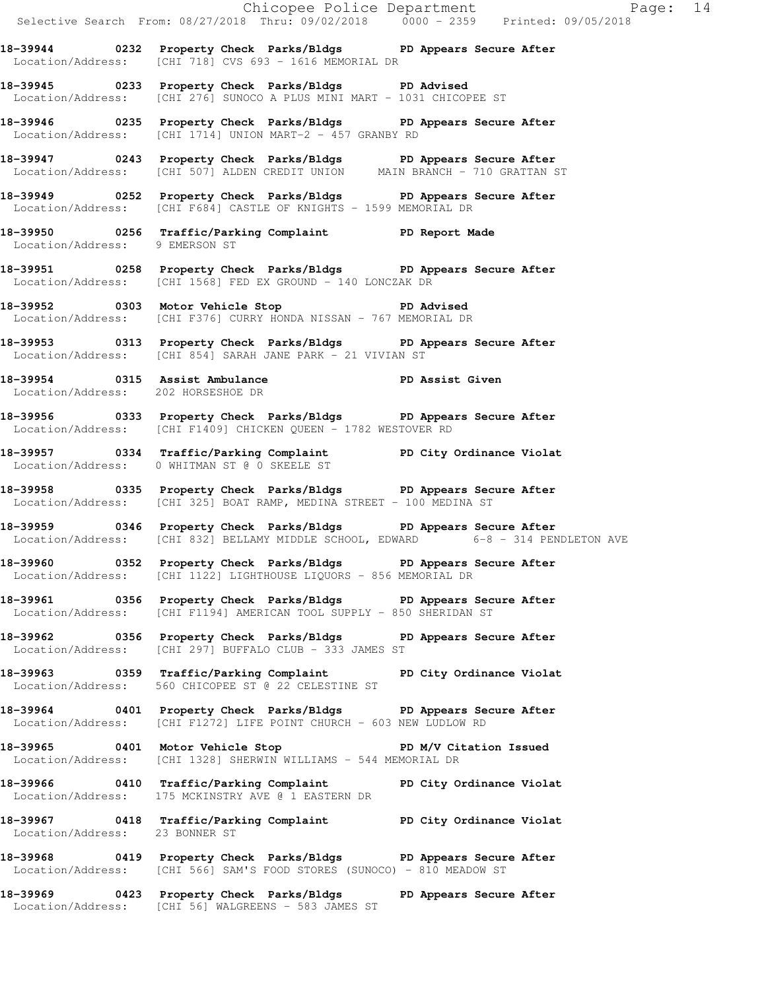|                                    | Chicopee Police Department<br>Selective Search From: 08/27/2018 Thru: 09/02/2018 0000 - 2359 Printed: 09/05/2018                                      |  |
|------------------------------------|-------------------------------------------------------------------------------------------------------------------------------------------------------|--|
|                                    | 18-39944 0232 Property Check Parks/Bldgs PD Appears Secure After<br>Location/Address: [CHI 718] CVS 693 - 1616 MEMORIAL DR                            |  |
|                                    | 18-39945 0233 Property Check Parks/Bldgs PD Advised<br>Location/Address: [CHI 276] SUNOCO A PLUS MINI MART - 1031 CHICOPEE ST                         |  |
|                                    | 18-39946 0235 Property Check Parks/Bldgs PD Appears Secure After<br>Location/Address: [CHI 1714] UNION MART-2 - 457 GRANBY RD                         |  |
|                                    | 18-39947 0243 Property Check Parks/Bldgs PD Appears Secure After<br>Location/Address: [CHI 507] ALDEN CREDIT UNION MAIN BRANCH - 710 GRATTAN ST       |  |
|                                    | 18-39949 0252 Property Check Parks/Bldgs PD Appears Secure After<br>Location/Address: [CHI F684] CASTLE OF KNIGHTS - 1599 MEMORIAL DR                 |  |
| Location/Address: 9 EMERSON ST     | 18-39950 0256 Traffic/Parking Complaint PD Report Made                                                                                                |  |
|                                    | 18-39951 0258 Property Check Parks/Bldgs PD Appears Secure After<br>Location/Address: [CHI 1568] FED EX GROUND - 140 LONCZAK DR                       |  |
|                                    | 18-39952 0303 Motor Vehicle Stop 5 PD Advised<br>Location/Address: [CHI F376] CURRY HONDA NISSAN - 767 MEMORIAL DR                                    |  |
|                                    | 18-39953 0313 Property Check Parks/Bldgs PD Appears Secure After<br>Location/Address: [CHI 854] SARAH JANE PARK - 21 VIVIAN ST                        |  |
| Location/Address: 202 HORSESHOE DR | 18-39954 0315 Assist Ambulance No PD Assist Given                                                                                                     |  |
|                                    | 18-39956 0333 Property Check Parks/Bldgs PD Appears Secure After<br>Location/Address: [CHI F1409] CHICKEN QUEEN - 1782 WESTOVER RD                    |  |
|                                    | 18-39957 0334 Traffic/Parking Complaint PD City Ordinance Violat<br>Location/Address: 0 WHITMAN ST @ 0 SKEELE ST                                      |  |
|                                    | 18-39958 		 0335 Property Check Parks/Bldgs 		 PD Appears Secure After<br>Location/Address: [CHI 325] BOAT RAMP, MEDINA STREET - 100 MEDINA ST        |  |
|                                    | 18-39959 0346 Property Check Parks/Bldgs PD Appears Secure After<br>Location/Address: [CHI 832] BELLAMY MIDDLE SCHOOL, EDWARD 6-8 - 314 PENDLETON AVE |  |
|                                    | 18-39960 0352 Property Check Parks/Bldgs PD Appears Secure After<br>Location/Address: [CHI 1122] LIGHTHOUSE LIQUORS - 856 MEMORIAL DR                 |  |
|                                    | 18-39961 0356 Property Check Parks/Bldgs PD Appears Secure After<br>Location/Address: [CHI F1194] AMERICAN TOOL SUPPLY - 850 SHERIDAN ST              |  |
|                                    | 18-39962 		 0356 Property Check Parks/Bldgs 		 PD Appears Secure After<br>Location/Address: [CHI 297] BUFFALO CLUB - 333 JAMES ST                     |  |
|                                    | 18-39963 0359 Traffic/Parking Complaint PD City Ordinance Violat<br>Location/Address: 560 CHICOPEE ST @ 22 CELESTINE ST                               |  |
|                                    | 18-39964 0401 Property Check Parks/Bldgs PD Appears Secure After<br>Location/Address: [CHI F1272] LIFE POINT CHURCH - 603 NEW LUDLOW RD               |  |
|                                    | 18-39965 0401 Motor Vehicle Stop 50 PD M/V Citation Issued<br>Location/Address: [CHI 1328] SHERWIN WILLIAMS - 544 MEMORIAL DR                         |  |
|                                    | 18-39966 0410 Traffic/Parking Complaint PD City Ordinance Violat<br>Location/Address: 175 MCKINSTRY AVE @ 1 EASTERN DR                                |  |
| Location/Address: 23 BONNER ST     | 18-39967 0418 Traffic/Parking Complaint PD City Ordinance Violat                                                                                      |  |
|                                    | 18-39968 0419 Property Check Parks/Bldgs PD Appears Secure After<br>Location/Address: [CHI 566] SAM'S FOOD STORES (SUNOCO) - 810 MEADOW ST            |  |
|                                    | 18-39969 0423 Property Check Parks/Bldgs PD Appears Secure After<br>Location/Address: [CHI 56] WALGREENS - 583 JAMES ST                               |  |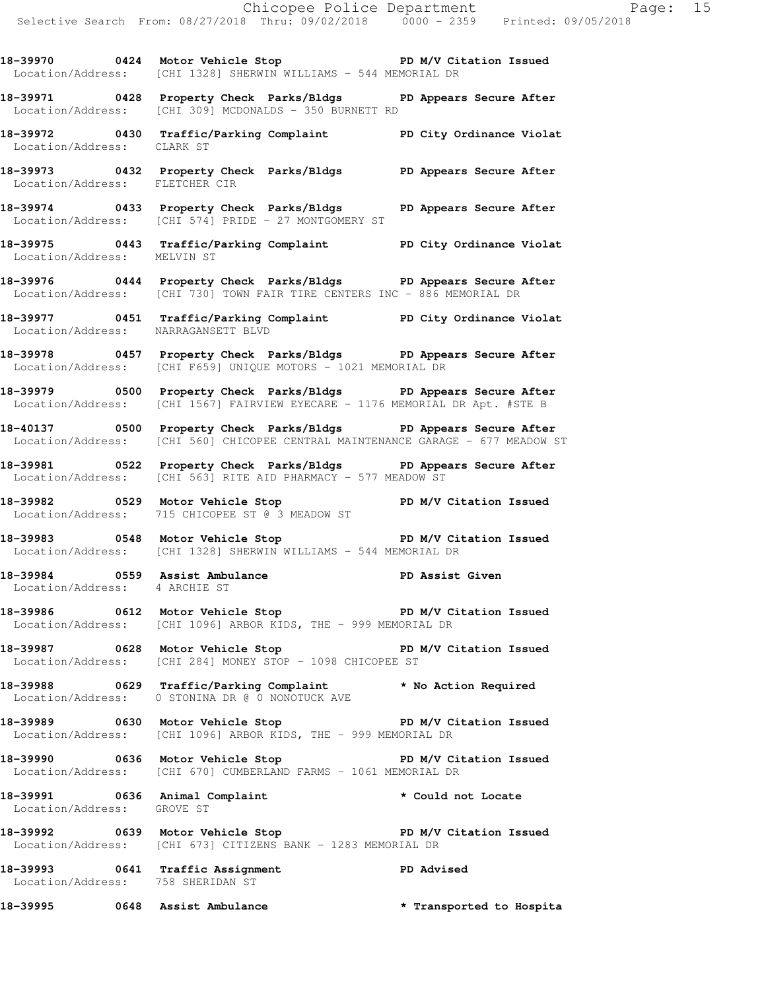18-39970 0424 Motor Vehicle Stop **PD M/V Citation Issued**  Location/Address: [CHI 1328] SHERWIN WILLIAMS - 544 MEMORIAL DR **18-39971 0428 Property Check Parks/Bldgs PD Appears Secure After**  Location/Address: [CHI 309] MCDONALDS - 350 BURNETT RD **18-39972 0430 Traffic/Parking Complaint PD City Ordinance Violat**  Location/Address: CLARK ST **18-39973 0432 Property Check Parks/Bldgs PD Appears Secure After**  Location/Address: FLETCHER CIR **18-39974 0433 Property Check Parks/Bldgs PD Appears Secure After**  Location/Address: [CHI 574] PRIDE - 27 MONTGOMERY ST **18-39975 0443 Traffic/Parking Complaint PD City Ordinance Violat**  Location/Address: MELVIN ST **18-39976 0444 Property Check Parks/Bldgs PD Appears Secure After**  Location/Address: [CHI 730] TOWN FAIR TIRE CENTERS INC - 886 MEMORIAL DR **18-39977 0451 Traffic/Parking Complaint PD City Ordinance Violat**  Location/Address: NARRAGANSETT BLVD **18-39978 0457 Property Check Parks/Bldgs PD Appears Secure After**  Location/Address: [CHI F659] UNIQUE MOTORS - 1021 MEMORIAL DR **18-39979 0500 Property Check Parks/Bldgs PD Appears Secure After**  Location/Address: [CHI 1567] FAIRVIEW EYECARE - 1176 MEMORIAL DR Apt. #STE B **18-40137 0500 Property Check Parks/Bldgs PD Appears Secure After**  Location/Address: [CHI 560] CHICOPEE CENTRAL MAINTENANCE GARAGE - 677 MEADOW ST **18-39981 0522 Property Check Parks/Bldgs PD Appears Secure After**  Location/Address: [CHI 563] RITE AID PHARMACY - 577 MEADOW ST 18-39982 **0529** Motor Vehicle Stop **PD M/V Citation Issued**  Location/Address: 715 CHICOPEE ST @ 3 MEADOW ST **18-39983 0548 Motor Vehicle Stop PD M/V Citation Issued**  Location/Address: [CHI 1328] SHERWIN WILLIAMS - 544 MEMORIAL DR 18-39984 **0559** Assist Ambulance **PD Assist Given**  Location/Address: 4 ARCHIE ST 18-39986 **0612** Motor Vehicle Stop **PD M/V Citation Issued**  Location/Address: [CHI 1096] ARBOR KIDS, THE - 999 MEMORIAL DR **18-39987 0628 Motor Vehicle Stop PD M/V Citation Issued**  Location/Address: [CHI 284] MONEY STOP - 1098 CHICOPEE ST **18-39988 0629 Traffic/Parking Complaint \* No Action Required**  Location/Address: 0 STONINA DR @ 0 NONOTUCK AVE

**18-39989 0630 Motor Vehicle Stop PD M/V Citation Issued**  Location/Address: [CHI 1096] ARBOR KIDS, THE - 999 MEMORIAL DR

**18-39990 0636 Motor Vehicle Stop PD M/V Citation Issued**  Location/Address: [CHI 670] CUMBERLAND FARMS - 1061 MEMORIAL DR

**18-39991 0636 Animal Complaint \* Could not Locate**  Location/Address: GROVE ST

**18-39992 0639 Motor Vehicle Stop PD M/V Citation Issued**  Location/Address: [CHI 673] CITIZENS BANK - 1283 MEMORIAL DR

**18-39993 0641 Traffic Assignment PD Advised**  Location/Address: 758 SHERIDAN ST

**18-39995 0648 Assist Ambulance \* Transported to Hospita**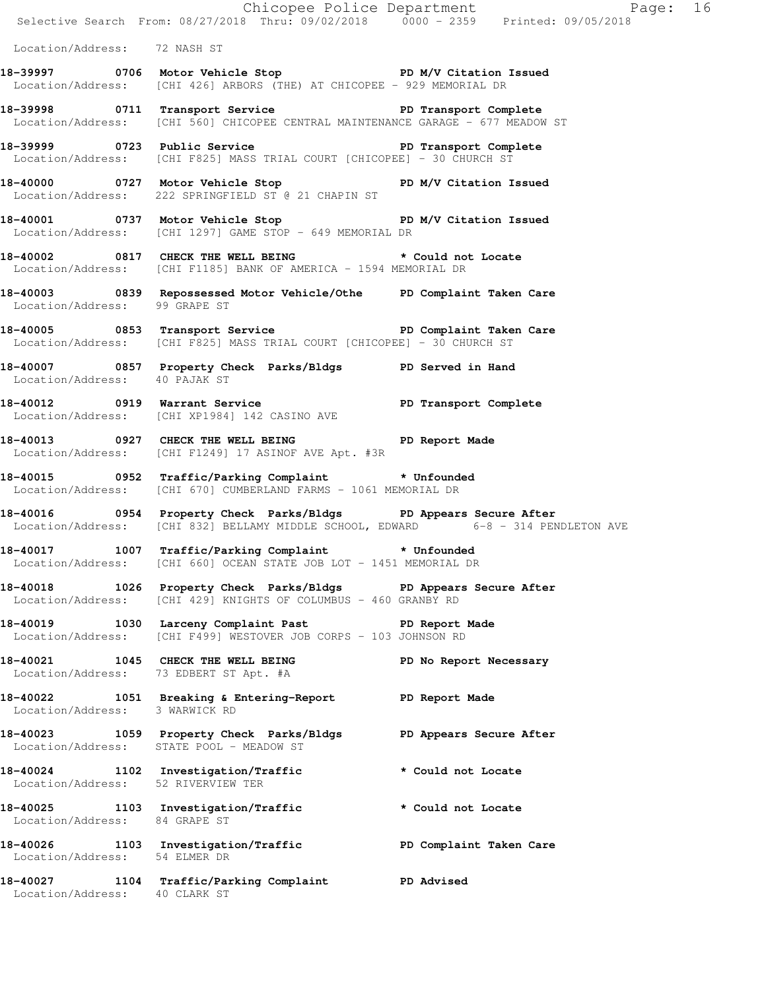|                                    | E<br>Chicopee Police Department<br>Selective Search From: 08/27/2018 Thru: 09/02/2018 0000 - 2359 Printed: 09/05/2018                                 | Page: 16               |  |
|------------------------------------|-------------------------------------------------------------------------------------------------------------------------------------------------------|------------------------|--|
| Location/Address: 72 NASH ST       |                                                                                                                                                       |                        |  |
|                                    | 18-39997 0706 Motor Vehicle Stop New PD M/V Citation Issued<br>Location/Address: [CHI 426] ARBORS (THE) AT CHICOPEE - 929 MEMORIAL DR                 |                        |  |
|                                    | 18-39998 0711 Transport Service New PD Transport Complete<br>Location/Address: [CHI 560] CHICOPEE CENTRAL MAINTENANCE GARAGE - 677 MEADOW ST          |                        |  |
|                                    | Location/Address: [CHI F825] MASS TRIAL COURT [CHICOPEE] - 30 CHURCH ST                                                                               |                        |  |
|                                    | 18-40000 0727 Motor Vehicle Stop PD M/V Citation Issued<br>Location/Address: 222 SPRINGFIELD ST @ 21 CHAPIN ST                                        |                        |  |
|                                    | 18-40001 0737 Motor Vehicle Stop N/V Citation Issued<br>Location/Address: [CHI 1297] GAME STOP - 649 MEMORIAL DR                                      |                        |  |
|                                    | 18-40002 0817 CHECK THE WELL BEING * Could not Locate<br>Location/Address: [CHI F1185] BANK OF AMERICA - 1594 MEMORIAL DR                             |                        |  |
| Location/Address: 99 GRAPE ST      | 18-40003 0839 Repossessed Motor Vehicle/Othe PD Complaint Taken Care                                                                                  |                        |  |
|                                    | 18-40005 0853 Transport Service <b>18-100 PD</b> Complaint Taken Care<br>Location/Address: [CHI F825] MASS TRIAL COURT [CHICOPEE] - 30 CHURCH ST      |                        |  |
| Location/Address: 40 PAJAK ST      | 18-40007 0857 Property Check Parks/Bldgs PD Served in Hand                                                                                            |                        |  |
|                                    | 18-40012 0919 Warrant Service <b>18 Communist PD</b> Transport Complete<br>Location/Address: [CHI XP1984] 142 CASINO AVE                              |                        |  |
|                                    | 18-40013 0927 CHECK THE WELL BEING PD Report Made<br>Location/Address: [CHI F1249] 17 ASINOF AVE Apt. #3R                                             |                        |  |
|                                    | 18-40015 0952 Traffic/Parking Complaint * Unfounded<br>Location/Address: [CHI 670] CUMBERLAND FARMS - 1061 MEMORIAL DR                                |                        |  |
|                                    | 18-40016 0954 Property Check Parks/Bldgs PD Appears Secure After<br>Location/Address: [CHI 832] BELLAMY MIDDLE SCHOOL, EDWARD 6-8 - 314 PENDLETON AVE |                        |  |
|                                    | 18-40017 1007 Traffic/Parking Complaint * Unfounded<br>Location/Address: [CHI 660] OCEAN STATE JOB LOT - 1451 MEMORIAL DR                             |                        |  |
|                                    | 18-40018 1026 Property Check Parks/Bldgs PD Appears Secure After<br>Location/Address: [CHI 429] KNIGHTS OF COLUMBUS - 460 GRANBY RD                   |                        |  |
|                                    | 18-40019 1030 Larceny Complaint Past PD Report Made<br>Location/Address: [CHI F499] WESTOVER JOB CORPS - 103 JOHNSON RD                               |                        |  |
|                                    | 18-40021 1045 CHECK THE WELL BEING<br>Location/Address: 73 EDBERT ST Apt. #A                                                                          | PD No Report Necessary |  |
| Location/Address: 3 WARWICK RD     | 18-40022 1051 Breaking & Entering-Report TPD Report Made                                                                                              |                        |  |
|                                    | 18-40023 1059 Property Check Parks/Bldgs PD Appears Secure After<br>Location/Address: STATE POOL - MEADOW ST                                          |                        |  |
| Location/Address: 52 RIVERVIEW TER | 18-40024 1102 Investigation/Traffic                                                                                                                   | * Could not Locate     |  |
| Location/Address: 84 GRAPE ST      | 18-40025 1103 Investigation/Traffic * Could not Locate                                                                                                |                        |  |
| Location/Address: 54 ELMER DR      | 18-40026 1103 Investigation/Traffic <b>PED</b> Complaint Taken Care                                                                                   |                        |  |
| Location/Address: 40 CLARK ST      | 18-40027 1104 Traffic/Parking Complaint PD Advised                                                                                                    |                        |  |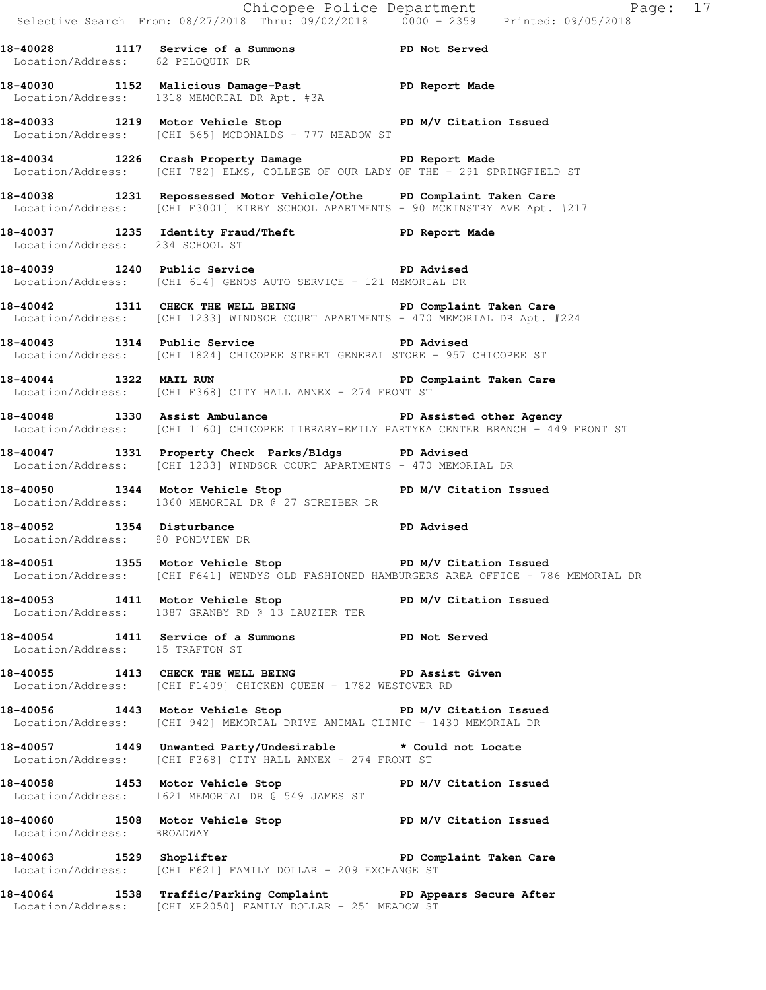Chicopee Police Department Page: 17 Selective Search From: 08/27/2018 Thru: 09/02/2018 0000 - 2359 Printed: 09/05/2018 **18-40028 1117 Service of a Summons PD Not Served**  Location/Address: 62 PELOQUIN DR **18-40030 1152 Malicious Damage-Past PD Report Made**  Location/Address: 1318 MEMORIAL DR Apt. #3A **18-40033 1219 Motor Vehicle Stop PD M/V Citation Issued**  Location/Address: [CHI 565] MCDONALDS - 777 MEADOW ST **18-40034 1226 Crash Property Damage PD Report Made**  Location/Address: [CHI 782] ELMS, COLLEGE OF OUR LADY OF THE - 291 SPRINGFIELD ST **18-40038 1231 Repossessed Motor Vehicle/Othe PD Complaint Taken Care**  Location/Address: [CHI F3001] KIRBY SCHOOL APARTMENTS - 90 MCKINSTRY AVE Apt. #217 **18-40037 1235 Identity Fraud/Theft PD Report Made**  Location/Address: 234 SCHOOL ST **18-40039 1240 Public Service PD Advised**  Location/Address: [CHI 614] GENOS AUTO SERVICE - 121 MEMORIAL DR **18-40042 1311 CHECK THE WELL BEING PD Complaint Taken Care**  Location/Address: [CHI 1233] WINDSOR COURT APARTMENTS - 470 MEMORIAL DR Apt. #224 **18-40043 1314 Public Service PD Advised**  Location/Address: [CHI 1824] CHICOPEE STREET GENERAL STORE - 957 CHICOPEE ST **18-40044 1322 MAIL RUN PD Complaint Taken Care**  Location/Address: [CHI F368] CITY HALL ANNEX - 274 FRONT ST **18-40048 1330 Assist Ambulance PD Assisted other Agency**  Location/Address: [CHI 1160] CHICOPEE LIBRARY-EMILY PARTYKA CENTER BRANCH - 449 FRONT ST **18-40047 1331 Property Check Parks/Bldgs PD Advised**  Location/Address: [CHI 1233] WINDSOR COURT APARTMENTS - 470 MEMORIAL DR **18-40050 1344 Motor Vehicle Stop PD M/V Citation Issued**  Location/Address: 1360 MEMORIAL DR @ 27 STREIBER DR **18-40052 1354 Disturbance PD Advised**  Location/Address: 80 PONDVIEW DR 18-40051 1355 Motor Vehicle Stop **PD M/V Citation Issued** Location/Address: [CHI F641] WENDYS OLD FASHIONED HAMBURGERS AREA OFFICE - 786 MEMORIAL DR **18-40053 1411 Motor Vehicle Stop PD M/V Citation Issued**  Location/Address: 1387 GRANBY RD @ 13 LAUZIER TER **18-40054 1411 Service of a Summons PD Not Served**  Location/Address: 15 TRAFTON ST 18-40055 1413 CHECK THE WELL BEING PD Assist Given Location/Address: [CHI F1409] CHICKEN QUEEN - 1782 WESTOVER RD **18-40056 1443 Motor Vehicle Stop PD M/V Citation Issued**  Location/Address: [CHI 942] MEMORIAL DRIVE ANIMAL CLINIC - 1430 MEMORIAL DR **18-40057 1449 Unwanted Party/Undesirable \* Could not Locate**  Location/Address: [CHI F368] CITY HALL ANNEX - 274 FRONT ST **18-40058 1453 Motor Vehicle Stop PD M/V Citation Issued**  Location/Address: 1621 MEMORIAL DR @ 549 JAMES ST 18-40060 1508 Motor Vehicle Stop **PD M/V Citation Issued**  Location/Address: BROADWAY **18-40063 1529 Shoplifter PD Complaint Taken Care**  Location/Address: [CHI F621] FAMILY DOLLAR - 209 EXCHANGE ST **18-40064 1538 Traffic/Parking Complaint PD Appears Secure After**  Location/Address: [CHI XP2050] FAMILY DOLLAR - 251 MEADOW ST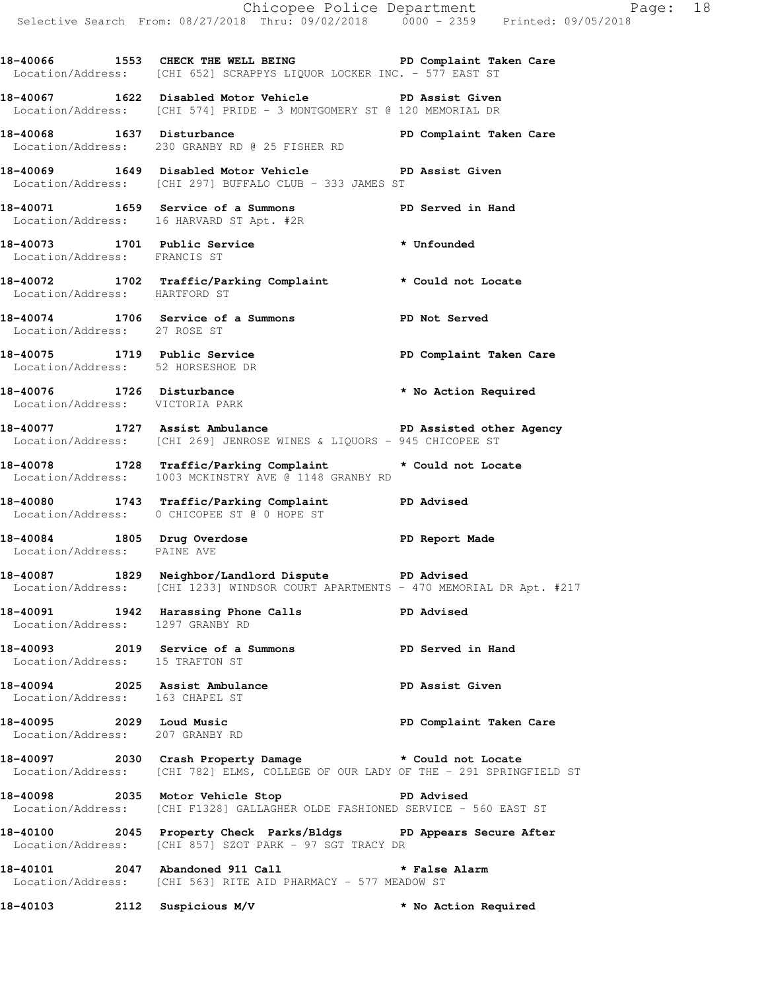**18-40066 1553 CHECK THE WELL BEING PD Complaint Taken Care**  Location/Address: [CHI 652] SCRAPPYS LIQUOR LOCKER INC. - 577 EAST ST **18-40067 1622 Disabled Motor Vehicle PD Assist Given** 

Location/Address: [CHI 574] PRIDE - 3 MONTGOMERY ST @ 120 MEMORIAL DR

18-40068 1637 Disturbance **1637 Disturbance** PD Complaint Taken Care Location/Address: 230 GRANBY RD @ 25 FISHER RD

**18-40069 1649 Disabled Motor Vehicle PD Assist Given**  Location/Address: [CHI 297] BUFFALO CLUB - 333 JAMES ST

**18-40071 1659 Service of a Summons PD Served in Hand**  Location/Address: 16 HARVARD ST Apt. #2R

**18-40073 1701 Public Service \* Unfounded**  Location/Address: FRANCIS ST

**18-40072 1702 Traffic/Parking Complaint \* Could not Locate**  Location/Address: HARTFORD ST

**18-40074 1706 Service of a Summons PD Not Served**  Location/Address: 27 ROSE ST

18-40075 1719 Public Service **1898 PD Complaint Taken Care** Location/Address: 52 HORSESHOE DR

**18-40076 1726 Disturbance \* No Action Required**  Location/Address: VICTORIA PARK

**18-40077 1727 Assist Ambulance PD Assisted other Agency**  Location/Address: [CHI 269] JENROSE WINES & LIQUORS - 945 CHICOPEE ST

**18-40078 1728 Traffic/Parking Complaint \* Could not Locate**  Location/Address: 1003 MCKINSTRY AVE @ 1148 GRANBY RD

**18-40080 1743 Traffic/Parking Complaint PD Advised**  Location/Address: 0 CHICOPEE ST @ 0 HOPE ST

**18-40084 1805 Drug Overdose PD Report Made**  Location/Address: PAINE AVE

**18-40087 1829 Neighbor/Landlord Dispute PD Advised**  Location/Address: [CHI 1233] WINDSOR COURT APARTMENTS - 470 MEMORIAL DR Apt. #217

**18-40091 1942 Harassing Phone Calls PD Advised**  Location/Address: 1297 GRANBY RD

**18-40093 2019 Service of a Summons PD Served in Hand**  Location/Address: 15 TRAFTON ST

**18-40094 2025 Assist Ambulance PD Assist Given**  Location/Address: 163 CHAPEL ST

**18-40095 2029 Loud Music PD Complaint Taken Care**  Location/Address: 207 GRANBY RD

**18-40097 2030 Crash Property Damage \* Could not Locate**  Location/Address: [CHI 782] ELMS, COLLEGE OF OUR LADY OF THE - 291 SPRINGFIELD ST

**18-40098 2035 Motor Vehicle Stop PD Advised**  Location/Address: [CHI F1328] GALLAGHER OLDE FASHIONED SERVICE - 560 EAST ST

**18-40100 2045 Property Check Parks/Bldgs PD Appears Secure After**  Location/Address: [CHI 857] SZOT PARK - 97 SGT TRACY DR

**18-40101 2047 Abandoned 911 Call \* False Alarm**  Location/Address: [CHI 563] RITE AID PHARMACY - 577 MEADOW ST

**18-40103 2112 Suspicious M/V \* No Action Required**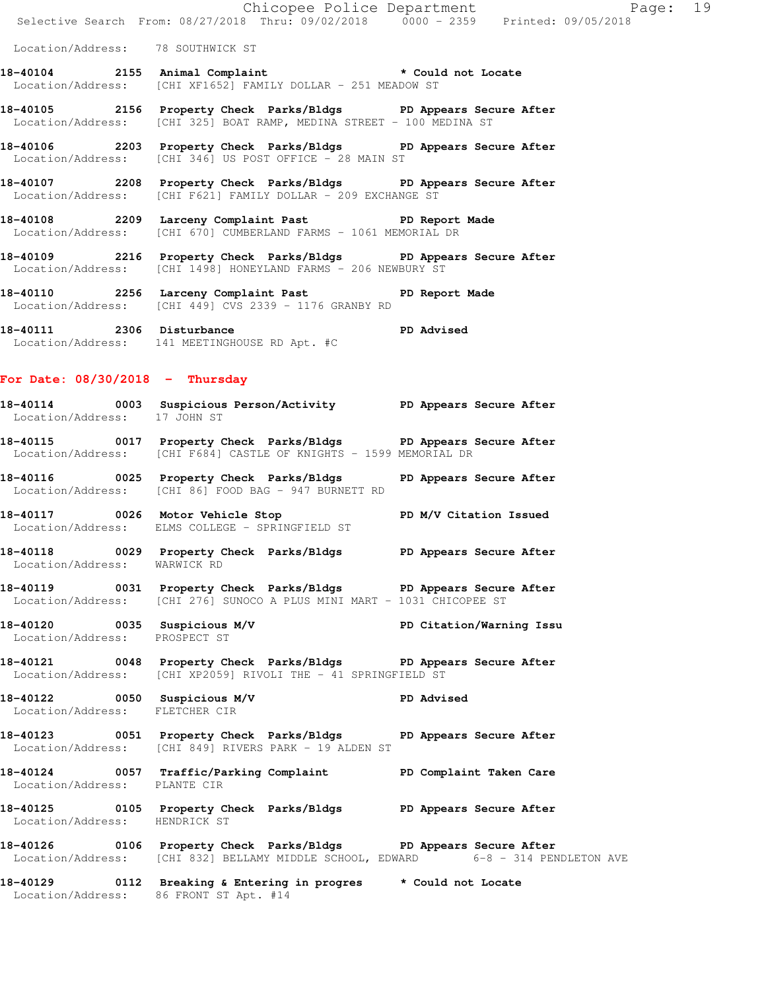| 18-40109 |                                   | 2216 Property Check Parks/Bldgs PD Appears Secure After                                                                                  |  |          |  |
|----------|-----------------------------------|------------------------------------------------------------------------------------------------------------------------------------------|--|----------|--|
|          |                                   | 18-40108 2209 Larceny Complaint Past PD Report Made<br>Location/Address: [CHI 670] CUMBERLAND FARMS - 1061 MEMORIAL DR                   |  |          |  |
|          |                                   | 18-40107 2208 Property Check Parks/Bldgs PD Appears Secure After<br>Location/Address: [CHI F621] FAMILY DOLLAR - 209 EXCHANGE ST         |  |          |  |
|          |                                   | 18-40106 2203 Property Check Parks/Bldgs PD Appears Secure After<br>Location/Address: [CHI 346] US POST OFFICE - 28 MAIN ST              |  |          |  |
|          |                                   | 18-40105 2156 Property Check Parks/Bldgs PD Appears Secure After<br>Location/Address: [CHI 325] BOAT RAMP, MEDINA STREET - 100 MEDINA ST |  |          |  |
|          |                                   | 18-40104 2155 Animal Complaint * Could not Locate<br>  Location/Address: [CHI XF1652] FAMILY DOLLAR - 251 MEADOW ST                      |  |          |  |
|          | Location/Address: 78 SOUTHWICK ST |                                                                                                                                          |  |          |  |
|          |                                   | Chicopee Police Department<br>Selective Search From: 08/27/2018 Thru: 09/02/2018 0000 - 2359 Printed: 09/05/2018                         |  | Page: 19 |  |

**18-40110 2256 Larceny Complaint Past PD Report Made**  Location/Address: [CHI 449] CVS 2339 - 1176 GRANBY RD

**18-40111 2306 Disturbance PD Advised**  Location/Address: 141 MEETINGHOUSE RD Apt. #C

Location/Address: [CHI 1498] HONEYLAND FARMS - 206 NEWBURY ST

### **For Date: 08/30/2018 - Thursday**

- **18-40114 0003 Suspicious Person/Activity PD Appears Secure After**  Location/Address: 17 JOHN ST
- **18-40115 0017 Property Check Parks/Bldgs PD Appears Secure After**  Location/Address: [CHI F684] CASTLE OF KNIGHTS - 1599 MEMORIAL DR
- **18-40116 0025 Property Check Parks/Bldgs PD Appears Secure After**  Location/Address: [CHI 86] FOOD BAG - 947 BURNETT RD
- **18-40117 0026 Motor Vehicle Stop PD M/V Citation Issued**  Location/Address: ELMS COLLEGE - SPRINGFIELD ST
- **18-40118 0029 Property Check Parks/Bldgs PD Appears Secure After**  Location/Address: WARWICK RD
- **18-40119 0031 Property Check Parks/Bldgs PD Appears Secure After**  Location/Address: [CHI 276] SUNOCO A PLUS MINI MART - 1031 CHICOPEE ST
- **18-40120 0035 Suspicious M/V PD Citation/Warning Issu**  Location/Address: PROSPECT ST
- **18-40121 0048 Property Check Parks/Bldgs PD Appears Secure After**  Location/Address: [CHI XP2059] RIVOLI THE - 41 SPRINGFIELD ST
- **18-40122 0050 Suspicious M/V PD Advised**  Location/Address: FLETCHER CIR
- **18-40123 0051 Property Check Parks/Bldgs PD Appears Secure After**  Location/Address: [CHI 849] RIVERS PARK - 19 ALDEN ST
- **18-40124 0057 Traffic/Parking Complaint PD Complaint Taken Care**  Location/Address: PLANTE CIR
- **18-40125 0105 Property Check Parks/Bldgs PD Appears Secure After**  Location/Address: HENDRICK ST
- 18-40126 0106 Property Check Parks/Bldgs PD Appears Secure After<br>Location/Address: [CHI 832] BELLAMY MIDDLE SCHOOL, EDWARD 6-8 314 PENDLETON AVE Location/Address: [CHI 832] BELLAMY MIDDLE SCHOOL, EDWARD
- **18-40129 0112 Breaking & Entering in progres \* Could not Locate**  Location/Address: 86 FRONT ST Apt. #14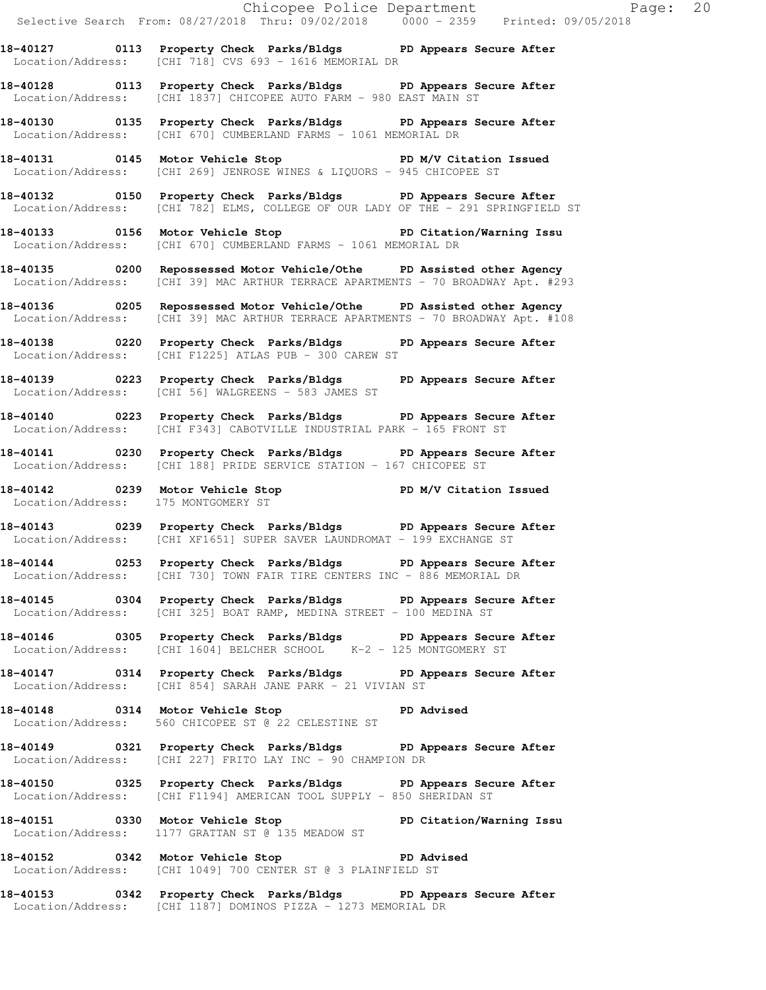**18-40127 0113 Property Check Parks/Bldgs PD Appears Secure After**  Location/Address: [CHI 718] CVS 693 - 1616 MEMORIAL DR

**18-40128 0113 Property Check Parks/Bldgs PD Appears Secure After**  Location/Address: [CHI 1837] CHICOPEE AUTO FARM - 980 EAST MAIN ST

**18-40130 0135 Property Check Parks/Bldgs PD Appears Secure After**  Location/Address: [CHI 670] CUMBERLAND FARMS - 1061 MEMORIAL DR

**18-40131 0145 Motor Vehicle Stop PD M/V Citation Issued**  Location/Address: [CHI 269] JENROSE WINES & LIQUORS - 945 CHICOPEE ST

**18-40132 0150 Property Check Parks/Bldgs PD Appears Secure After**  Location/Address: [CHI 782] ELMS, COLLEGE OF OUR LADY OF THE - 291 SPRINGFIELD ST

**18-40133 0156 Motor Vehicle Stop PD Citation/Warning Issu**  Location/Address: [CHI 670] CUMBERLAND FARMS - 1061 MEMORIAL DR

**18-40135 0200 Repossessed Motor Vehicle/Othe PD Assisted other Agency**  Location/Address: [CHI 39] MAC ARTHUR TERRACE APARTMENTS - 70 BROADWAY Apt. #293

**18-40136 0205 Repossessed Motor Vehicle/Othe PD Assisted other Agency**  Location/Address: [CHI 39] MAC ARTHUR TERRACE APARTMENTS - 70 BROADWAY Apt. #108

**18-40138 0220 Property Check Parks/Bldgs PD Appears Secure After**  Location/Address: [CHI F1225] ATLAS PUB - 300 CAREW ST

**18-40139 0223 Property Check Parks/Bldgs PD Appears Secure After**  Location/Address: [CHI 56] WALGREENS - 583 JAMES ST

**18-40140 0223 Property Check Parks/Bldgs PD Appears Secure After**  Location/Address: [CHI F343] CABOTVILLE INDUSTRIAL PARK - 165 FRONT ST

**18-40141 0230 Property Check Parks/Bldgs PD Appears Secure After**  Location/Address: [CHI 188] PRIDE SERVICE STATION - 167 CHICOPEE ST

**18-40142 0239 Motor Vehicle Stop PD M/V Citation Issued**  Location/Address: 175 MONTGOMERY ST

**18-40143 0239 Property Check Parks/Bldgs PD Appears Secure After**  Location/Address: [CHI XF1651] SUPER SAVER LAUNDROMAT - 199 EXCHANGE ST

**18-40144 0253 Property Check Parks/Bldgs PD Appears Secure After**  Location/Address: [CHI 730] TOWN FAIR TIRE CENTERS INC - 886 MEMORIAL DR

**18-40145 0304 Property Check Parks/Bldgs PD Appears Secure After**  Location/Address: [CHI 325] BOAT RAMP, MEDINA STREET - 100 MEDINA ST

**18-40146 0305 Property Check Parks/Bldgs PD Appears Secure After**  Location/Address: [CHI 1604] BELCHER SCHOOL K-2 - 125 MONTGOMERY ST

**18-40147 0314 Property Check Parks/Bldgs PD Appears Secure After**  Location/Address: [CHI 854] SARAH JANE PARK - 21 VIVIAN ST

**18-40148 0314 Motor Vehicle Stop PD Advised**  Location/Address: 560 CHICOPEE ST @ 22 CELESTINE ST

**18-40149 0321 Property Check Parks/Bldgs PD Appears Secure After**  Location/Address: [CHI 227] FRITO LAY INC - 90 CHAMPION DR

**18-40150 0325 Property Check Parks/Bldgs PD Appears Secure After**  Location/Address: [CHI F1194] AMERICAN TOOL SUPPLY - 850 SHERIDAN ST

**18-40151 0330 Motor Vehicle Stop PD Citation/Warning Issu**  Location/Address: 1177 GRATTAN ST @ 135 MEADOW ST

**18-40152 0342 Motor Vehicle Stop PD Advised**  Location/Address: [CHI 1049] 700 CENTER ST @ 3 PLAINFIELD ST

**18-40153 0342 Property Check Parks/Bldgs PD Appears Secure After**  Location/Address: [CHI 1187] DOMINOS PIZZA - 1273 MEMORIAL DR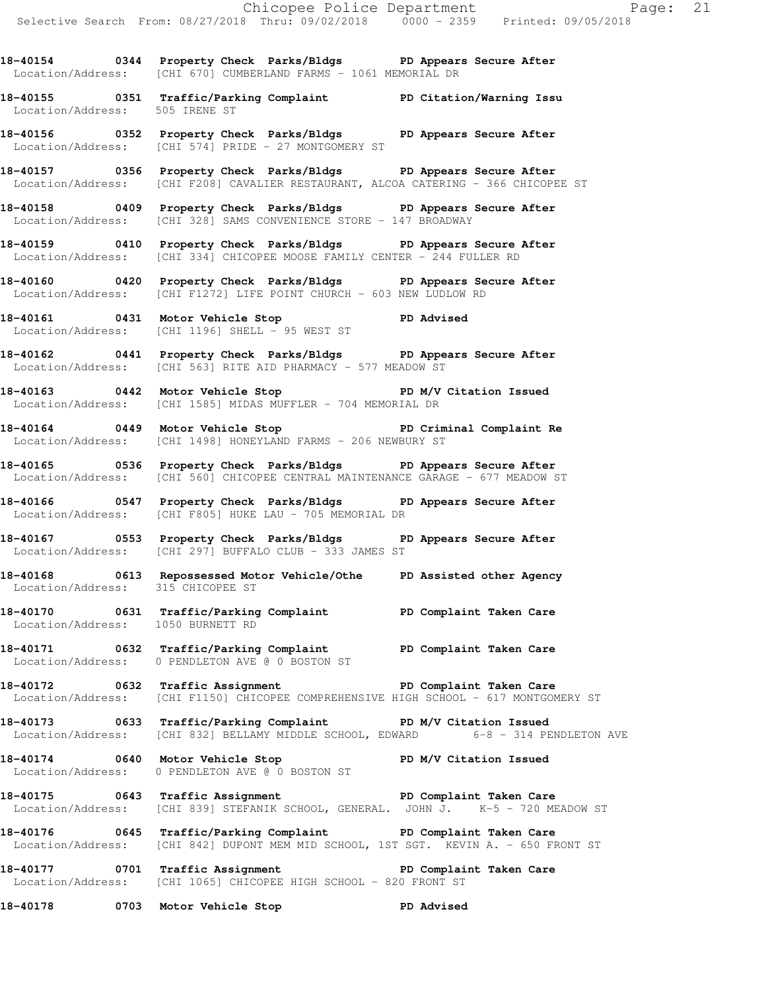**18-40154 0344 Property Check Parks/Bldgs PD Appears Secure After**  Location/Address: [CHI 670] CUMBERLAND FARMS - 1061 MEMORIAL DR

**18-40155 0351 Traffic/Parking Complaint PD Citation/Warning Issu**  Location/Address: 505 IRENE ST

**18-40156 0352 Property Check Parks/Bldgs PD Appears Secure After**  Location/Address: [CHI 574] PRIDE - 27 MONTGOMERY ST

**18-40157 0356 Property Check Parks/Bldgs PD Appears Secure After**  Location/Address: [CHI F208] CAVALIER RESTAURANT, ALCOA CATERING - 366 CHICOPEE ST

**18-40158 0409 Property Check Parks/Bldgs PD Appears Secure After**  Location/Address: [CHI 328] SAMS CONVENIENCE STORE - 147 BROADWAY

**18-40159 0410 Property Check Parks/Bldgs PD Appears Secure After**  Location/Address: [CHI 334] CHICOPEE MOOSE FAMILY CENTER - 244 FULLER RD

**18-40160 0420 Property Check Parks/Bldgs PD Appears Secure After**  Location/Address: [CHI F1272] LIFE POINT CHURCH - 603 NEW LUDLOW RD

**18-40161 0431 Motor Vehicle Stop PD Advised**  Location/Address: [CHI 1196] SHELL - 95 WEST ST

**18-40162 0441 Property Check Parks/Bldgs PD Appears Secure After**  Location/Address: [CHI 563] RITE AID PHARMACY - 577 MEADOW ST

**18-40163 0442 Motor Vehicle Stop PD M/V Citation Issued**  Location/Address: [CHI 1585] MIDAS MUFFLER - 704 MEMORIAL DR

**18-40164 0449 Motor Vehicle Stop PD Criminal Complaint Re**  Location/Address: [CHI 1498] HONEYLAND FARMS - 206 NEWBURY ST

**18-40165 0536 Property Check Parks/Bldgs PD Appears Secure After**  Location/Address: [CHI 560] CHICOPEE CENTRAL MAINTENANCE GARAGE - 677 MEADOW ST

**18-40166 0547 Property Check Parks/Bldgs PD Appears Secure After**  Location/Address: [CHI F805] HUKE LAU - 705 MEMORIAL DR

**18-40167 0553 Property Check Parks/Bldgs PD Appears Secure After**  Location/Address: [CHI 297] BUFFALO CLUB - 333 JAMES ST

**18-40168 0613 Repossessed Motor Vehicle/Othe PD Assisted other Agency**  Location/Address: 315 CHICOPEE ST

**18-40170 0631 Traffic/Parking Complaint PD Complaint Taken Care**  Location/Address: 1050 BURNETT RD

**18-40171 0632 Traffic/Parking Complaint PD Complaint Taken Care**  Location/Address: 0 PENDLETON AVE @ 0 BOSTON ST

**18-40172 0632 Traffic Assignment PD Complaint Taken Care**  Location/Address: [CHI F1150] CHICOPEE COMPREHENSIVE HIGH SCHOOL - 617 MONTGOMERY ST

**18-40173 0633 Traffic/Parking Complaint PD M/V Citation Issued**  Location/Address: [CHI 832] BELLAMY MIDDLE SCHOOL, EDWARD 6-8 - 314 PENDLETON AVE

**18-40174 0640 Motor Vehicle Stop PD M/V Citation Issued**  Location/Address: 0 PENDLETON AVE @ 0 BOSTON ST

**18-40175 0643 Traffic Assignment PD Complaint Taken Care**  Location/Address: [CHI 839] STEFANIK SCHOOL, GENERAL. JOHN J. K-5 - 720 MEADOW ST

**18-40176 0645 Traffic/Parking Complaint PD Complaint Taken Care**  Location/Address: [CHI 842] DUPONT MEM MID SCHOOL, 1ST SGT. KEVIN A. - 650 FRONT ST

**18-40177 0701 Traffic Assignment PD Complaint Taken Care**  Location/Address: [CHI 1065] CHICOPEE HIGH SCHOOL - 820 FRONT ST

**18-40178 0703 Motor Vehicle Stop PD Advised**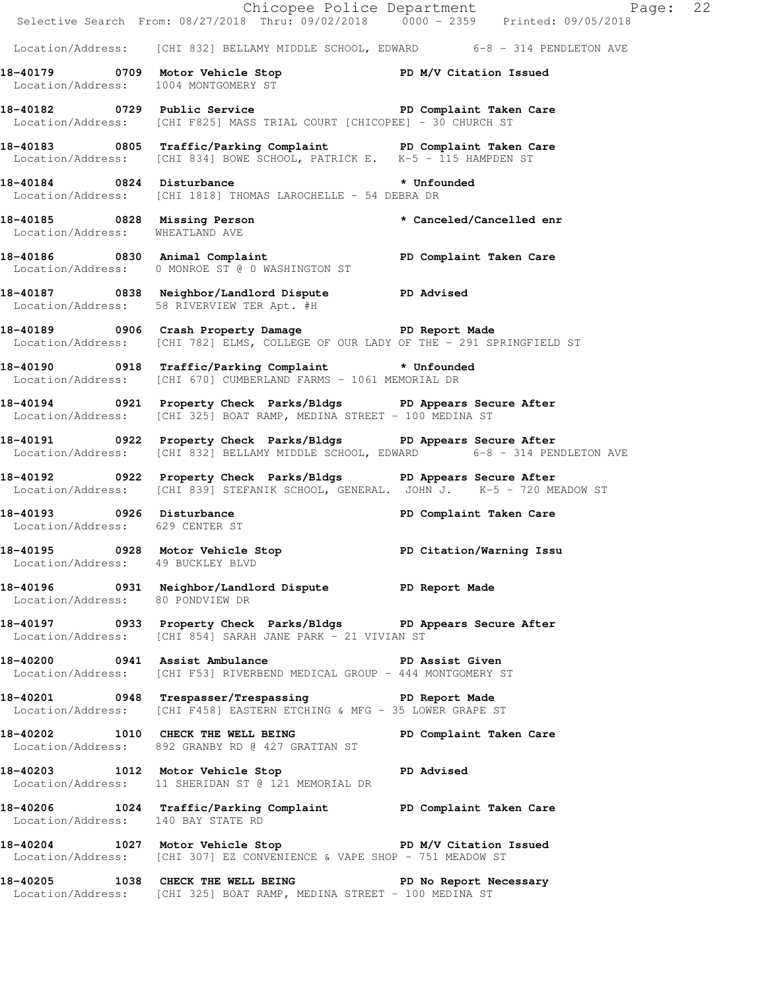|                                    |                                                                                                                                                             | Chicopee Police Department<br>Selective Search From: 08/27/2018 Thru: 09/02/2018 0000 - 2359 Printed: 09/05/2018 |
|------------------------------------|-------------------------------------------------------------------------------------------------------------------------------------------------------------|------------------------------------------------------------------------------------------------------------------|
|                                    | Location/Address: [CHI 832] BELLAMY MIDDLE SCHOOL, EDWARD 6-8 - 314 PENDLETON AVE                                                                           |                                                                                                                  |
|                                    | 18-40179   0709   Motor Vehicle Stop   PD M/V Citation Issued Location/Address:   1004   MONTGOMERY ST                                                      |                                                                                                                  |
|                                    | 18-40182 		 0729 Public Service 		 PD Complaint Taken Care<br>Location/Address: [CHI F825] MASS TRIAL COURT [CHICOPEE] - 30 CHURCH ST                       |                                                                                                                  |
|                                    | 18-40183 0805 Traffic/Parking Complaint PD Complaint Taken Care<br>Location/Address: [CHI 834] BOWE SCHOOL, PATRICK E. K-5 - 115 HAMPDEN ST                 |                                                                                                                  |
|                                    | 18-40184  0824  Disturbance    * Unfounded<br>Location/Address: [CHI 1818] THOMAS LAROCHELLE - 54 DEBRA DR                                                  |                                                                                                                  |
| Location/Address: WHEATLAND AVE    | 18-40185 0828 Missing Person                                                                                                                                | * Canceled/Cancelled enr                                                                                         |
|                                    | 18-40186   0830   Animal Complaint<br>Location/Address:   0 MONROE ST @ 0 WASHINGTON ST    Q    COMPLAINT   PD Complaint Taken Care                         |                                                                                                                  |
|                                    | 18-40187 0838 Neighbor/Landlord Dispute PD Advised<br>Location/Address: 58 RIVERVIEW TER Apt. #H                                                            |                                                                                                                  |
|                                    | 18-40189 0906 Crash Property Damage PD Report Made<br>Location/Address: [CHI 782] ELMS, COLLEGE OF OUR LADY OF THE - 291 SPRINGFIELD ST                     |                                                                                                                  |
|                                    | 18-40190 0918 Traffic/Parking Complaint * Unfounded<br>Location/Address: [CHI 670] CUMBERLAND FARMS - 1061 MEMORIAL DR                                      |                                                                                                                  |
|                                    | 18-40194 0921 Property Check Parks/Bldgs PD Appears Secure After<br>Location/Address: [CHI 325] BOAT RAMP, MEDINA STREET - 100 MEDINA ST                    |                                                                                                                  |
|                                    | 18-40191 0922 Property Check Parks/Bldgs PD Appears Secure After<br>Location/Address: [CHI 832] BELLAMY MIDDLE SCHOOL, EDWARD 6-8 - 314 PENDLETON AVE       |                                                                                                                  |
|                                    | 18-40192 		 0922 Property Check Parks/Bldgs 		 PD Appears Secure After<br>Location/Address: [CHI 839] STEFANIK SCHOOL, GENERAL. JOHN J. K-5 - 720 MEADOW ST |                                                                                                                  |
| Location/Address: 629 CENTER ST    | 18-40193 0926 Disturbance                                                                                                                                   | PD Complaint Taken Care                                                                                          |
|                                    | 18-40195 0928 Motor Vehicle Stop 5 PD Citation/Warning Issu<br>Location/Address: 49 BUCKLEY BLVD                                                            |                                                                                                                  |
| Location/Address: 80 PONDVIEW DR   | 18-40196 		 0931 Neighbor/Landlord Dispute 		 PD Report Made                                                                                                |                                                                                                                  |
|                                    | 18-40197 0933 Property Check Parks/Bldgs PD Appears Secure After<br>Location/Address: [CHI 854] SARAH JANE PARK - 21 VIVIAN ST                              |                                                                                                                  |
|                                    | 18-40200 0941 Assist Ambulance No PD Assist Given<br>Location/Address: [CHI F53] RIVERBEND MEDICAL GROUP - 444 MONTGOMERY ST                                |                                                                                                                  |
|                                    | 18-40201 0948 Trespasser/Trespassing PD Report Made<br>Location/Address: [CHI F458] EASTERN ETCHING & MFG - 35 LOWER GRAPE ST                               |                                                                                                                  |
|                                    | 18-40202 1010 CHECK THE WELL BEING PD Complaint Taken Care<br>Location/Address: 892 GRANBY RD @ 427 GRATTAN ST                                              |                                                                                                                  |
|                                    | 18-40203 1012 Motor Vehicle Stop 30 PD Advised<br>Location/Address: 11 SHERIDAN ST @ 121 MEMORIAL DR                                                        |                                                                                                                  |
| Location/Address: 140 BAY STATE RD | 18-40206 1024 Traffic/Parking Complaint PD Complaint Taken Care                                                                                             |                                                                                                                  |
|                                    | 18-40204 1027 Motor Vehicle Stop 50 PD M/V Citation Issued<br>Location/Address: [CHI 307] EZ CONVENIENCE & VAPE SHOP - 751 MEADOW ST                        |                                                                                                                  |
|                                    | 18-40205 1038 CHECK THE WELL BEING PD No Report Necessary<br>Location/Address: [CHI 325] BOAT RAMP, MEDINA STREET - 100 MEDINA ST                           |                                                                                                                  |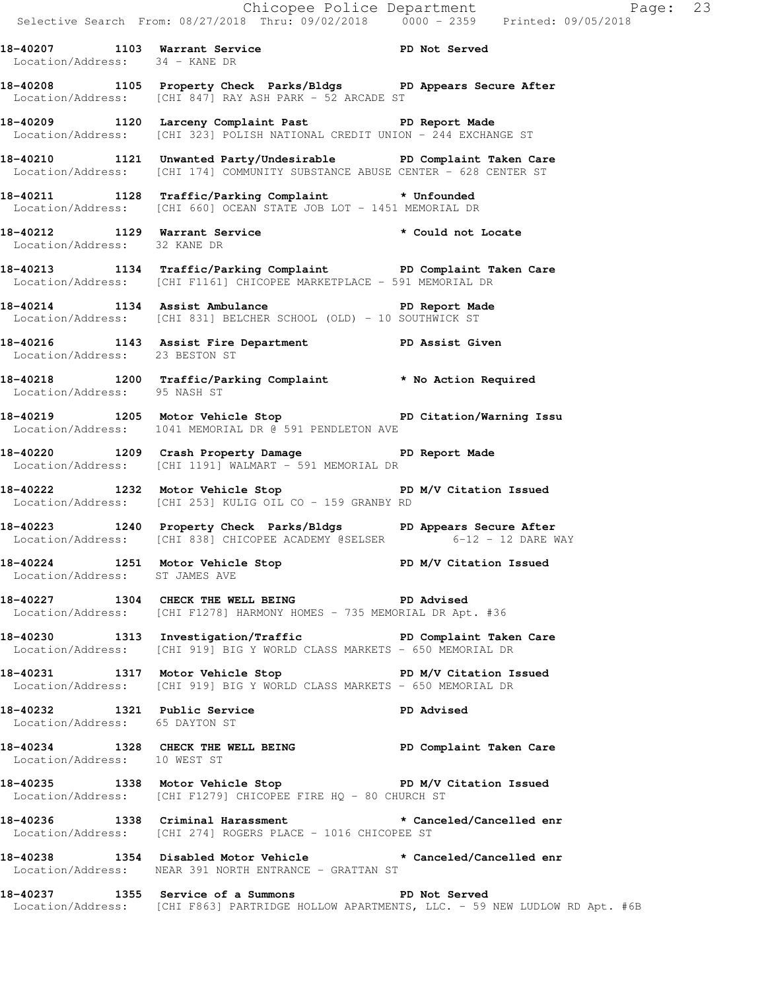|                                |                                                                                                                                                  | Page: 23 |
|--------------------------------|--------------------------------------------------------------------------------------------------------------------------------------------------|----------|
|                                |                                                                                                                                                  |          |
| Location/Address: 34 - KANE DR | 18-40207 1103 Warrant Service New PD Not Served                                                                                                  |          |
|                                | 18-40208 1105 Property Check Parks/Bldgs PD Appears Secure After<br>Location/Address: [CHI 847] RAY ASH PARK - 52 ARCADE ST                      |          |
|                                | 18-40209 1120 Larceny Complaint Past ND Report Made<br>Location/Address: [CHI 323] POLISH NATIONAL CREDIT UNION - 244 EXCHANGE ST                |          |
|                                | 18-40210 1121 Unwanted Party/Undesirable PD Complaint Taken Care<br>Location/Address: [CHI 174] COMMUNITY SUBSTANCE ABUSE CENTER - 628 CENTER ST |          |
|                                | 18-40211 1128 Traffic/Parking Complaint * Unfounded<br>Location/Address: [CHI 660] OCEAN STATE JOB LOT - 1451 MEMORIAL DR                        |          |
| Location/Address: 32 KANE DR   | 18-40212 1129 Warrant Service <b>120 and 18-40212</b> 1229 Marrant Service                                                                       |          |
|                                | 18-40213 1134 Traffic/Parking Complaint PD Complaint Taken Care<br>Location/Address: [CHI F1161] CHICOPEE MARKETPLACE - 591 MEMORIAL DR          |          |
|                                | 18-40214 1134 Assist Ambulance No PD Report Made<br>Location/Address: [CHI 831] BELCHER SCHOOL (OLD) - 10 SOUTHWICK ST                           |          |

**18-40216 1143 Assist Fire Department PD Assist Given**  Location/Address: 23 BESTON ST

**18-40218 1200 Traffic/Parking Complaint \* No Action Required**  Location/Address: 95 NASH ST

**18-40219 1205 Motor Vehicle Stop PD Citation/Warning Issu**  Location/Address: 1041 MEMORIAL DR @ 591 PENDLETON AVE

**18-40220 1209 Crash Property Damage PD Report Made**  Location/Address: [CHI 1191] WALMART - 591 MEMORIAL DR

18-40222 1232 Motor Vehicle Stop **PD M/V Citation Issued** Location/Address: [CHI 253] KULIG OIL CO - 159 GRANBY RD

**18-40223 1240 Property Check Parks/Bldgs PD Appears Secure After**  Location/Address: [CHI 838] CHICOPEE ACADEMY @SELSER 6-12 - 12 DARE WAY

18-40224 1251 Motor Vehicle Stop **PD M/V Citation Issued** Location/Address: ST JAMES AVE

**18-40227 1304 CHECK THE WELL BEING PD Advised**  Location/Address: [CHI F1278] HARMONY HOMES - 735 MEMORIAL DR Apt. #36

**18-40230 1313 Investigation/Traffic PD Complaint Taken Care**  Location/Address: [CHI 919] BIG Y WORLD CLASS MARKETS - 650 MEMORIAL DR

18-40231 1317 Motor Vehicle Stop **PD M/V Citation Issued** Location/Address: [CHI 919] BIG Y WORLD CLASS MARKETS - 650 MEMORIAL DR

**18-40232 1321 Public Service PD Advised**  Location/Address: 65 DAYTON ST

**18-40234 1328 CHECK THE WELL BEING PD Complaint Taken Care**  Location/Address: 10 WEST ST

**18-40235 1338 Motor Vehicle Stop PD M/V Citation Issued**  Location/Address: [CHI F1279] CHICOPEE FIRE HQ - 80 CHURCH ST

**18-40236 1338 Criminal Harassment \* Canceled/Cancelled enr**  Location/Address: [CHI 274] ROGERS PLACE - 1016 CHICOPEE ST

**18-40238 1354 Disabled Motor Vehicle \* Canceled/Cancelled enr**  Location/Address: NEAR 391 NORTH ENTRANCE - GRATTAN ST

**18-40237 1355 Service of a Summons PD Not Served**  Location/Address: [CHI F863] PARTRIDGE HOLLOW APARTMENTS, LLC. - 59 NEW LUDLOW RD Apt. #6B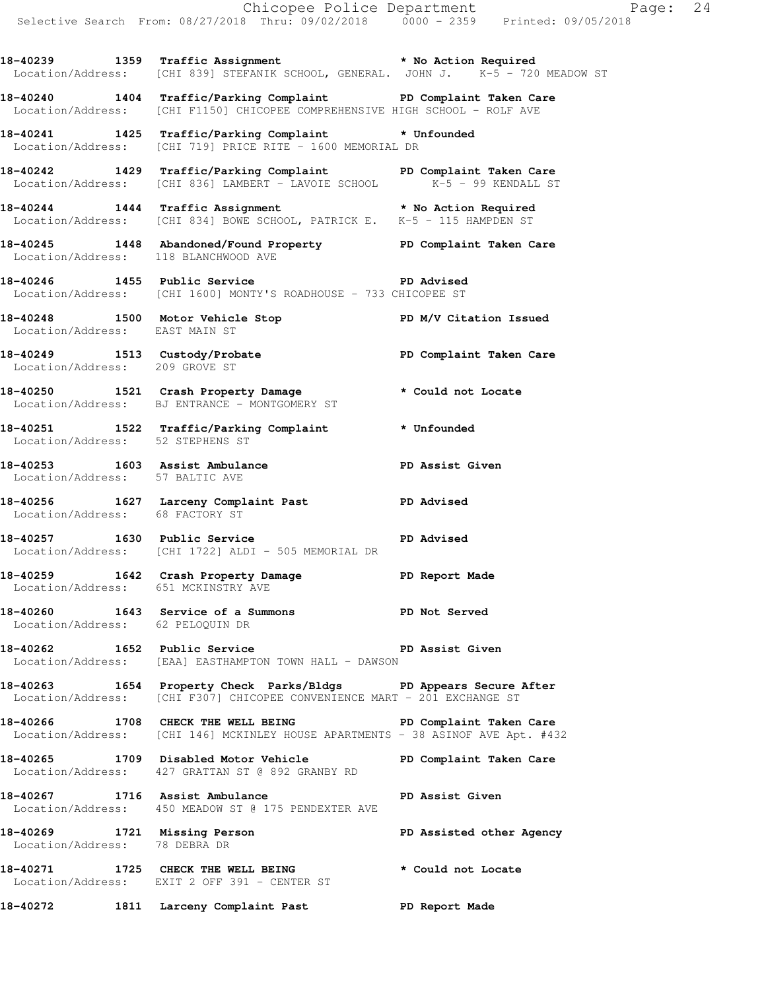**18-40239 1359 Traffic Assignment \* No Action Required**  Location/Address: [CHI 839] STEFANIK SCHOOL, GENERAL. JOHN J. K-5 - 720 MEADOW ST

**18-40240 1404 Traffic/Parking Complaint PD Complaint Taken Care**  Location/Address: [CHI F1150] CHICOPEE COMPREHENSIVE HIGH SCHOOL - ROLF AVE

**18-40241 1425 Traffic/Parking Complaint \* Unfounded**  Location/Address: [CHI 719] PRICE RITE - 1600 MEMORIAL DR

**18-40242 1429 Traffic/Parking Complaint PD Complaint Taken Care**  Location/Address: [CHI 836] LAMBERT - LAVOIE SCHOOL K-5 - 99 KENDALL ST

**18-40244 1444 Traffic Assignment \* No Action Required**  Location/Address: [CHI 834] BOWE SCHOOL, PATRICK E. K-5 - 115 HAMPDEN ST

**18-40245 1448 Abandoned/Found Property PD Complaint Taken Care**  Location/Address: 118 BLANCHWOOD AVE

**18-40246 1455 Public Service PD Advised**  Location/Address: [CHI 1600] MONTY'S ROADHOUSE - 733 CHICOPEE ST

**18-40248 1500 Motor Vehicle Stop PD M/V Citation Issued**  Location/Address: EAST MAIN ST

**18-40249 1513 Custody/Probate PD Complaint Taken Care**  Location/Address: 209 GROVE ST

**18-40250 1521 Crash Property Damage \* Could not Locate**  Location/Address: BJ ENTRANCE - MONTGOMERY ST

**18-40251 1522 Traffic/Parking Complaint \* Unfounded**  Location/Address: 52 STEPHENS ST

**18-40253 1603 Assist Ambulance PD Assist Given**  Location/Address: 57 BALTIC AVE

18-40256 1627 Larceny Complaint Past **PD** Advised Location/Address: 68 FACTORY ST

**18-40257 1630 Public Service PD Advised**  Location/Address: [CHI 1722] ALDI - 505 MEMORIAL DR

**18-40259 1642 Crash Property Damage PD Report Made**  Location/Address: 651 MCKINSTRY AVE

**18-40260 1643 Service of a Summons PD Not Served**  Location/Address: 62 PELOQUIN DR

**18-40262 1652 Public Service PD Assist Given**  Location/Address: [EAA] EASTHAMPTON TOWN HALL - DAWSON

**18-40263 1654 Property Check Parks/Bldgs PD Appears Secure After**  Location/Address: [CHI F307] CHICOPEE CONVENIENCE MART - 201 EXCHANGE ST

18-40266 1708 CHECK THE WELL BEING **PD Complaint Taken Care** Location/Address: [CHI 146] MCKINLEY HOUSE APARTMENTS - 38 ASINOF AVE Apt. #432

**18-40265 1709 Disabled Motor Vehicle PD Complaint Taken Care**  Location/Address: 427 GRATTAN ST @ 892 GRANBY RD

**18-40267 1716 Assist Ambulance PD Assist Given**  Location/Address: 450 MEADOW ST @ 175 PENDEXTER AVE

18-40269 1721 Missing Person **PD Assisted other Agency**  Location/Address: 78 DEBRA DR **18-40271 1725 CHECK THE WELL BEING \* Could not Locate** 

Location/Address: EXIT 2 OFF 391 - CENTER ST

**18-40272 1811 Larceny Complaint Past PD Report Made**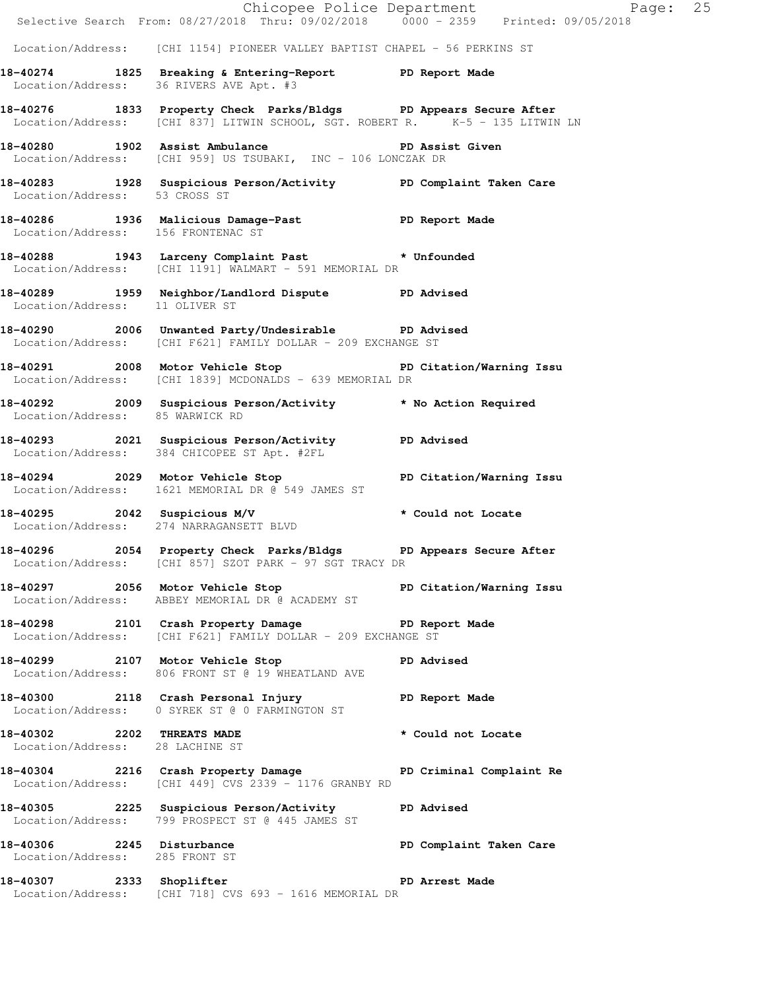|                                                               |                                                                                                                                                   | Chicopee Police Department<br>Selective Search From: 08/27/2018 Thru: 09/02/2018 0000 - 2359 Printed: 09/05/2018 |  |
|---------------------------------------------------------------|---------------------------------------------------------------------------------------------------------------------------------------------------|------------------------------------------------------------------------------------------------------------------|--|
|                                                               |                                                                                                                                                   |                                                                                                                  |  |
|                                                               | Location/Address: [CHI 1154] PIONEER VALLEY BAPTIST CHAPEL - 56 PERKINS ST                                                                        |                                                                                                                  |  |
|                                                               | 18-40274 1825 Breaking & Entering-Report PD Report Made<br>Location/Address: 36 RIVERS AVE Apt. #3                                                |                                                                                                                  |  |
|                                                               | 18-40276 1833 Property Check Parks/Bldgs PD Appears Secure After<br>Location/Address: [CHI 837] LITWIN SCHOOL, SGT. ROBERT R. K-5 - 135 LITWIN LN |                                                                                                                  |  |
|                                                               | 18-40280 1902 Assist Ambulance<br>Location/Address: [CHI 959] US TSUBAKI, INC - 106 LONCZAK DR                                                    | PD Assist Given                                                                                                  |  |
| Location/Address: 53 CROSS ST                                 | 18-40283 1928 Suspicious Person/Activity PD Complaint Taken Care                                                                                  |                                                                                                                  |  |
|                                                               | 18-40286 1936 Malicious Damage-Past PD Report Made<br>Location/Address: 156 FRONTENAC ST                                                          |                                                                                                                  |  |
|                                                               | 18-40288 1943 Larceny Complaint Past * Unfounded<br>Location/Address: [CHI 1191] WALMART - 591 MEMORIAL DR                                        |                                                                                                                  |  |
| Location/Address: 11 OLIVER ST                                | 18-40289 1959 Neighbor/Landlord Dispute PD Advised                                                                                                |                                                                                                                  |  |
|                                                               | 18-40290 2006 Unwanted Party/Undesirable PD Advised<br>Location/Address: [CHI F621] FAMILY DOLLAR - 209 EXCHANGE ST                               |                                                                                                                  |  |
|                                                               | 18-40291 2008 Motor Vehicle Stop PD Citation/Warning Issu<br>Location/Address: [CHI 1839] MCDONALDS - 639 MEMORIAL DR                             |                                                                                                                  |  |
| Location/Address: 85 WARWICK RD                               | 18-40292 2009 Suspicious Person/Activity * No Action Required                                                                                     |                                                                                                                  |  |
|                                                               | 18-40293 2021 Suspicious Person/Activity PD Advised<br>Location/Address: 384 CHICOPEE ST Apt. #2FL                                                |                                                                                                                  |  |
|                                                               | 18-40294 2029 Motor Vehicle Stop North PD Citation/Warning Issu<br>Location/Address: 1621 MEMORIAL DR @ 549 JAMES ST                              |                                                                                                                  |  |
|                                                               | 18-40295 2042 Suspicious M/V * Could not Locate<br>Location/Address: 274 NARRAGANSETT BLVD                                                        |                                                                                                                  |  |
|                                                               | 18-40296 2054 Property Check Parks/Bldgs PD Appears Secure After<br>Location/Address: [CHI 857] SZOT PARK - 97 SGT TRACY DR                       |                                                                                                                  |  |
|                                                               | 18-40297 18-40297 2056 Motor Vehicle Stop 18 PD Citation/Warning Issu<br>Location/Address: ABBEY MEMORIAL DR @ ACADEMY ST                         |                                                                                                                  |  |
|                                                               | 18-40298 2101 Crash Property Damage PD Report Made<br>Location/Address: [CHI F621] FAMILY DOLLAR - 209 EXCHANGE ST                                |                                                                                                                  |  |
|                                                               | 18-40299 2107 Motor Vehicle Stop 50 PD Advised<br>Location/Address: 806 FRONT ST @ 19 WHEATLAND AVE                                               |                                                                                                                  |  |
|                                                               | 18-40300 2118 Crash Personal Injury<br>Location/Address: 0 SYREK ST @ 0 FARMINGTON ST                                                             | PD Report Made                                                                                                   |  |
| 18-40302 2202 THREATS MADE<br>Location/Address: 28 LACHINE ST |                                                                                                                                                   | * Could not Locate                                                                                               |  |
|                                                               | 18-40304 2216 Crash Property Damage PD Criminal Complaint Re<br>Location/Address: [CHI 449] CVS 2339 - 1176 GRANBY RD                             |                                                                                                                  |  |
|                                                               | 18-40305 2225 Suspicious Person/Activity PD Advised<br>Location/Address: 799 PROSPECT ST @ 445 JAMES ST                                           |                                                                                                                  |  |
| 18-40306 2245 Disturbance<br>Location/Address: 285 FRONT ST   |                                                                                                                                                   | PD Complaint Taken Care                                                                                          |  |
|                                                               | 18-40307 2333 Shoplifter 2008 PD Arrest Made<br>Location/Address: [CHI 718] CVS 693 - 1616 MEMORIAL DR                                            |                                                                                                                  |  |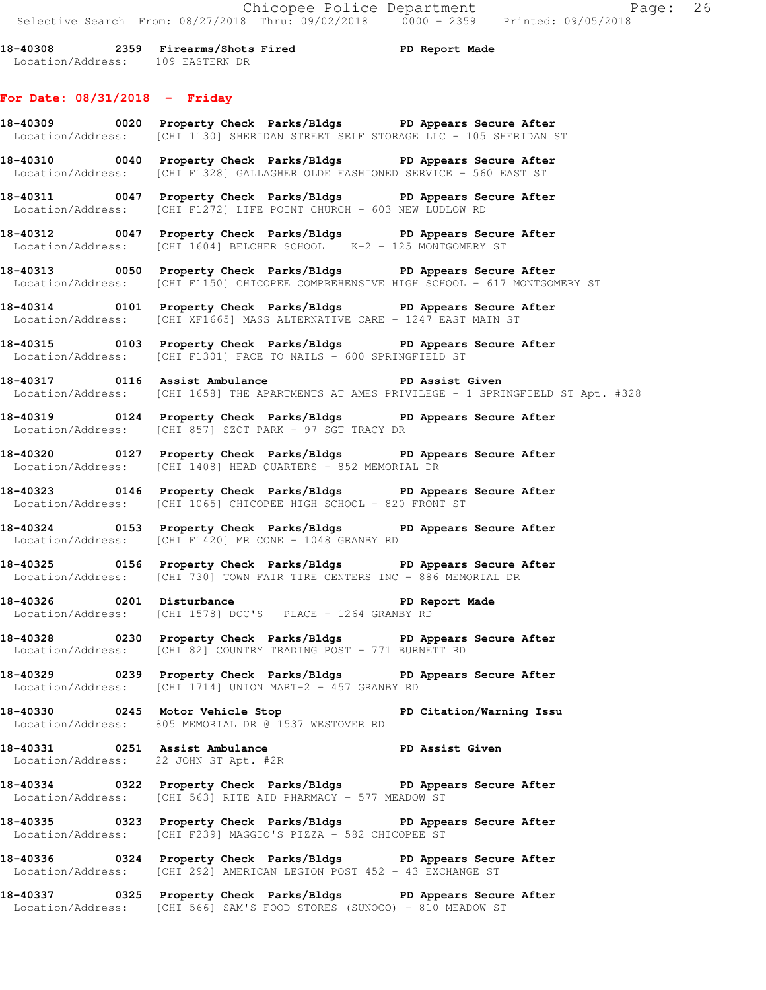**18-40308 2359 Firearms/Shots Fired PD Report Made**  Location/Address: 109 EASTERN DR

### **For Date: 08/31/2018 - Friday**

- **18-40309 0020 Property Check Parks/Bldgs PD Appears Secure After**  Location/Address: [CHI 1130] SHERIDAN STREET SELF STORAGE LLC - 105 SHERIDAN ST **18-40310 0040 Property Check Parks/Bldgs PD Appears Secure After**
- Location/Address: [CHI F1328] GALLAGHER OLDE FASHIONED SERVICE 560 EAST ST
- **18-40311 0047 Property Check Parks/Bldgs PD Appears Secure After**  Location/Address: [CHI F1272] LIFE POINT CHURCH - 603 NEW LUDLOW RD
- **18-40312 0047 Property Check Parks/Bldgs PD Appears Secure After**  Location/Address: [CHI 1604] BELCHER SCHOOL K-2 - 125 MONTGOMERY ST
- **18-40313 0050 Property Check Parks/Bldgs PD Appears Secure After**  Location/Address: [CHI F1150] CHICOPEE COMPREHENSIVE HIGH SCHOOL - 617 MONTGOMERY ST
- **18-40314 0101 Property Check Parks/Bldgs PD Appears Secure After**  Location/Address: [CHI XF1665] MASS ALTERNATIVE CARE - 1247 EAST MAIN ST
- **18-40315 0103 Property Check Parks/Bldgs PD Appears Secure After**  Location/Address: [CHI F1301] FACE TO NAILS - 600 SPRINGFIELD ST
- **18-40317 0116 Assist Ambulance PD Assist Given**  Location/Address: [CHI 1658] THE APARTMENTS AT AMES PRIVILEGE - 1 SPRINGFIELD ST Apt. #328
- **18-40319 0124 Property Check Parks/Bldgs PD Appears Secure After**  Location/Address: [CHI 857] SZOT PARK - 97 SGT TRACY DR
- **18-40320 0127 Property Check Parks/Bldgs PD Appears Secure After**  Location/Address: [CHI 1408] HEAD QUARTERS - 852 MEMORIAL DR
- **18-40323 0146 Property Check Parks/Bldgs PD Appears Secure After**  Location/Address: [CHI 1065] CHICOPEE HIGH SCHOOL - 820 FRONT ST
- **18-40324 0153 Property Check Parks/Bldgs PD Appears Secure After**  Location/Address: [CHI F1420] MR CONE - 1048 GRANBY RD
- **18-40325 0156 Property Check Parks/Bldgs PD Appears Secure After**  Location/Address: [CHI 730] TOWN FAIR TIRE CENTERS INC - 886 MEMORIAL DR
- **18-40326 0201 Disturbance PD Report Made**  Location/Address: [CHI 1578] DOC'S PLACE - 1264 GRANBY RD
- **18-40328 0230 Property Check Parks/Bldgs PD Appears Secure After**  Location/Address: [CHI 82] COUNTRY TRADING POST - 771 BURNETT RD
- **18-40329 0239 Property Check Parks/Bldgs PD Appears Secure After**  Location/Address: [CHI 1714] UNION MART-2 - 457 GRANBY RD
- **18-40330 0245 Motor Vehicle Stop PD Citation/Warning Issu**  Location/Address: 805 MEMORIAL DR @ 1537 WESTOVER RD
- **18-40331 0251 Assist Ambulance PD Assist Given**  Location/Address: 22 JOHN ST Apt. #2R
- **18-40334 0322 Property Check Parks/Bldgs PD Appears Secure After**  Location/Address: [CHI 563] RITE AID PHARMACY - 577 MEADOW ST
- **18-40335 0323 Property Check Parks/Bldgs PD Appears Secure After**  Location/Address: [CHI F239] MAGGIO'S PIZZA - 582 CHICOPEE ST
- **18-40336 0324 Property Check Parks/Bldgs PD Appears Secure After**  Location/Address: [CHI 292] AMERICAN LEGION POST 452 - 43 EXCHANGE ST
- **18-40337 0325 Property Check Parks/Bldgs PD Appears Secure After**  Location/Address: [CHI 566] SAM'S FOOD STORES (SUNOCO) - 810 MEADOW ST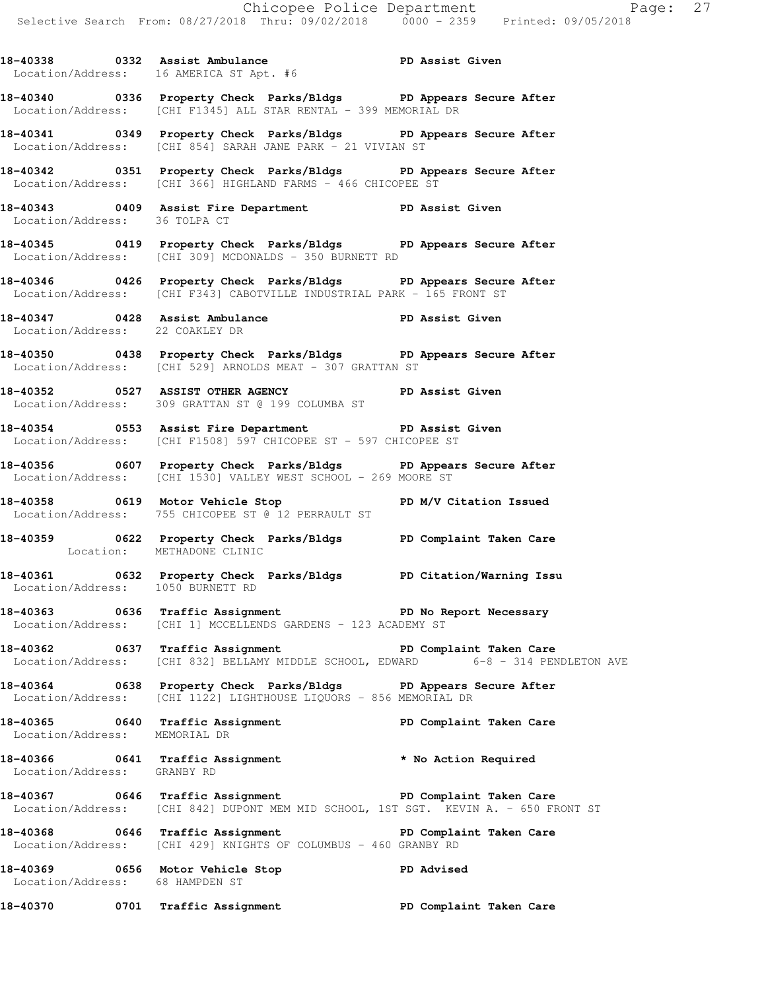**18-40338 0332 Assist Ambulance PD Assist Given**  Location/Address: 16 AMERICA ST Apt. #6

- **18-40340 0336 Property Check Parks/Bldgs PD Appears Secure After**  Location/Address: [CHI F1345] ALL STAR RENTAL - 399 MEMORIAL DR
- **18-40341 0349 Property Check Parks/Bldgs PD Appears Secure After**  Location/Address: [CHI 854] SARAH JANE PARK - 21 VIVIAN ST
- **18-40342 0351 Property Check Parks/Bldgs PD Appears Secure After**  Location/Address: [CHI 366] HIGHLAND FARMS - 466 CHICOPEE ST
- **18-40343 0409 Assist Fire Department PD Assist Given**  Location/Address: 36 TOLPA CT
- **18-40345 0419 Property Check Parks/Bldgs PD Appears Secure After**  Location/Address: [CHI 309] MCDONALDS - 350 BURNETT RD
- **18-40346 0426 Property Check Parks/Bldgs PD Appears Secure After**  Location/Address: [CHI F343] CABOTVILLE INDUSTRIAL PARK - 165 FRONT ST
- **18-40347 0428 Assist Ambulance PD Assist Given**  Location/Address: 22 COAKLEY DR
- **18-40350 0438 Property Check Parks/Bldgs PD Appears Secure After**  Location/Address: [CHI 529] ARNOLDS MEAT - 307 GRATTAN ST
- **18-40352 0527 ASSIST OTHER AGENCY PD Assist Given**  Location/Address: 309 GRATTAN ST @ 199 COLUMBA ST
- **18-40354 0553 Assist Fire Department PD Assist Given**  Location/Address: [CHI F1508] 597 CHICOPEE ST - 597 CHICOPEE ST
- **18-40356 0607 Property Check Parks/Bldgs PD Appears Secure After**  Location/Address: [CHI 1530] VALLEY WEST SCHOOL - 269 MOORE ST
- **18-40358 0619 Motor Vehicle Stop PD M/V Citation Issued**  Location/Address: 755 CHICOPEE ST @ 12 PERRAULT ST
- **18-40359 0622 Property Check Parks/Bldgs PD Complaint Taken Care**  Location: METHADONE CLINIC
- **18-40361 0632 Property Check Parks/Bldgs PD Citation/Warning Issu**  Location/Address: 1050 BURNETT RD
- **18-40363 0636 Traffic Assignment PD No Report Necessary**  Location/Address: [CHI 1] MCCELLENDS GARDENS - 123 ACADEMY ST
- **18-40362 0637 Traffic Assignment PD Complaint Taken Care**  Location/Address: [CHI 832] BELLAMY MIDDLE SCHOOL, EDWARD 6-8 - 314 PENDLETON AVE
- **18-40364 0638 Property Check Parks/Bldgs PD Appears Secure After**  Location/Address: [CHI 1122] LIGHTHOUSE LIQUORS - 856 MEMORIAL DR
- **18-40365 0640 Traffic Assignment PD Complaint Taken Care**  Location/Address: MEMORIAL DR
- **18-40366 0641 Traffic Assignment \* No Action Required**  Location/Address: GRANBY RD
- **18-40367 0646 Traffic Assignment PD Complaint Taken Care**  Location/Address: [CHI 842] DUPONT MEM MID SCHOOL, 1ST SGT. KEVIN A. - 650 FRONT ST
- 18-40368 **18-40368** 0646 Traffic Assignment **PD Complaint Taken Care** Location/Address: [CHI 429] KNIGHTS OF COLUMBUS - 460 GRANBY RD
- **18-40369 0656 Motor Vehicle Stop PD Advised**  Location/Address: 68 HAMPDEN ST
- **18-40370 0701 Traffic Assignment PD Complaint Taken Care**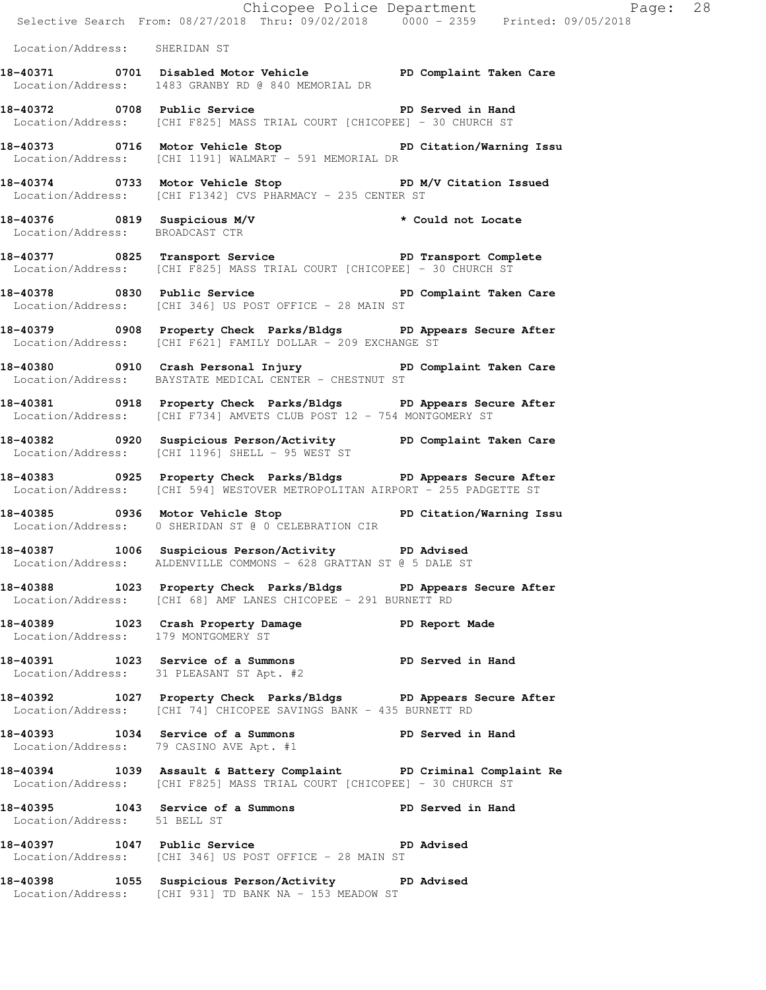|                               |                                                                                                                                                 | Chicopee Police Department<br>Selective Search From: 08/27/2018 Thru: 09/02/2018 0000 - 2359 Printed: 09/05/2018 |
|-------------------------------|-------------------------------------------------------------------------------------------------------------------------------------------------|------------------------------------------------------------------------------------------------------------------|
| Location/Address: SHERIDAN ST |                                                                                                                                                 |                                                                                                                  |
|                               | 18-40371 0701 Disabled Motor Vehicle PD Complaint Taken Care<br>Location/Address: 1483 GRANBY RD @ 840 MEMORIAL DR                              |                                                                                                                  |
|                               | 18-40372 0708 Public Service 20 PD Served in Hand<br>Location/Address: [CHI F825] MASS TRIAL COURT [CHICOPEE] - 30 CHURCH ST                    |                                                                                                                  |
|                               | 18-40373 0716 Motor Vehicle Stop North PD Citation/Warning Issu<br>Location/Address: [CHI 1191] WALMART - 591 MEMORIAL DR                       |                                                                                                                  |
|                               | 18-40374 0733 Motor Vehicle Stop N/V Citation Issued<br>Location/Address: [CHI F1342] CVS PHARMACY - 235 CENTER ST                              |                                                                                                                  |
|                               | 18-40376 0819 Suspicious M/V<br>Location/Address: BROADCAST CTR                                                                                 | * Could not Locate                                                                                               |
|                               | 18-40377 0825 Transport Service PD Transport Complete<br>Location/Address: [CHI F825] MASS TRIAL COURT [CHICOPEE] - 30 CHURCH ST                |                                                                                                                  |
|                               | 18-40378 0830 Public Service <b>18-40378</b> PD Complaint Taken Care<br>Location/Address: [CHI 346] US POST OFFICE - 28 MAIN ST                 |                                                                                                                  |
|                               | 18-40379 0908 Property Check Parks/Bldgs PD Appears Secure After<br>Location/Address: [CHI F621] FAMILY DOLLAR - 209 EXCHANGE ST                |                                                                                                                  |
|                               | 18-40380 0910 Crash Personal Injury PD Complaint Taken Care<br>Location/Address: BAYSTATE MEDICAL CENTER - CHESTNUT ST                          |                                                                                                                  |
|                               | 18-40381 0918 Property Check Parks/Bldgs PD Appears Secure After<br>Location/Address: [CHI F734] AMVETS CLUB POST 12 - 754 MONTGOMERY ST        |                                                                                                                  |
|                               | 18-40382 		 0920 Suspicious Person/Activity 		 PD Complaint Taken Care<br>Location/Address: [CHI 1196] SHELL - 95 WEST ST                       |                                                                                                                  |
|                               | 18-40383 0925 Property Check Parks/Bldgs PD Appears Secure After<br>Location/Address: [CHI 594] WESTOVER METROPOLITAN AIRPORT - 255 PADGETTE ST |                                                                                                                  |
|                               | 18-40385 0936 Motor Vehicle Stop North PD Citation/Warning Issu<br>Location/Address: 0 SHERIDAN ST @ 0 CELEBRATION CIR                          |                                                                                                                  |
|                               | 18-40387 1006 Suspicious Person/Activity PD Advised<br>Location/Address: ALDENVILLE COMMONS - 628 GRATTAN ST @ 5 DALE ST                        |                                                                                                                  |
|                               | 18-40388 1023 Property Check Parks/Bldgs PD Appears Secure After<br>Location/Address: [CHI 68] AMF LANES CHICOPEE - 291 BURNETT RD              |                                                                                                                  |
|                               | 18-40389 1023 Crash Property Damage PD Report Made Location/Address: 179 MONTGOMERY ST                                                          |                                                                                                                  |
|                               | 18-40391 1023 Service of a Summons PD Served in Hand<br>Location/Address: 31 PLEASANT ST Apt. #2                                                |                                                                                                                  |
|                               | 18-40392 1027 Property Check Parks/Bldgs PD Appears Secure After<br>Location/Address: [CHI 74] CHICOPEE SAVINGS BANK - 435 BURNETT RD           |                                                                                                                  |
|                               | 18-40393 1034 Service of a Summons PD Served in Hand<br>Location/Address: 79 CASINO AVE Apt. #1                                                 |                                                                                                                  |
|                               | 18-40394 1039 Assault & Battery Complaint PD Criminal Complaint Re<br>Location/Address: [CHI F825] MASS TRIAL COURT [CHICOPEE] - 30 CHURCH ST   |                                                                                                                  |
| Location/Address: 51 BELL ST  | 18-40395 1043 Service of a Summons PD Served in Hand                                                                                            |                                                                                                                  |
|                               | 18-40397 1047 Public Service 2012 PD Advised<br>Location/Address: [CHI 346] US POST OFFICE - 28 MAIN ST                                         |                                                                                                                  |
|                               | 18-40398 1055 Suspicious Person/Activity PD Advised<br>Location/Address: [CHI 931] TD BANK NA - 153 MEADOW ST                                   |                                                                                                                  |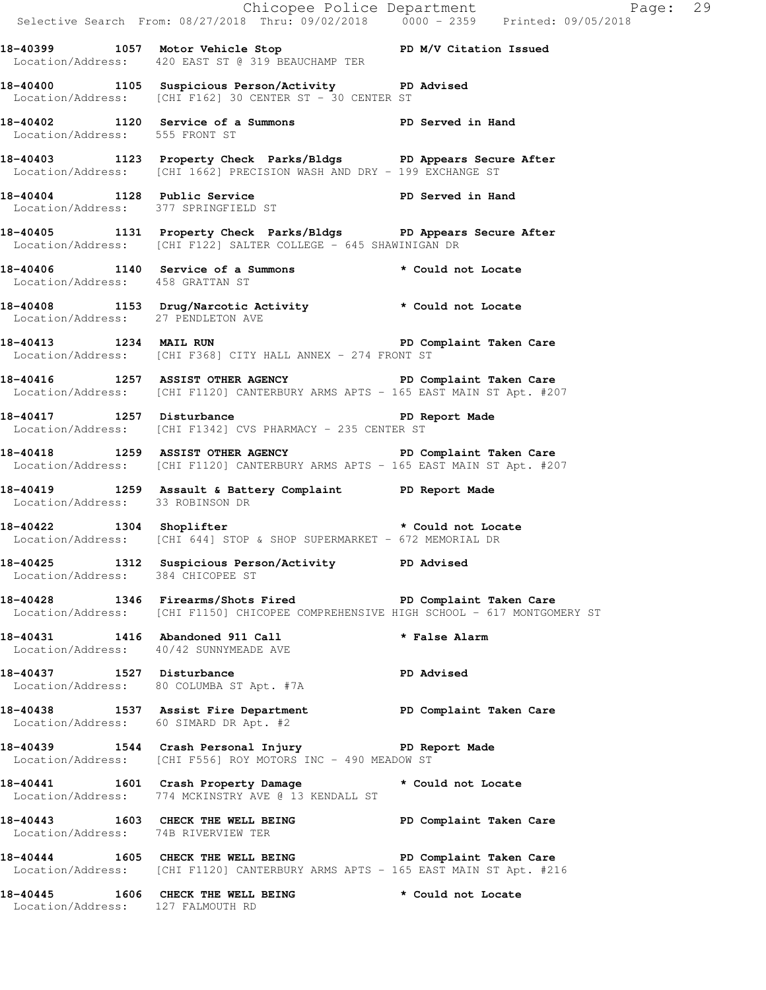|                                     |                                                                                                                                                    | Chicopee Police Department<br>Selective Search From: 08/27/2018 Thru: 09/02/2018 0000 - 2359 Printed: 09/05/2018 |  |
|-------------------------------------|----------------------------------------------------------------------------------------------------------------------------------------------------|------------------------------------------------------------------------------------------------------------------|--|
|                                     | 18-40399 1057 Motor Vehicle Stop N/V Citation Issued<br>Location/Address: 420 EAST ST @ 319 BEAUCHAMP TER                                          |                                                                                                                  |  |
|                                     | 18-40400 1105 Suspicious Person/Activity PD Advised<br>Location/Address: [CHI F162] 30 CENTER ST - 30 CENTER ST                                    |                                                                                                                  |  |
| Location/Address: 555 FRONT ST      | 18-40402 1120 Service of a Summons PD Served in Hand                                                                                               |                                                                                                                  |  |
|                                     | 18-40403 1123 Property Check Parks/Bldgs PD Appears Secure After<br>Location/Address: [CHI 1662] PRECISION WASH AND DRY - 199 EXCHANGE ST          |                                                                                                                  |  |
|                                     | 18-40404 1128 Public Service PD Served in Hand<br>Location/Address: 377 SPRINGFIELD ST                                                             |                                                                                                                  |  |
|                                     | 18-40405 1131 Property Check Parks/Bldgs PD Appears Secure After<br>Location/Address: [CHI F122] SALTER COLLEGE - 645 SHAWINIGAN DR                |                                                                                                                  |  |
| Location/Address: 458 GRATTAN ST    | 18-40406 1140 Service of a Summons * Could not Locate                                                                                              |                                                                                                                  |  |
| Location/Address: 27 PENDLETON AVE  | 18-40408 1153 Drug/Narcotic Activity * Could not Locate                                                                                            |                                                                                                                  |  |
|                                     | 18-40413 1234 MAIL RUN 2008 PD Complaint Taken Care<br>Location/Address: [CHI F368] CITY HALL ANNEX - 274 FRONT ST                                 |                                                                                                                  |  |
|                                     | 18-40416 1257 ASSIST OTHER AGENCY THE PD Complaint Taken Care<br>Location/Address: [CHI F1120] CANTERBURY ARMS APTS - 165 EAST MAIN ST Apt. #207   |                                                                                                                  |  |
|                                     | 18-40417 1257 Disturbance<br>Location/Address: [CHI F1342] CVS PHARMACY - 235 CENTER ST                                                            | PD Report Made                                                                                                   |  |
|                                     | 18-40418 1259 ASSIST OTHER AGENCY THE PD Complaint Taken Care<br>Location/Address: [CHI F1120] CANTERBURY ARMS APTS - 165 EAST MAIN ST Apt. #207   |                                                                                                                  |  |
| Location/Address: 33 ROBINSON DR    | 18-40419 1259 Assault & Battery Complaint PD Report Made                                                                                           |                                                                                                                  |  |
|                                     | 18-40422 1304 Shoplifter * Could not Locate<br>Location/Address: [CHI 644] STOP & SHOP SUPERMARKET - 672 MEMORIAL DR                               |                                                                                                                  |  |
| Location/Address: 384 CHICOPEE ST   | 18-40425 1312 Suspicious Person/Activity PD Advised                                                                                                |                                                                                                                  |  |
|                                     | 18-40428 1346 Firearms/Shots Fired PD Complaint Taken Care<br>Location/Address: [CHI F1150] CHICOPEE COMPREHENSIVE HIGH SCHOOL - 617 MONTGOMERY ST |                                                                                                                  |  |
|                                     | 18-40431 1416 Abandoned 911 Call<br>Location/Address: 40/42 SUNNYMEADE AVE                                                                         | * False Alarm                                                                                                    |  |
|                                     | 18-40437 1527 Disturbance<br>Location/Address: 80 COLUMBA ST Apt. #7A                                                                              | <b>PD Advised</b>                                                                                                |  |
|                                     | 18-40438 1537 Assist Fire Department PD Complaint Taken Care<br>Location/Address: 60 SIMARD DR Apt. #2                                             |                                                                                                                  |  |
|                                     | 18-40439 1544 Crash Personal Injury 19 PD Report Made<br>Location/Address: [CHI F556] ROY MOTORS INC - 490 MEADOW ST                               |                                                                                                                  |  |
|                                     | 18-40441 1601 Crash Property Damage * Could not Locate<br>Location/Address: 774 MCKINSTRY AVE @ 13 KENDALL ST                                      |                                                                                                                  |  |
| Location/Address: 74B RIVERVIEW TER | 18-40443 1603 CHECK THE WELL BEING PD Complaint Taken Care                                                                                         |                                                                                                                  |  |
|                                     | 18-40444 1605 CHECK THE WELL BEING PD Complaint Taken Care<br>Location/Address: [CHI F1120] CANTERBURY ARMS APTS - 165 EAST MAIN ST Apt. #216      |                                                                                                                  |  |
| Location/Address: 127 FALMOUTH RD   | 18-40445 1606 CHECK THE WELL BEING                                                                                                                 | * Could not Locate                                                                                               |  |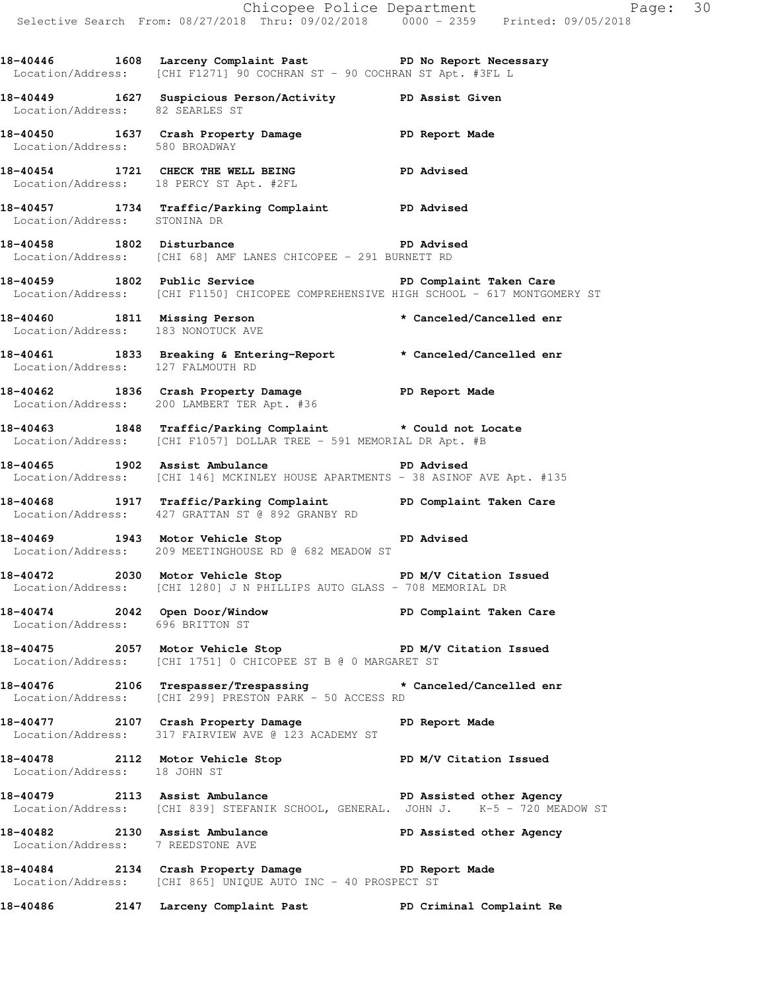|                                    |                                                                                                                                                   | Chicopee Police Department<br>Selective Search From: 08/27/2018 Thru: 09/02/2018 0000 - 2359 Printed: 09/05/2018 |  |
|------------------------------------|---------------------------------------------------------------------------------------------------------------------------------------------------|------------------------------------------------------------------------------------------------------------------|--|
|                                    | 18-40446 1608 Larceny Complaint Past PD No Report Necessary<br>Location/Address: [CHI F1271] 90 COCHRAN ST - 90 COCHRAN ST Apt. #3FL L            |                                                                                                                  |  |
| Location/Address: 82 SEARLES ST    | 18-40449 1627 Suspicious Person/Activity PD Assist Given                                                                                          |                                                                                                                  |  |
| Location/Address: 580 BROADWAY     | 18-40450 1637 Crash Property Damage PD Report Made                                                                                                |                                                                                                                  |  |
|                                    | 18-40454 1721 CHECK THE WELL BEING PD Advised<br>Location/Address: 18 PERCY ST Apt. #2FL                                                          |                                                                                                                  |  |
| Location/Address: STONINA DR       | 18-40457 1734 Traffic/Parking Complaint PD Advised                                                                                                |                                                                                                                  |  |
|                                    | 18-40458 1802 Disturbance 1802 PD Advised<br>Location/Address: [CHI 68] AMF LANES CHICOPEE - 291 BURNETT RD                                       |                                                                                                                  |  |
|                                    | 18-40459 1802 Public Service 1802 PD Complaint Taken Care<br>Location/Address: [CHI F1150] CHICOPEE COMPREHENSIVE HIGH SCHOOL - 617 MONTGOMERY ST |                                                                                                                  |  |
| Location/Address: 183 NONOTUCK AVE | 18-40460 1811 Missing Person * Canceled/Cancelled enr                                                                                             |                                                                                                                  |  |
| Location/Address: 127 FALMOUTH RD  | 18-40461 1833 Breaking & Entering-Report * Canceled/Cancelled enr                                                                                 |                                                                                                                  |  |
|                                    | 18-40462 1836 Crash Property Damage PD Report Made<br>Location/Address: 200 LAMBERT TER Apt. #36                                                  |                                                                                                                  |  |
|                                    | 18-40463 1848 Traffic/Parking Complaint * Could not Locate<br>Location/Address: [CHI F1057] DOLLAR TREE - 591 MEMORIAL DR Apt. #B                 |                                                                                                                  |  |
|                                    | 18-40465 1902 Assist Ambulance New PD Advised<br>Location/Address: [CHI 146] MCKINLEY HOUSE APARTMENTS - 38 ASINOF AVE Apt. #135                  |                                                                                                                  |  |
|                                    | 18-40468 1917 Traffic/Parking Complaint PD Complaint Taken Care<br>Location/Address: 427 GRATTAN ST @ 892 GRANBY RD                               |                                                                                                                  |  |
|                                    | 18-40469 1943 Motor Vehicle Stop 18-40469 PD Advised<br>Location/Address: 209 MEETINGHOUSE RD @ 682 MEADOW ST                                     |                                                                                                                  |  |
|                                    | 18-40472 2030 Motor Vehicle Stop N/V Citation Issued<br>Location/Address: [CHI 1280] J N PHILLIPS AUTO GLASS - 708 MEMORIAL DR                    |                                                                                                                  |  |
| Location/Address: 696 BRITTON ST   | 18-40474 2042 Open Door/Window No PD Complaint Taken Care                                                                                         |                                                                                                                  |  |
|                                    | 18-40475 2057 Motor Vehicle Stop North PD M/V Citation Issued<br>Location/Address: [CHI 1751] 0 CHICOPEE ST B @ 0 MARGARET ST                     |                                                                                                                  |  |
|                                    | 18-40476 2106 Trespasser/Trespassing * Canceled/Cancelled enr<br>Location/Address: [CHI 299] PRESTON PARK - 50 ACCESS RD                          |                                                                                                                  |  |
|                                    | 18-40477 2107 Crash Property Damage PD Report Made<br>Location/Address: 317 FAIRVIEW AVE @ 123 ACADEMY ST                                         |                                                                                                                  |  |
|                                    | 18-40478 2112 Motor Vehicle Stop PD M/V Citation Issued<br>Location/Address: 18 JOHN ST                                                           |                                                                                                                  |  |
|                                    | 18-40479 2113 Assist Ambulance New PD Assisted other Agency<br>Location/Address: [CHI 839] STEFANIK SCHOOL, GENERAL. JOHN J. K-5 - 720 MEADOW ST  |                                                                                                                  |  |
| Location/Address: 7 REEDSTONE AVE  | 18-40482 2130 Assist Ambulance PD Assisted other Agency                                                                                           |                                                                                                                  |  |
|                                    | 18-40484 2134 Crash Property Damage PD Report Made<br>Location/Address: [CHI 865] UNIQUE AUTO INC - 40 PROSPECT ST                                |                                                                                                                  |  |
|                                    | 18-40486 2147 Larceny Complaint Past PD Criminal Complaint Re                                                                                     |                                                                                                                  |  |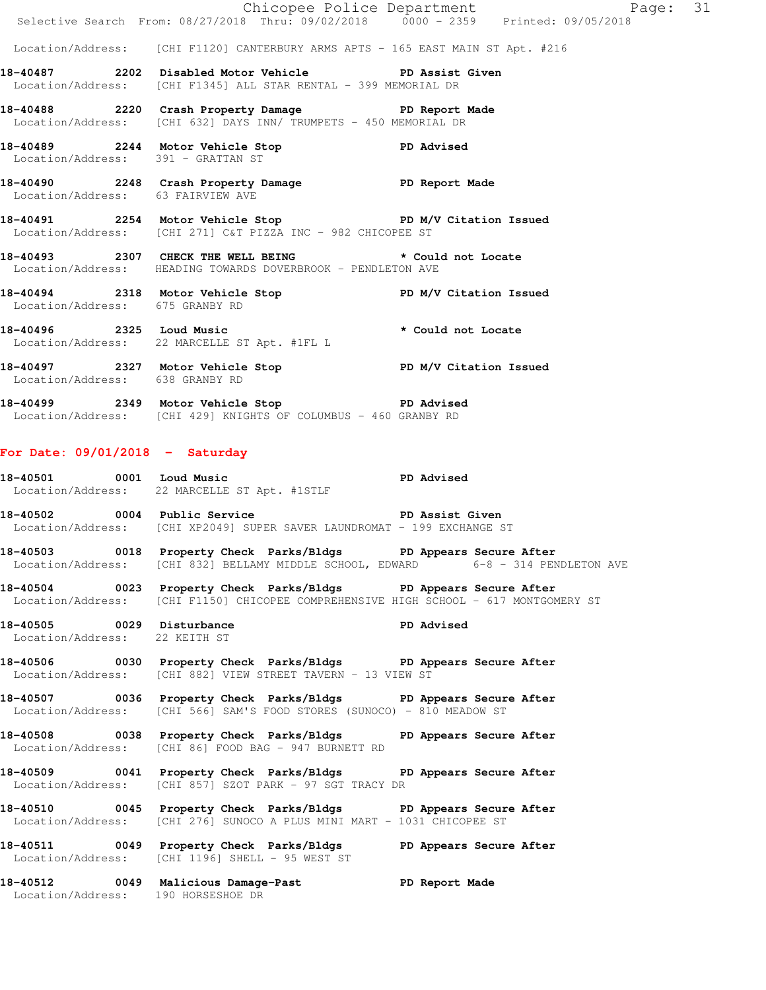|                                                            |                                                                                                                                                          | Chicopee Police Department<br>Selective Search From: 08/27/2018 Thru: 09/02/2018 0000 - 2359 Printed: 09/05/2018 |  |
|------------------------------------------------------------|----------------------------------------------------------------------------------------------------------------------------------------------------------|------------------------------------------------------------------------------------------------------------------|--|
|                                                            |                                                                                                                                                          |                                                                                                                  |  |
|                                                            | Location/Address: [CHI F1120] CANTERBURY ARMS APTS - 165 EAST MAIN ST Apt. #216<br>18-40487 2202 Disabled Motor Vehicle PD Assist Given                  |                                                                                                                  |  |
|                                                            | Location/Address: [CHI F1345] ALL STAR RENTAL - 399 MEMORIAL DR                                                                                          |                                                                                                                  |  |
|                                                            | 18-40488 2220 Crash Property Damage PD Report Made<br>Location/Address: [CHI 632] DAYS INN/ TRUMPETS - 450 MEMORIAL DR                                   |                                                                                                                  |  |
| Location/Address: 391 - GRATTAN ST                         | 18-40489 2244 Motor Vehicle Stop PD Advised                                                                                                              |                                                                                                                  |  |
| Location/Address: 63 FAIRVIEW AVE                          | 18-40490 2248 Crash Property Damage PD Report Made                                                                                                       |                                                                                                                  |  |
|                                                            | 18-40491 2254 Motor Vehicle Stop PD M/V Citation Issued<br>Location/Address: [CHI 271] C&T PIZZA INC - 982 CHICOPEE ST                                   |                                                                                                                  |  |
|                                                            | 18-40493 2307 CHECK THE WELL BEING * Could not Locate<br>Location/Address: HEADING TOWARDS DOVERBROOK - PENDLETON AVE                                    |                                                                                                                  |  |
| Location/Address: 675 GRANBY RD                            | 18-40494 2318 Motor Vehicle Stop PD M/V Citation Issued                                                                                                  |                                                                                                                  |  |
|                                                            | 18-40496 2325 Loud Music the set of the set of the 18-40496<br>Location/Address: 22 MARCELLE ST Apt. #1FL L                                              |                                                                                                                  |  |
| Location/Address: 638 GRANBY RD                            | 18-40497 2327 Motor Vehicle Stop N/V Citation Issued                                                                                                     |                                                                                                                  |  |
|                                                            | 18-40499 2349 Motor Vehicle Stop 50 PD Advised<br>Location/Address: [CHI 429] KNIGHTS OF COLUMBUS - 460 GRANBY RD                                        |                                                                                                                  |  |
| For Date: $09/01/2018$ - Saturday                          |                                                                                                                                                          |                                                                                                                  |  |
|                                                            | 18-40501 0001 Loud Music 2000 PD Advised<br>Location/Address: 22 MARCELLE ST Apt. #1STLF                                                                 |                                                                                                                  |  |
|                                                            | 18-40502 0004 Public Service National PD Assist Given<br>Location/Address: [CHI XP2049] SUPER SAVER LAUNDROMAT - 199 EXCHANGE ST                         |                                                                                                                  |  |
|                                                            | 18-40503 0018 Property Check Parks/Bldgs PD Appears Secure After<br>Location/Address: [CHI 832] BELLAMY MIDDLE SCHOOL, EDWARD 6-8 - 314 PENDLETON AVE    |                                                                                                                  |  |
|                                                            | 18-40504 0023 Property Check Parks/Bldgs PD Appears Secure After<br>Location/Address: [CHI F1150] CHICOPEE COMPREHENSIVE HIGH SCHOOL - 617 MONTGOMERY ST |                                                                                                                  |  |
| 18-40505 0029 Disturbance<br>Location/Address: 22 KEITH ST |                                                                                                                                                          | <b>PD Advised</b>                                                                                                |  |
|                                                            | 18-40506 0030 Property Check Parks/Bldgs PD Appears Secure After<br>Location/Address: [CHI 882] VIEW STREET TAVERN - 13 VIEW ST                          |                                                                                                                  |  |
|                                                            | 18-40507 0036 Property Check Parks/Bldgs PD Appears Secure After<br>Location/Address: [CHI 566] SAM'S FOOD STORES (SUNOCO) - 810 MEADOW ST               |                                                                                                                  |  |
|                                                            | 18-40508 0038 Property Check Parks/Bldgs PD Appears Secure After<br>Location/Address: [CHI 86] FOOD BAG - 947 BURNETT RD                                 |                                                                                                                  |  |
|                                                            | 18-40509 0041 Property Check Parks/Bldgs PD Appears Secure After<br>Location/Address: [CHI 857] SZOT PARK - 97 SGT TRACY DR                              |                                                                                                                  |  |
|                                                            | 18-40510 0045 Property Check Parks/Bldgs PD Appears Secure After<br>Location/Address: [CHI 276] SUNOCO A PLUS MINI MART - 1031 CHICOPEE ST               |                                                                                                                  |  |
|                                                            | 18-40511 0049 Property Check Parks/Bldgs PD Appears Secure After<br>Location/Address: [CHI 1196] SHELL - 95 WEST ST                                      |                                                                                                                  |  |
| Location/Address: 190 HORSESHOE DR                         | 18-40512 0049 Malicious Damage-Past PD Report Made                                                                                                       |                                                                                                                  |  |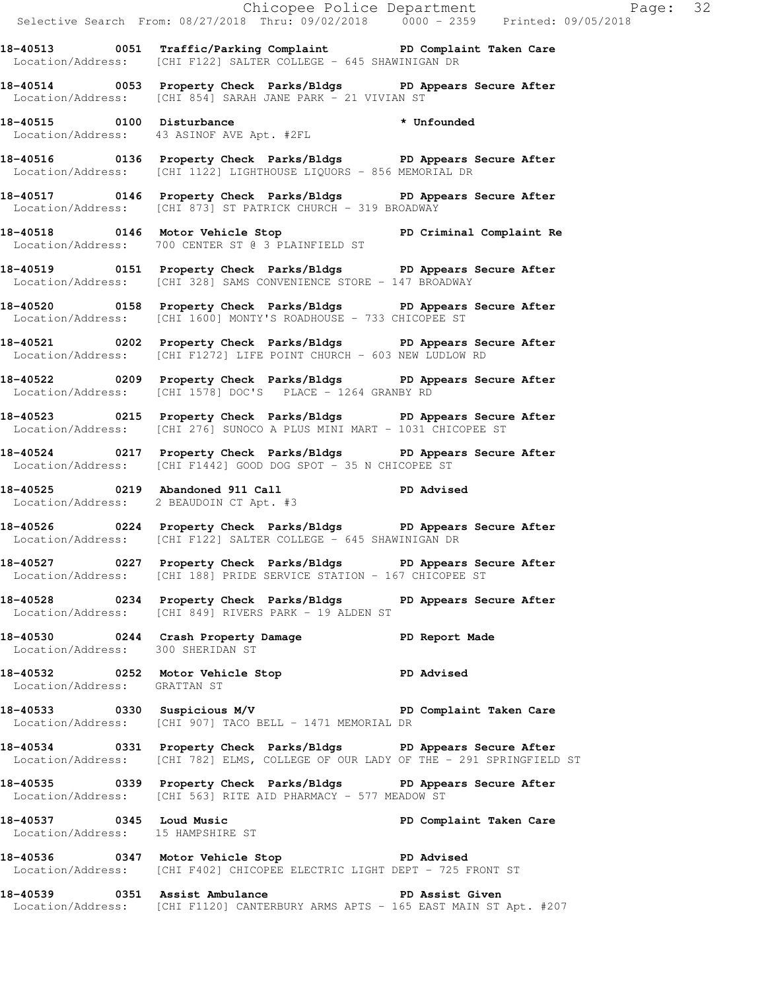|                                   | Chicopee Police Department<br>Selective Search From: 08/27/2018 Thru: 09/02/2018 0000 - 2359 Printed: 09/05/2018                                      |                         |
|-----------------------------------|-------------------------------------------------------------------------------------------------------------------------------------------------------|-------------------------|
|                                   | 18-40513 0051 Traffic/Parking Complaint PD Complaint Taken Care<br>Location/Address: [CHI F122] SALTER COLLEGE - 645 SHAWINIGAN DR                    |                         |
|                                   | 18-40514 0053 Property Check Parks/Bldgs PD Appears Secure After<br>Location/Address: [CHI 854] SARAH JANE PARK - 21 VIVIAN ST                        |                         |
|                                   | 18-40515 0100 Disturbance * Unfounded<br>Location/Address: 43 ASINOF AVE Apt. #2FL * * Unfounded                                                      |                         |
|                                   | 18-40516 0136 Property Check Parks/Bldgs PD Appears Secure After<br>Location/Address: [CHI 1122] LIGHTHOUSE LIQUORS - 856 MEMORIAL DR                 |                         |
|                                   | 18-40517 0146 Property Check Parks/Bldgs PD Appears Secure After<br>Location/Address: [CHI 873] ST PATRICK CHURCH - 319 BROADWAY                      |                         |
|                                   | Location/Address: 700 CENTER ST @ 3 PLAINFIELD ST                                                                                                     |                         |
|                                   | 18-40519 0151 Property Check Parks/Bldgs PD Appears Secure After<br>Location/Address: [CHI 328] SAMS CONVENIENCE STORE - 147 BROADWAY                 |                         |
|                                   | 18-40520 0158 Property Check Parks/Bldgs PD Appears Secure After<br>Location/Address: [CHI 1600] MONTY'S ROADHOUSE - 733 CHICOPEE ST                  |                         |
|                                   | 18-40521 0202 Property Check Parks/Bldgs PD Appears Secure After<br>Location/Address: [CHI F1272] LIFE POINT CHURCH - 603 NEW LUDLOW RD               |                         |
|                                   | 18-40522 0209 Property Check Parks/Bldgs PD Appears Secure After<br>Location/Address: [CHI 1578] DOC'S PLACE - 1264 GRANBY RD                         |                         |
|                                   | 18-40523 0215 Property Check Parks/Bldgs PD Appears Secure After<br>Location/Address: [CHI 276] SUNOCO A PLUS MINI MART - 1031 CHICOPEE ST            |                         |
|                                   | 18-40524 0217 Property Check Parks/Bldgs PD Appears Secure After<br>Location/Address: [CHI F1442] GOOD DOG SPOT - 35 N CHICOPEE ST                    |                         |
|                                   | 18-40525 0219 Abandoned 911 Call PD Advised<br>Location/Address: 2 BEAUDOIN CT Apt. #3                                                                |                         |
|                                   | 18-40526 0224 Property Check Parks/Bldgs PD Appears Secure After<br>Location/Address: [CHI F122] SALTER COLLEGE - 645 SHAWINIGAN DR                   |                         |
|                                   | 18-40527 		 0227 Property Check Parks/Bldgs 		 PD Appears Secure After<br>Location/Address: [CHI 188] PRIDE SERVICE STATION - 167 CHICOPEE ST         |                         |
|                                   | 18-40528 0234 Property Check Parks/Bldgs PD Appears Secure After<br>Location/Address: [CHI 849] RIVERS PARK - 19 ALDEN ST                             |                         |
| Location/Address: 300 SHERIDAN ST | 18-40530 0244 Crash Property Damage PD Report Made                                                                                                    |                         |
| Location/Address: GRATTAN ST      | 18-40532 0252 Motor Vehicle Stop PD Advised                                                                                                           |                         |
|                                   | 18-40533 0330 Suspicious M/V PD Complaint Taken Care<br>Location/Address: [CHI 907] TACO BELL - 1471 MEMORIAL DR                                      |                         |
|                                   | 18-40534 0331 Property Check Parks/Bldgs PD Appears Secure After<br>Location/Address: [CHI 782] ELMS, COLLEGE OF OUR LADY OF THE - 291 SPRINGFIELD ST |                         |
|                                   | 18-40535 0339 Property Check Parks/Bldgs PD Appears Secure After<br>Location/Address: [CHI 563] RITE AID PHARMACY - 577 MEADOW ST                     |                         |
|                                   | 18-40537 0345 Loud Music<br>Location/Address: 15 HAMPSHIRE ST                                                                                         | PD Complaint Taken Care |
|                                   | PD Advised<br>18-40536 0347 Motor Vehicle Stop<br>Location/Address: [CHI F402] CHICOPEE ELECTRIC LIGHT DEPT - 725 FRONT ST                            |                         |
|                                   | 18-40539 0351 Assist Ambulance No PD Assist Given                                                                                                     |                         |

Location/Address: [CHI F1120] CANTERBURY ARMS APTS - 165 EAST MAIN ST Apt. #207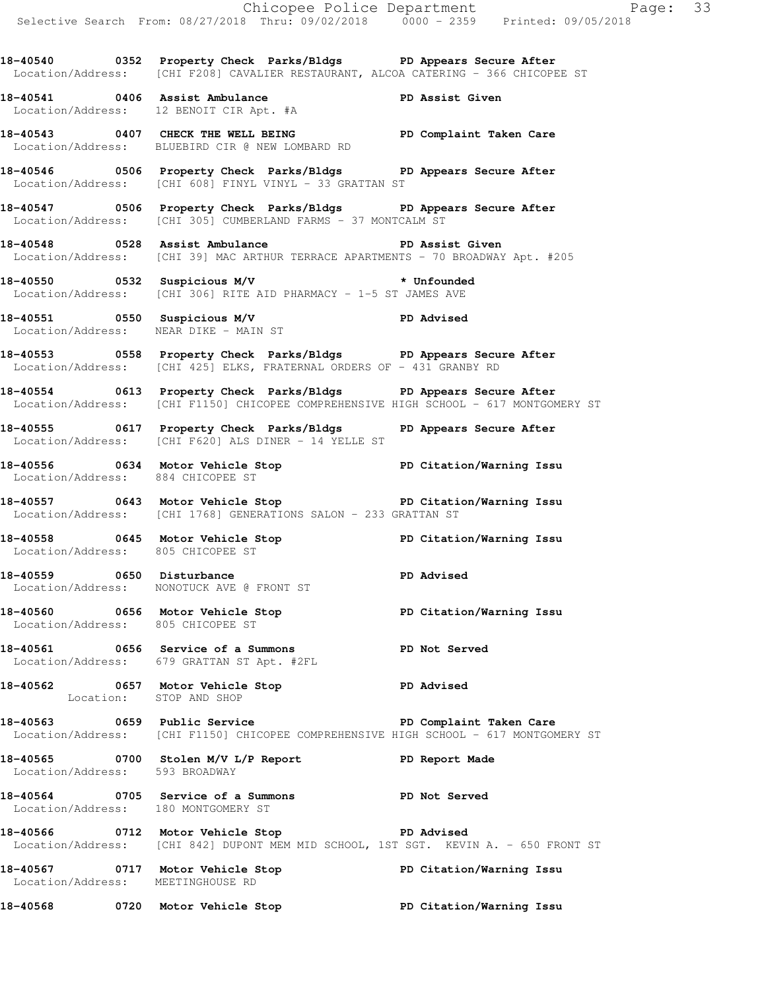Selective Search From: 08/27/2018 Thru: 09/02/2018 0000 - 2359 Printed: 09/05/2018 **18-40540 0352 Property Check Parks/Bldgs PD Appears Secure After**  Location/Address: [CHI F208] CAVALIER RESTAURANT, ALCOA CATERING - 366 CHICOPEE ST **18-40541 0406 Assist Ambulance PD Assist Given**  Location/Address: 12 BENOIT CIR Apt. #A **18-40543 0407 CHECK THE WELL BEING PD Complaint Taken Care**  Location/Address: BLUEBIRD CIR @ NEW LOMBARD RD **18-40546 0506 Property Check Parks/Bldgs PD Appears Secure After**  Location/Address: [CHI 608] FINYL VINYL - 33 GRATTAN ST **18-40547 0506 Property Check Parks/Bldgs PD Appears Secure After**  Location/Address: [CHI 305] CUMBERLAND FARMS - 37 MONTCALM ST **18-40548 0528 Assist Ambulance PD Assist Given**  Location/Address: [CHI 39] MAC ARTHUR TERRACE APARTMENTS - 70 BROADWAY Apt. #205 **18-40550 0532 Suspicious M/V \* Unfounded**  Location/Address: [CHI 306] RITE AID PHARMACY - 1-5 ST JAMES AVE **18-40551 0550 Suspicious M/V PD Advised**  Location/Address: NEAR DIKE - MAIN ST **18-40553 0558 Property Check Parks/Bldgs PD Appears Secure After**  Location/Address: [CHI 425] ELKS, FRATERNAL ORDERS OF - 431 GRANBY RD **18-40554 0613 Property Check Parks/Bldgs PD Appears Secure After**  Location/Address: [CHI F1150] CHICOPEE COMPREHENSIVE HIGH SCHOOL - 617 MONTGOMERY ST **18-40555 0617 Property Check Parks/Bldgs PD Appears Secure After**  Location/Address: [CHI F620] ALS DINER - 14 YELLE ST **18-40556 0634 Motor Vehicle Stop PD Citation/Warning Issu**  Location/Address: 884 CHICOPEE ST **18-40557 0643 Motor Vehicle Stop PD Citation/Warning Issu**  Location/Address: [CHI 1768] GENERATIONS SALON - 233 GRATTAN ST **18-40558 0645 Motor Vehicle Stop PD Citation/Warning Issu**  Location/Address: 805 CHICOPEE ST 18-40559 0650 Disturbance **PD** Advised Location/Address: NONOTUCK AVE @ FRONT ST **18-40560 0656 Motor Vehicle Stop PD Citation/Warning Issu**  Location/Address: 805 CHICOPEE ST **18-40561 0656 Service of a Summons PD Not Served**  Location/Address: 679 GRATTAN ST Apt. #2FL **18-40562 0657 Motor Vehicle Stop PD Advised**  Location: STOP AND SHOP **18-40563 0659 Public Service PD Complaint Taken Care**  Location/Address: [CHI F1150] CHICOPEE COMPREHENSIVE HIGH SCHOOL - 617 MONTGOMERY ST **18-40565 0700 Stolen M/V L/P Report PD Report Made**  Location/Address: 593 BROADWAY **18-40564 0705 Service of a Summons PD Not Served**  Location/Address: 180 MONTGOMERY ST **18-40566 0712 Motor Vehicle Stop PD Advised**  Location/Address: [CHI 842] DUPONT MEM MID SCHOOL, 1ST SGT. KEVIN A. - 650 FRONT ST **18-40567 0717 Motor Vehicle Stop PD Citation/Warning Issu**  Location/Address: MEETINGHOUSE RD

Chicopee Police Department Page: 33

**18-40568 0720 Motor Vehicle Stop PD Citation/Warning Issu**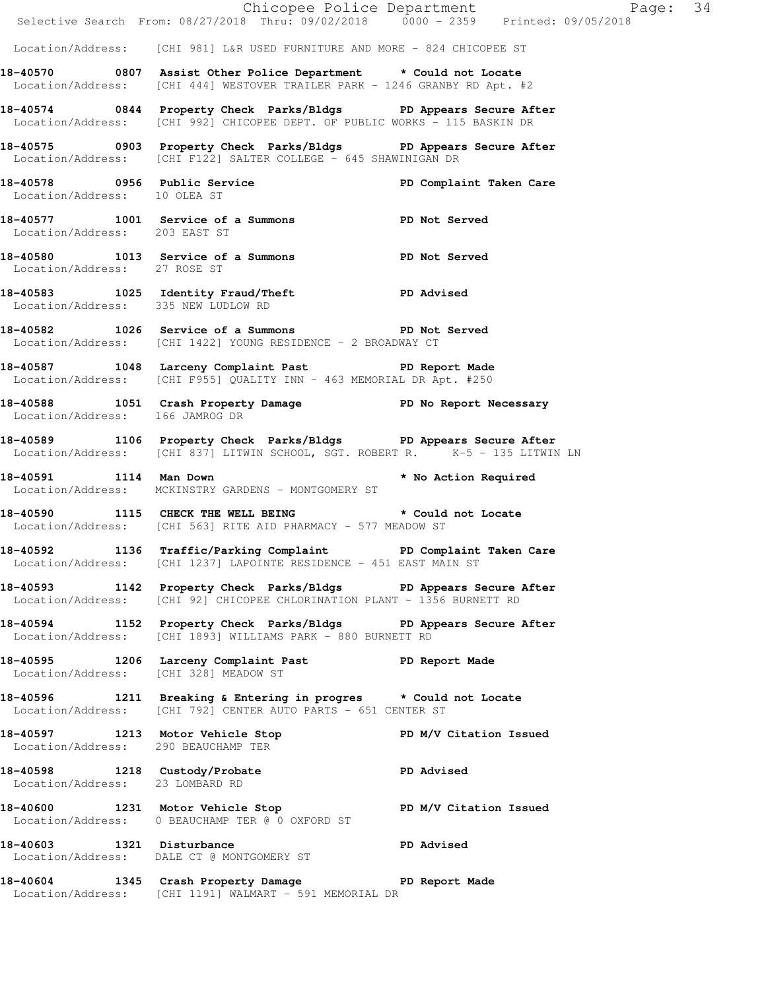|                                       | Chicopee Police Department<br>Selective Search From: 08/27/2018 Thru: 09/02/2018 0000 - 2359 Printed: 09/05/2018                                  |                      |  |
|---------------------------------------|---------------------------------------------------------------------------------------------------------------------------------------------------|----------------------|--|
|                                       | Location/Address: [CHI 981] L&R USED FURNITURE AND MORE - 824 CHICOPEE ST                                                                         |                      |  |
|                                       | 18-40570 0807 Assist Other Police Department * Could not Locate<br>Location/Address: [CHI 444] WESTOVER TRAILER PARK - 1246 GRANBY RD Apt. #2     |                      |  |
|                                       | 18-40574 0844 Property Check Parks/Bldgs PD Appears Secure After<br>Location/Address: [CHI 992] CHICOPEE DEPT. OF PUBLIC WORKS - 115 BASKIN DR    |                      |  |
|                                       | 18-40575 0903 Property Check Parks/Bldgs PD Appears Secure After<br>Location/Address: [CHI F122] SALTER COLLEGE - 645 SHAWINIGAN DR               |                      |  |
| Location/Address: 10 OLEA ST          | 18-40578 		 0956 Public Service 		 PD Complaint Taken Care                                                                                        |                      |  |
| Location/Address: 203 EAST ST         | 18-40577 1001 Service of a Summons PD Not Served                                                                                                  |                      |  |
|                                       | 18-40580 1013 Service of a Summons PD Not Served Location/Address: 27 ROSE ST                                                                     |                      |  |
| Location/Address: 335 NEW LUDLOW RD   | 18-40583 1025 Identity Fraud/Theft <b>PD</b> Advised                                                                                              |                      |  |
|                                       | 18-40582 1026 Service of a Summons PD Not Served<br>Location/Address: [CHI 1422] YOUNG RESIDENCE - 2 BROADWAY CT                                  |                      |  |
|                                       | 18-40587 1048 Larceny Complaint Past PD Report Made<br>Location/Address: [CHI F955] QUALITY INN - 463 MEMORIAL DR Apt. #250                       |                      |  |
| Location/Address: 166 JAMROG DR       | 18-40588 1051 Crash Property Damage No Report Necessary                                                                                           |                      |  |
|                                       | 18-40589 1106 Property Check Parks/Bldgs PD Appears Secure After<br>Location/Address: [CHI 837] LITWIN SCHOOL, SGT. ROBERT R. K-5 - 135 LITWIN LN |                      |  |
| 18-40591 1114 Man Down                | Location/Address: MCKINSTRY GARDENS - MONTGOMERY ST                                                                                               | * No Action Required |  |
|                                       | 18-40590 1115 CHECK THE WELL BEING * Could not Locate<br>Location/Address: [CHI 563] RITE AID PHARMACY - 577 MEADOW ST                            |                      |  |
|                                       | 18-40592 1136 Traffic/Parking Complaint PD Complaint Taken Care<br>Location/Address: [CHI 1237] LAPOINTE RESIDENCE - 451 EAST MAIN ST             |                      |  |
|                                       | 18-40593 1142 Property Check Parks/Bldgs PD Appears Secure After<br>Location/Address: [CHI 92] CHICOPEE CHLORINATION PLANT - 1356 BURNETT RD      |                      |  |
|                                       | 18-40594 1152 Property Check Parks/Bldgs PD Appears Secure After<br>Location/Address: [CHI 1893] WILLIAMS PARK - 880 BURNETT RD                   |                      |  |
| Location/Address: [CHI 328] MEADOW ST | 18-40595 1206 Larceny Complaint Past PD Report Made                                                                                               |                      |  |
|                                       | 18-40596 1211 Breaking & Entering in progres * Could not Locate<br>Location/Address: [CHI 792] CENTER AUTO PARTS - 651 CENTER ST                  |                      |  |
| Location/Address: 290 BEAUCHAMP TER   | 18-40597 1213 Motor Vehicle Stop N/V Citation Issued                                                                                              |                      |  |
| Location/Address: 23 LOMBARD RD       | 18-40598 1218 Custody/Probate PD Advised                                                                                                          |                      |  |
|                                       | 18-40600 1231 Motor Vehicle Stop N/V Citation Issued<br>Location/Address: 0 BEAUCHAMP TER @ 0 OXFORD ST                                           |                      |  |
|                                       | 18-40603 1321 Disturbance<br>Location/Address: DALE CT @ MONTGOMERY ST                                                                            | PD Advised           |  |
|                                       | 18-40604 1345 Crash Property Damage PD Report Made<br>Location/Address: [CHI 1191] WALMART - 591 MEMORIAL DR                                      |                      |  |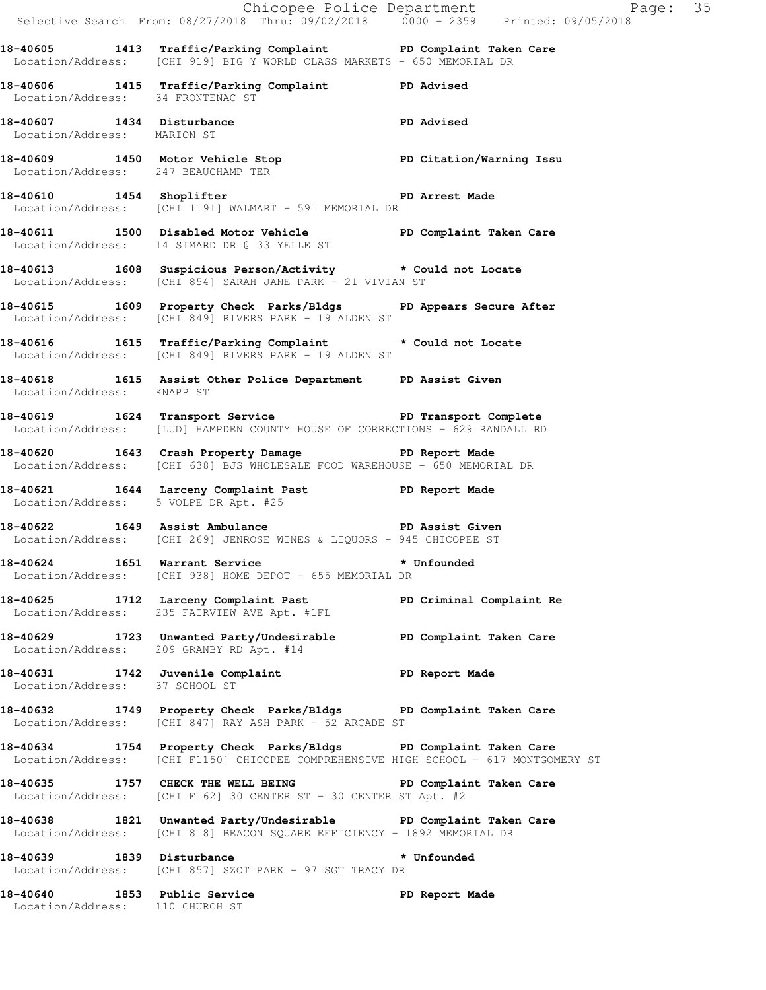|                                       |                                                                                                                                                          | Chicopee Police Department<br>Selective Search From: 08/27/2018 Thru: 09/02/2018 0000 - 2359 Printed: 09/05/2018 |  |
|---------------------------------------|----------------------------------------------------------------------------------------------------------------------------------------------------------|------------------------------------------------------------------------------------------------------------------|--|
|                                       | 18-40605 1413 Traffic/Parking Complaint PD Complaint Taken Care<br>Location/Address: [CHI 919] BIG Y WORLD CLASS MARKETS - 650 MEMORIAL DR               |                                                                                                                  |  |
| Location/Address: 34 FRONTENAC ST     | 18-40606 1415 Traffic/Parking Complaint PD Advised                                                                                                       |                                                                                                                  |  |
| Location/Address: MARION ST           | 18-40607 1434 Disturbance                                                                                                                                | <b>PD</b> Advised                                                                                                |  |
|                                       | 18-40609 1450 Motor Vehicle Stop PD Citation/Warning Issu<br>Location/Address: 247 BEAUCHAMP TER                                                         |                                                                                                                  |  |
|                                       | 18-40610 1454 Shoplifter 200 PD Arrest Made<br>Location/Address: [CHI 1191] WALMART - 591 MEMORIAL DR                                                    |                                                                                                                  |  |
|                                       | 18-40611 1500 Disabled Motor Vehicle PD Complaint Taken Care<br>Location/Address: 14 SIMARD DR @ 33 YELLE ST                                             |                                                                                                                  |  |
|                                       | 18-40613 1608 Suspicious Person/Activity * Could not Locate<br>Location/Address: [CHI 854] SARAH JANE PARK - 21 VIVIAN ST                                |                                                                                                                  |  |
|                                       | 18-40615 1609 Property Check Parks/Bldgs PD Appears Secure After<br>Location/Address: [CHI 849] RIVERS PARK - 19 ALDEN ST                                |                                                                                                                  |  |
|                                       | 18-40616 1615 Traffic/Parking Complaint * Could not Locate<br>Location/Address: [CHI 849] RIVERS PARK - 19 ALDEN ST                                      |                                                                                                                  |  |
| Location/Address: KNAPP ST            | 18-40618 1615 Assist Other Police Department PD Assist Given                                                                                             |                                                                                                                  |  |
|                                       | 18-40619 1624 Transport Service New PD Transport Complete<br>Location/Address: [LUD] HAMPDEN COUNTY HOUSE OF CORRECTIONS - 629 RANDALL RD                |                                                                                                                  |  |
|                                       | 18-40620 1643 Crash Property Damage PD Report Made<br>Location/Address: [CHI 638] BJS WHOLESALE FOOD WAREHOUSE - 650 MEMORIAL DR                         |                                                                                                                  |  |
| Location/Address: 5 VOLPE DR Apt. #25 | 18-40621 1644 Larceny Complaint Past PD Report Made                                                                                                      |                                                                                                                  |  |
|                                       | 18-40622 1649 Assist Ambulance No PD Assist Given<br>Location/Address: [CHI 269] JENROSE WINES & LIQUORS - 945 CHICOPEE ST                               |                                                                                                                  |  |
|                                       | 18-40624 1651 Warrant Service * * Unfounded<br>Location/Address: [CHI 938] HOME DEPOT - 655 MEMORIAL DR                                                  |                                                                                                                  |  |
|                                       | 18-40625 1712 Larceny Complaint Past PD Criminal Complaint Re<br>Location/Address: 235 FAIRVIEW AVE Apt. #1FL                                            |                                                                                                                  |  |
|                                       | 18-40629 1723 Unwanted Party/Undesirable PD Complaint Taken Care<br>Location/Address: 209 GRANBY RD Apt. #14                                             |                                                                                                                  |  |
| Location/Address: 37 SCHOOL ST        | 18-40631 1742 Juvenile Complaint                                                                                                                         | PD Report Made                                                                                                   |  |
|                                       | 18-40632 1749 Property Check Parks/Bldgs PD Complaint Taken Care<br>Location/Address: [CHI 847] RAY ASH PARK - 52 ARCADE ST                              |                                                                                                                  |  |
|                                       | 18-40634 1754 Property Check Parks/Bldgs PD Complaint Taken Care<br>Location/Address: [CHI F1150] CHICOPEE COMPREHENSIVE HIGH SCHOOL - 617 MONTGOMERY ST |                                                                                                                  |  |
|                                       | 18-40635 1757 CHECK THE WELL BEING PD Complaint Taken Care<br>Location/Address: [CHI F162] 30 CENTER ST - 30 CENTER ST Apt. #2                           |                                                                                                                  |  |
|                                       | 18-40638 1821 Unwanted Party/Undesirable PD Complaint Taken Care<br>Location/Address: [CHI 818] BEACON SQUARE EFFICIENCY - 1892 MEMORIAL DR              |                                                                                                                  |  |
| 18-40639 1839 Disturbance             | Location/Address: [CHI 857] SZOT PARK - 97 SGT TRACY DR                                                                                                  | * Unfounded                                                                                                      |  |
| Location/Address: 110 CHURCH ST       | 18-40640 1853 Public Service                                                                                                                             | PD Report Made                                                                                                   |  |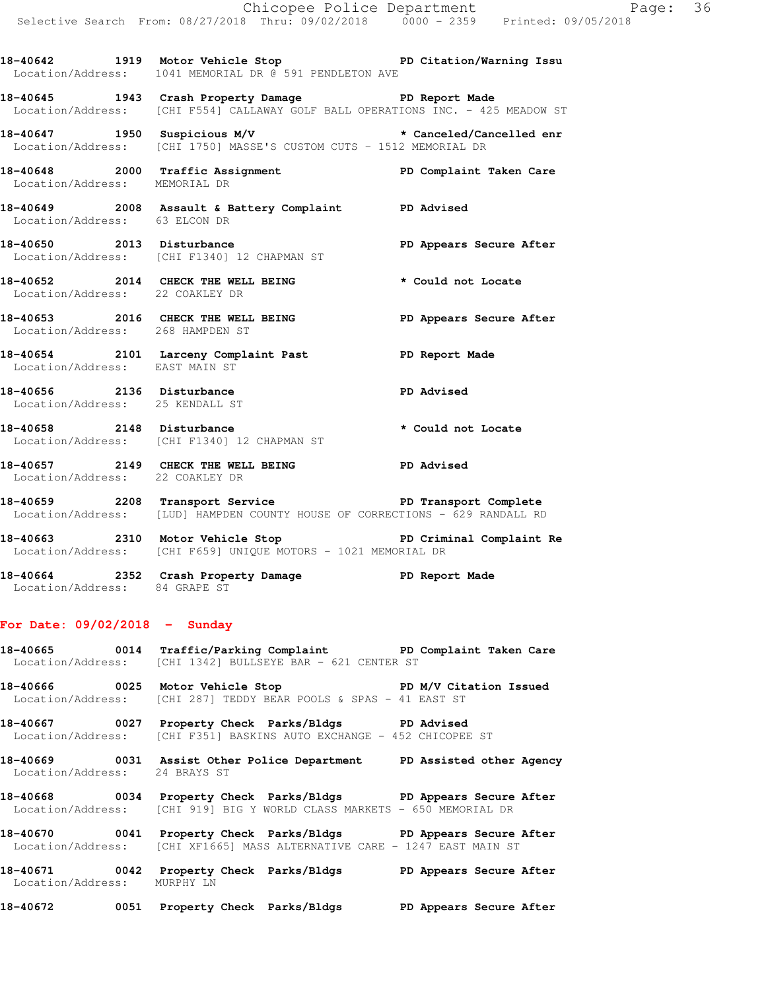**18-40642 1919 Motor Vehicle Stop PD Citation/Warning Issu**  Location/Address: 1041 MEMORIAL DR @ 591 PENDLETON AVE

**18-40645 1943 Crash Property Damage PD Report Made**  Location/Address: [CHI F554] CALLAWAY GOLF BALL OPERATIONS INC. - 425 MEADOW ST

**18-40647 1950 Suspicious M/V \* Canceled/Cancelled enr**  Location/Address: [CHI 1750] MASSE'S CUSTOM CUTS - 1512 MEMORIAL DR

18-40648 **2000** Traffic Assignment **PD Complaint Taken Care** Location/Address: MEMORIAL DR

- **18-40649 2008 Assault & Battery Complaint PD Advised**  Location/Address: 63 ELCON DR
- 18-40650 2013 Disturbance **PD Appears Secure After** Location/Address: [CHI F1340] 12 CHAPMAN ST

**18-40652 2014 CHECK THE WELL BEING \* Could not Locate**  Location/Address: 22 COAKLEY DR **18-40653 2016 CHECK THE WELL BEING PD Appears Secure After** 

Location/Address: 268 HAMPDEN ST

**18-40654 2101 Larceny Complaint Past PD Report Made**  Location/Address: EAST MAIN ST

**18-40656 2136 Disturbance PD Advised**  Location/Address: 25 KENDALL ST **18-40658 2148 Disturbance \* Could not Locate** 

Location/Address: [CHI F1340] 12 CHAPMAN ST

**18-40657 2149 CHECK THE WELL BEING PD Advised**  Location/Address: 22 COAKLEY DR

18-40659 **2208** Transport Service **PED Transport Complete** Location/Address: [LUD] HAMPDEN COUNTY HOUSE OF CORRECTIONS - 629 RANDALL RD

**18-40663 2310 Motor Vehicle Stop PD Criminal Complaint Re**  Location/Address: [CHI F659] UNIQUE MOTORS - 1021 MEMORIAL DR

**18-40664 2352 Crash Property Damage PD Report Made**  Location/Address: 84 GRAPE ST

## **For Date: 09/02/2018 - Sunday**

**18-40665 0014 Traffic/Parking Complaint PD Complaint Taken Care**  Location/Address: [CHI 1342] BULLSEYE BAR - 621 CENTER ST

18-40666 **0025** Motor Vehicle Stop **PD M/V Citation Issued** Location/Address: [CHI 287] TEDDY BEAR POOLS & SPAS - 41 EAST ST

**18-40667 0027 Property Check Parks/Bldgs PD Advised**  Location/Address: [CHI F351] BASKINS AUTO EXCHANGE - 452 CHICOPEE ST

**18-40669 0031 Assist Other Police Department PD Assisted other Agency**  Location/Address: 24 BRAYS ST

**18-40668 0034 Property Check Parks/Bldgs PD Appears Secure After**  Location/Address: [CHI 919] BIG Y WORLD CLASS MARKETS - 650 MEMORIAL DR

**18-40670 0041 Property Check Parks/Bldgs PD Appears Secure After**  Location/Address: [CHI XF1665] MASS ALTERNATIVE CARE - 1247 EAST MAIN ST

**18-40671 0042 Property Check Parks/Bldgs PD Appears Secure After**  Location/Address: MURPHY LN

**18-40672 0051 Property Check Parks/Bldgs PD Appears Secure After**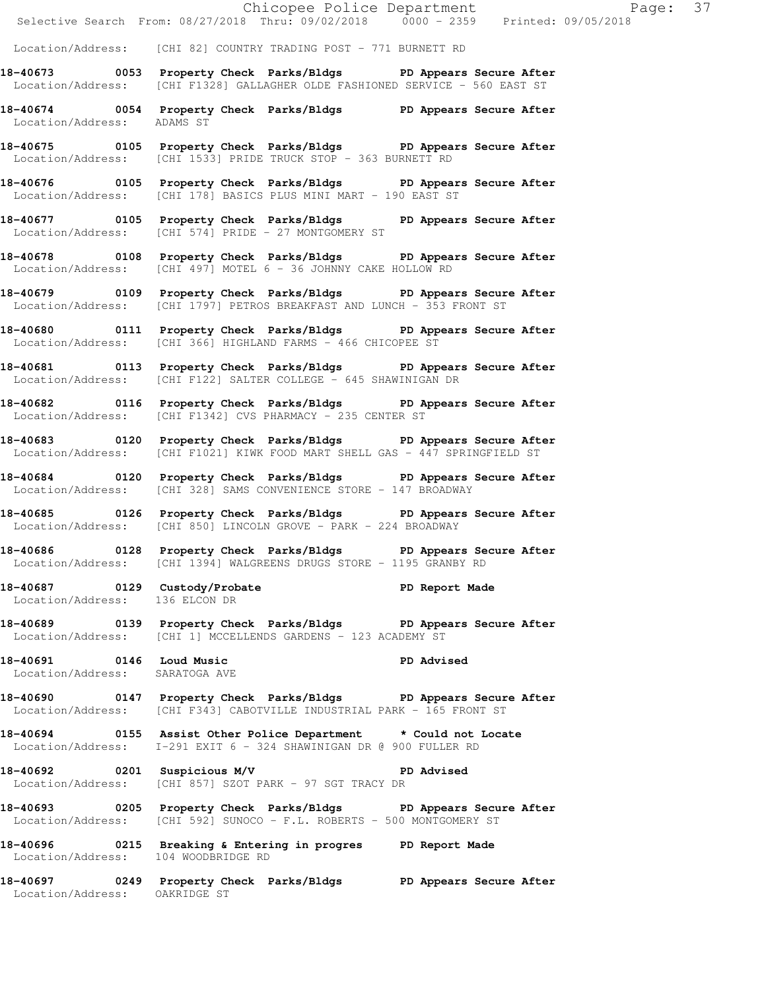| Location/Address: [CHI 82] COUNTRY TRADING POST - 771 BURNETT RD<br>18-40673 0053 Property Check Parks/Bldgs PD Appears Secure After<br>Location/Address: [CHI F1328] GALLAGHER OLDE FASHIONED SERVICE - 560 EAST ST<br>18-40674 0054 Property Check Parks/Bldgs PD Appears Secure After<br>Location/Address: ADAMS ST<br>18-40675 0105 Property Check Parks/Bldgs PD Appears Secure After<br>Location/Address: [CHI 1533] PRIDE TRUCK STOP - 363 BURNETT RD<br>18-40676 0105 Property Check Parks/Bldgs PD Appears Secure After<br>Location/Address: [CHI 178] BASICS PLUS MINI MART - 190 EAST ST |
|-----------------------------------------------------------------------------------------------------------------------------------------------------------------------------------------------------------------------------------------------------------------------------------------------------------------------------------------------------------------------------------------------------------------------------------------------------------------------------------------------------------------------------------------------------------------------------------------------------|
|                                                                                                                                                                                                                                                                                                                                                                                                                                                                                                                                                                                                     |
|                                                                                                                                                                                                                                                                                                                                                                                                                                                                                                                                                                                                     |
|                                                                                                                                                                                                                                                                                                                                                                                                                                                                                                                                                                                                     |
|                                                                                                                                                                                                                                                                                                                                                                                                                                                                                                                                                                                                     |
|                                                                                                                                                                                                                                                                                                                                                                                                                                                                                                                                                                                                     |
| 18-40677 0105 Property Check Parks/Bldgs PD Appears Secure After<br>Location/Address: [CHI 574] PRIDE - 27 MONTGOMERY ST                                                                                                                                                                                                                                                                                                                                                                                                                                                                            |
| 18-40678 0108 Property Check Parks/Bldgs PD Appears Secure After<br>Location/Address: [CHI 497] MOTEL 6 - 36 JOHNNY CAKE HOLLOW RD                                                                                                                                                                                                                                                                                                                                                                                                                                                                  |
| 18-40679 0109 Property Check Parks/Bldgs PD Appears Secure After<br>Location/Address: [CHI 1797] PETROS BREAKFAST AND LUNCH - 353 FRONT ST                                                                                                                                                                                                                                                                                                                                                                                                                                                          |
| 18-40680 0111 Property Check Parks/Bldgs PD Appears Secure After<br>Location/Address: [CHI 366] HIGHLAND FARMS - 466 CHICOPEE ST                                                                                                                                                                                                                                                                                                                                                                                                                                                                    |
| 18-40681 0113 Property Check Parks/Bldgs PD Appears Secure After<br>Location/Address: [CHI F122] SALTER COLLEGE - 645 SHAWINIGAN DR                                                                                                                                                                                                                                                                                                                                                                                                                                                                 |
| 18-40682 0116 Property Check Parks/Bldgs PD Appears Secure After<br>Location/Address: [CHI F1342] CVS PHARMACY - 235 CENTER ST                                                                                                                                                                                                                                                                                                                                                                                                                                                                      |
| 18-40683 0120 Property Check Parks/Bldgs PD Appears Secure After<br>Location/Address: [CHI F1021] KIWK FOOD MART SHELL GAS - 447 SPRINGFIELD ST                                                                                                                                                                                                                                                                                                                                                                                                                                                     |
| 18-40684 0120 Property Check Parks/Bldgs PD Appears Secure After<br>Location/Address: [CHI 328] SAMS CONVENIENCE STORE - 147 BROADWAY                                                                                                                                                                                                                                                                                                                                                                                                                                                               |
| 18-40685 0126 Property Check Parks/Bldgs PD Appears Secure After<br>Location/Address: [CHI 850] LINCOLN GROVE - PARK - 224 BROADWAY                                                                                                                                                                                                                                                                                                                                                                                                                                                                 |
| 18-40686 0128 Property Check Parks/Bldgs PD Appears Secure After<br>Location/Address: [CHI 1394] WALGREENS DRUGS STORE - 1195 GRANBY RD                                                                                                                                                                                                                                                                                                                                                                                                                                                             |
| 18-40687 0129 Custody/Probate PD Report Made<br>Location/Address: 136 ELCON DR                                                                                                                                                                                                                                                                                                                                                                                                                                                                                                                      |
| 18-40689 0139 Property Check Parks/Bldgs PD Appears Secure After<br>Location/Address: [CHI 1] MCCELLENDS GARDENS - 123 ACADEMY ST                                                                                                                                                                                                                                                                                                                                                                                                                                                                   |
| PD Advised<br>18-40691 0146 Loud Music<br>Location/Address: SARATOGA AVE                                                                                                                                                                                                                                                                                                                                                                                                                                                                                                                            |
| 18-40690 0147 Property Check Parks/Bldgs PD Appears Secure After<br>Location/Address: [CHI F343] CABOTVILLE INDUSTRIAL PARK - 165 FRONT ST                                                                                                                                                                                                                                                                                                                                                                                                                                                          |
| 18-40694 0155 Assist Other Police Department * Could not Locate<br>Location/Address: I-291 EXIT 6 - 324 SHAWINIGAN DR @ 900 FULLER RD                                                                                                                                                                                                                                                                                                                                                                                                                                                               |
| 18-40692 0201 Suspicious M/V<br><b>PD</b> Advised<br>Location/Address: [CHI 857] SZOT PARK - 97 SGT TRACY DR                                                                                                                                                                                                                                                                                                                                                                                                                                                                                        |
|                                                                                                                                                                                                                                                                                                                                                                                                                                                                                                                                                                                                     |
| 18-40693 0205 Property Check Parks/Bldgs PD Appears Secure After<br>Location/Address: [CHI 592] SUNOCO - F.L. ROBERTS - 500 MONTGOMERY ST                                                                                                                                                                                                                                                                                                                                                                                                                                                           |
| 18-40696 0215 Breaking & Entering in progres PD Report Made<br>Location/Address: 104 WOODBRIDGE RD                                                                                                                                                                                                                                                                                                                                                                                                                                                                                                  |

Chicopee Police Department Page: 37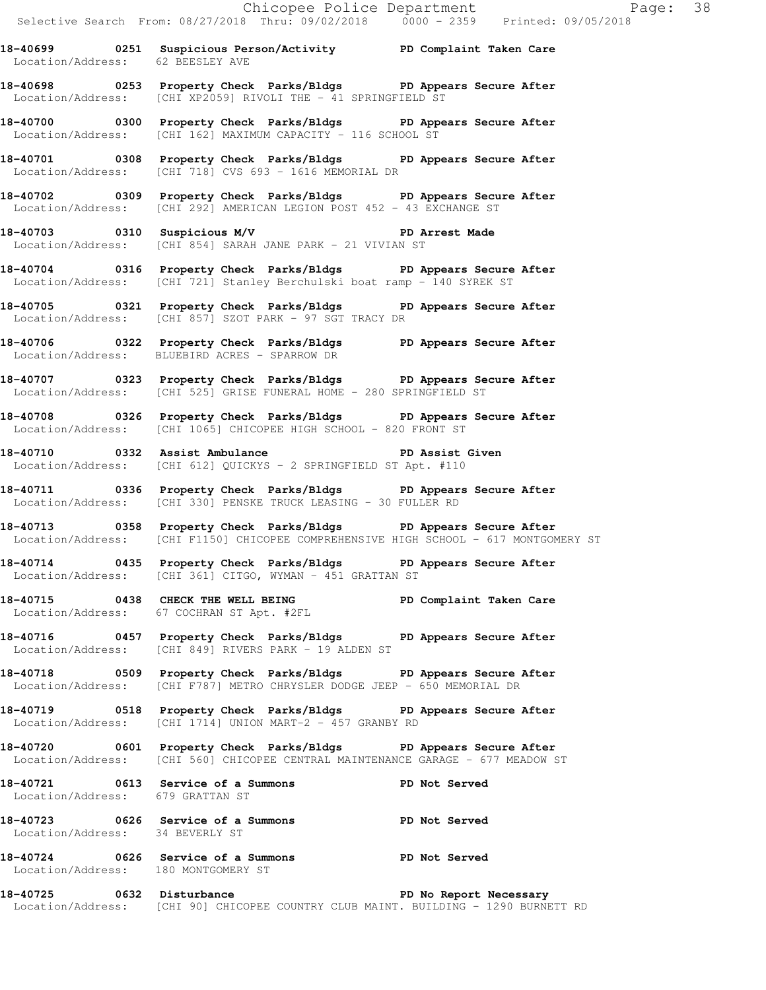Location/Address: 62 BEESLEY AVE **18-40698 0253 Property Check Parks/Bldgs PD Appears Secure After** 

Location/Address: [CHI XP2059] RIVOLI THE - 41 SPRINGFIELD ST

**18-40700 0300 Property Check Parks/Bldgs PD Appears Secure After**  Location/Address: [CHI 162] MAXIMUM CAPACITY - 116 SCHOOL ST

**18-40701 0308 Property Check Parks/Bldgs PD Appears Secure After**  Location/Address: [CHI 718] CVS 693 - 1616 MEMORIAL DR

**18-40702 0309 Property Check Parks/Bldgs PD Appears Secure After**  Location/Address: [CHI 292] AMERICAN LEGION POST 452 - 43 EXCHANGE ST

**18-40703 0310 Suspicious M/V PD Arrest Made**  Location/Address: [CHI 854] SARAH JANE PARK - 21 VIVIAN ST

**18-40704 0316 Property Check Parks/Bldgs PD Appears Secure After**  Location/Address: [CHI 721] Stanley Berchulski boat ramp - 140 SYREK ST

**18-40705 0321 Property Check Parks/Bldgs PD Appears Secure After**  Location/Address: [CHI 857] SZOT PARK - 97 SGT TRACY DR

**18-40706 0322 Property Check Parks/Bldgs PD Appears Secure After**  Location/Address: BLUEBIRD ACRES - SPARROW DR

**18-40707 0323 Property Check Parks/Bldgs PD Appears Secure After**  Location/Address: [CHI 525] GRISE FUNERAL HOME - 280 SPRINGFIELD ST

**18-40708 0326 Property Check Parks/Bldgs PD Appears Secure After**  Location/Address: [CHI 1065] CHICOPEE HIGH SCHOOL - 820 FRONT ST

**18-40710 0332 Assist Ambulance PD Assist Given**  Location/Address: [CHI 612] QUICKYS - 2 SPRINGFIELD ST Apt. #110

**18-40711 0336 Property Check Parks/Bldgs PD Appears Secure After**  Location/Address: [CHI 330] PENSKE TRUCK LEASING - 30 FULLER RD

**18-40713 0358 Property Check Parks/Bldgs PD Appears Secure After**  Location/Address: [CHI F1150] CHICOPEE COMPREHENSIVE HIGH SCHOOL - 617 MONTGOMERY ST

**18-40714 0435 Property Check Parks/Bldgs PD Appears Secure After**  Location/Address: [CHI 361] CITGO, WYMAN - 451 GRATTAN ST

**18-40715 0438 CHECK THE WELL BEING PD Complaint Taken Care**  Location/Address: 67 COCHRAN ST Apt. #2FL

**18-40716 0457 Property Check Parks/Bldgs PD Appears Secure After**  Location/Address: [CHI 849] RIVERS PARK - 19 ALDEN ST

**18-40718 0509 Property Check Parks/Bldgs PD Appears Secure After**  Location/Address: [CHI F787] METRO CHRYSLER DODGE JEEP - 650 MEMORIAL DR

**18-40719 0518 Property Check Parks/Bldgs PD Appears Secure After**  Location/Address: [CHI 1714] UNION MART-2 - 457 GRANBY RD

**18-40720 0601 Property Check Parks/Bldgs PD Appears Secure After**  Location/Address: [CHI 560] CHICOPEE CENTRAL MAINTENANCE GARAGE - 677 MEADOW ST

**18-40721 0613 Service of a Summons PD Not Served**  Location/Address: 679 GRATTAN ST

**18-40723 0626 Service of a Summons PD Not Served**  Location/Address: 34 BEVERLY ST

**18-40724 0626 Service of a Summons PD Not Served**  Location/Address: 180 MONTGOMERY ST

**18-40725 0632 Disturbance PD No Report Necessary**  Location/Address: [CHI 90] CHICOPEE COUNTRY CLUB MAINT. BUILDING - 1290 BURNETT RD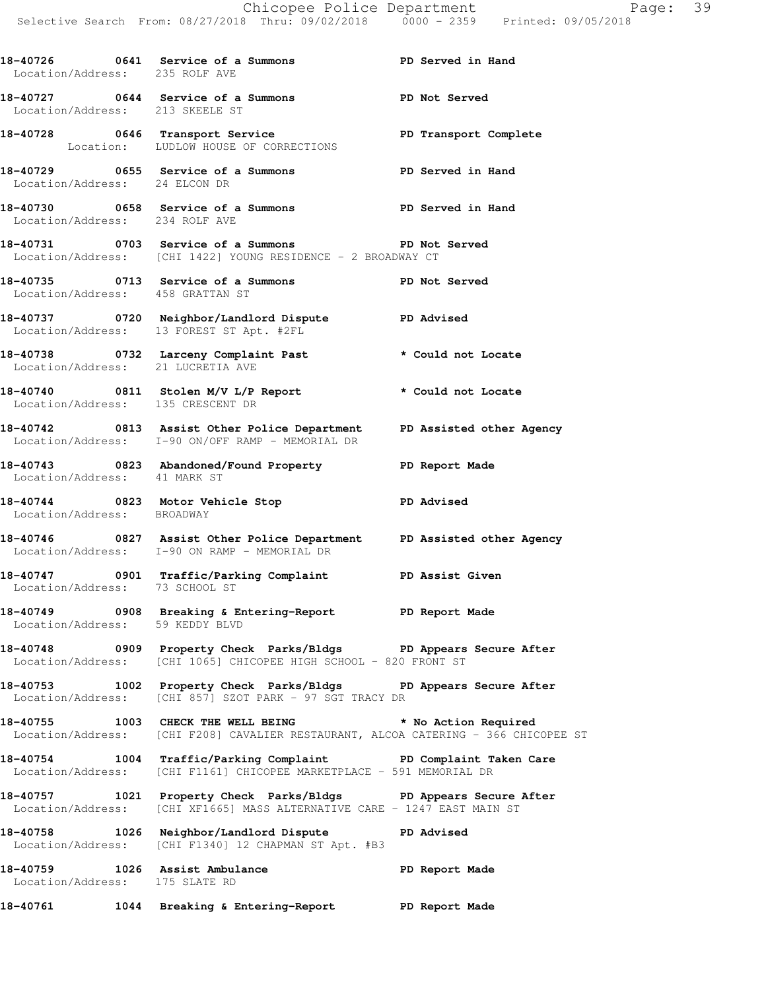**18-40726 0641 Service of a Summons PD Served in Hand**  Location/Address: 235 ROLF AVE **18-40727 0644 Service of a Summons PD Not Served**  Location/Address: 213 SKEELE ST 18-40728 0646 Transport Service **PED TRANSPORT Complete**  Location: LUDLOW HOUSE OF CORRECTIONS **18-40729 0655 Service of a Summons PD Served in Hand**  Location/Address: 24 ELCON DR **18-40730 0658 Service of a Summons PD Served in Hand**  Location/Address: 234 ROLF AVE **18-40731 0703 Service of a Summons PD Not Served**  Location/Address: [CHI 1422] YOUNG RESIDENCE - 2 BROADWAY CT **18-40735 0713 Service of a Summons PD Not Served**  Location/Address: 458 GRATTAN ST **18-40737 0720 Neighbor/Landlord Dispute PD Advised**  Location/Address: 13 FOREST ST Apt. #2FL **18-40738 0732 Larceny Complaint Past \* Could not Locate**  Location/Address: 21 LUCRETIA AVE **18-40740 0811 Stolen M/V L/P Report \* Could not Locate**  Location/Address: 135 CRESCENT DR **18-40742 0813 Assist Other Police Department PD Assisted other Agency**  Location/Address: I-90 ON/OFF RAMP - MEMORIAL DR **18-40743 0823 Abandoned/Found Property PD Report Made**  Location/Address: 41 MARK ST **18-40744 0823 Motor Vehicle Stop PD Advised**  Location/Address: BROADWAY **18-40746 0827 Assist Other Police Department PD Assisted other Agency**  Location/Address: I-90 ON RAMP - MEMORIAL DR **18-40747 0901 Traffic/Parking Complaint PD Assist Given**  Location/Address: 73 SCHOOL ST **18-40749 0908 Breaking & Entering-Report PD Report Made**  Location/Address: 59 KEDDY BLVD **18-40748 0909 Property Check Parks/Bldgs PD Appears Secure After**  Location/Address: [CHI 1065] CHICOPEE HIGH SCHOOL - 820 FRONT ST **18-40753 1002 Property Check Parks/Bldgs PD Appears Secure After**  Location/Address: [CHI 857] SZOT PARK - 97 SGT TRACY DR **18-40755 1003 CHECK THE WELL BEING \* No Action Required**  Location/Address: [CHI F208] CAVALIER RESTAURANT, ALCOA CATERING - 366 CHICOPEE ST **18-40754 1004 Traffic/Parking Complaint PD Complaint Taken Care**  Location/Address: [CHI F1161] CHICOPEE MARKETPLACE - 591 MEMORIAL DR **18-40757 1021 Property Check Parks/Bldgs PD Appears Secure After**  Location/Address: [CHI XF1665] MASS ALTERNATIVE CARE - 1247 EAST MAIN ST **18-40758 1026 Neighbor/Landlord Dispute PD Advised**  Location/Address: [CHI F1340] 12 CHAPMAN ST Apt. #B3 **18-40759 1026 Assist Ambulance PD Report Made**  Location/Address: 175 SLATE RD **18-40761 1044 Breaking & Entering-Report PD Report Made**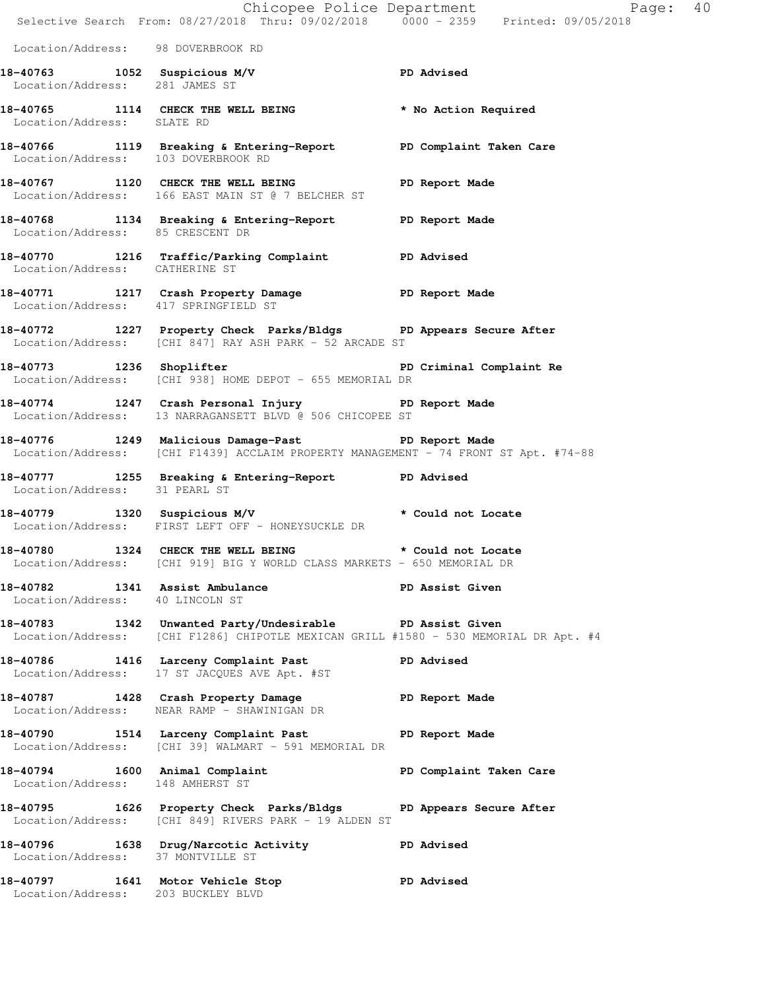|                                                                    | Chicopee Police Department<br>Selective Search From: 08/27/2018 Thru: 09/02/2018 0000 - 2359 Printed: 09/05/2018                                         | Page: 40                |  |
|--------------------------------------------------------------------|----------------------------------------------------------------------------------------------------------------------------------------------------------|-------------------------|--|
| Location/Address: 98 DOVERBROOK RD                                 |                                                                                                                                                          |                         |  |
| Location/Address: 281 JAMES ST                                     | 18-40763 1052 Suspicious M/V 18-40763                                                                                                                    |                         |  |
| Location/Address: SLATE RD                                         | 18-40765 1114 CHECK THE WELL BEING * No Action Required                                                                                                  |                         |  |
|                                                                    | 18-40766 1119 Breaking & Entering-Report PD Complaint Taken Care<br>Location/Address: 103 DOVERBROOK RD                                                  |                         |  |
|                                                                    | 18-40767 1120 CHECK THE WELL BEING PD Report Made<br>Location/Address: 166 EAST MAIN ST @ 7 BELCHER ST                                                   |                         |  |
|                                                                    | 18-40768 1134 Breaking & Entering-Report PD Report Made<br>Location/Address: 85 CRESCENT DR                                                              |                         |  |
|                                                                    | 18-40770 1216 Traffic/Parking Complaint PD Advised<br>Location/Address: CATHERINE ST                                                                     |                         |  |
| Location/Address: 417 SPRINGFIELD ST                               | 18-40771 1217 Crash Property Damage PD Report Made                                                                                                       |                         |  |
|                                                                    | 18-40772 1227 Property Check Parks/Bldgs PD Appears Secure After<br>Location/Address: [CHI 847] RAY ASH PARK - 52 ARCADE ST                              |                         |  |
|                                                                    | 18-40773 1236 Shoplifter <b>18-40773</b> 1236 Shoplifter 18-10-1200 PD Criminal Complaint Re<br>Location/Address: [CHI 938] HOME DEPOT - 655 MEMORIAL DR |                         |  |
|                                                                    | 18-40774 1247 Crash Personal Injury PD Report Made<br>Location/Address: 13 NARRAGANSETT BLVD @ 506 CHICOPEE ST                                           |                         |  |
|                                                                    | 18-40776 1249 Malicious Damage-Past PD Report Made<br>Location/Address: [CHI F1439] ACCLAIM PROPERTY MANAGEMENT - 74 FRONT ST Apt. #74-88                |                         |  |
| Location/Address: 31 PEARL ST                                      | 18-40777 1255 Breaking & Entering-Report PD Advised                                                                                                      |                         |  |
|                                                                    | 18-40779 1320 Suspicious M/V * Could not Locate<br>Location/Address: FIRST LEFT OFF - HONEYSUCKLE DR                                                     |                         |  |
| 18-40780                                                           | 1324 CHECK THE WELL BEING<br>Location/Address: [CHI 919] BIG Y WORLD CLASS MARKETS - 650 MEMORIAL DR                                                     | * Could not Locate      |  |
| 18-40782 1341 Assist Ambulance<br>Location/Address: 40 LINCOLN ST  |                                                                                                                                                          | PD Assist Given         |  |
|                                                                    | 18-40783 1342 Unwanted Party/Undesirable PD Assist Given<br>Location/Address: [CHI F1286] CHIPOTLE MEXICAN GRILL #1580 - 530 MEMORIAL DR Apt. #4         |                         |  |
|                                                                    | 18-40786 1416 Larceny Complaint Past<br>Location/Address: 17 ST JACQUES AVE Apt. #ST                                                                     | <b>PD Advised</b>       |  |
|                                                                    | 18-40787 1428 Crash Property Damage<br>Location/Address: WEAR RAMP - SHAWINIGAN DR                                                                       | PD Report Made          |  |
|                                                                    | 18-40790 1514 Larceny Complaint Past<br>Location/Address: [CHI 39] WALMART - 591 MEMORIAL DR                                                             | PD Report Made          |  |
| 18-40794 1600 Animal Complaint<br>Location/Address: 148 AMHERST ST |                                                                                                                                                          | PD Complaint Taken Care |  |
| Location/Address:                                                  | 18-40795 1626 Property Check Parks/Bldgs PD Appears Secure After<br>[CHI 849] RIVERS PARK - 19 ALDEN ST                                                  |                         |  |
| Location/Address: 37 MONTVILLE ST                                  | 18-40796 1638 Drug/Narcotic Activity                                                                                                                     | PD Advised              |  |
| Location/Address: 203 BUCKLEY BLVD                                 | 18-40797 1641 Motor Vehicle Stop                                                                                                                         | PD Advised              |  |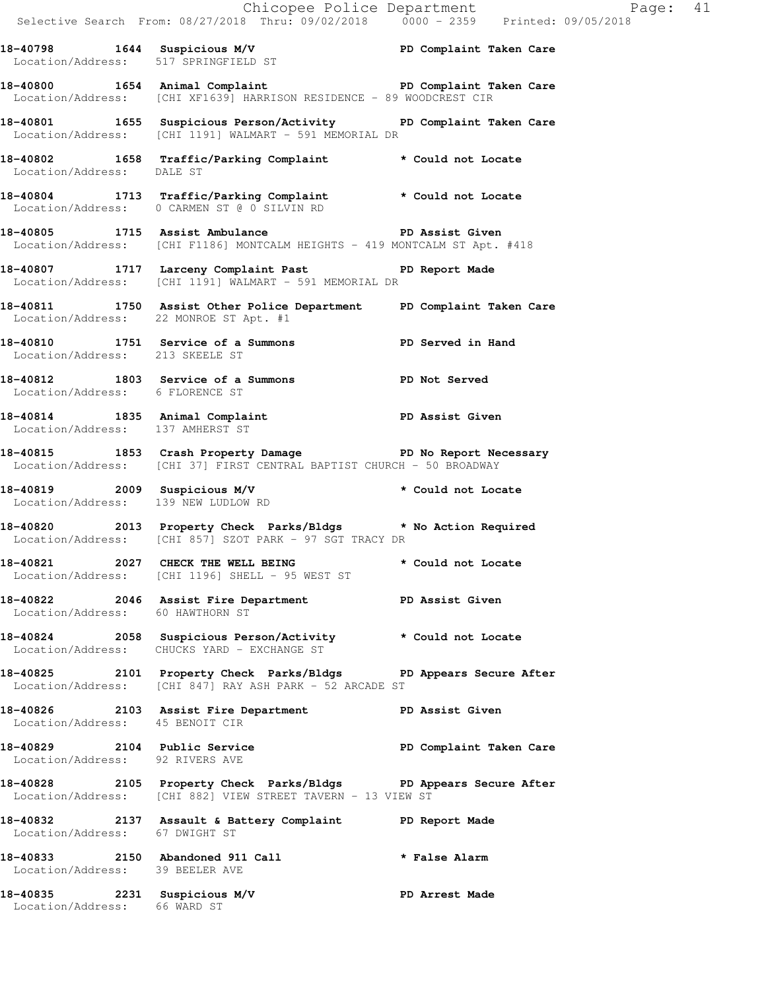Location/Address: [CHI XF1639] HARRISON RESIDENCE - 89 WOODCREST CIR **18-40801 1655 Suspicious Person/Activity PD Complaint Taken Care**  Location/Address: [CHI 1191] WALMART - 591 MEMORIAL DR **18-40802 1658 Traffic/Parking Complaint \* Could not Locate**  Location/Address: DALE ST **18-40804 1713 Traffic/Parking Complaint \* Could not Locate**  Location/Address: 0 CARMEN ST @ 0 SILVIN RD **18-40805 1715 Assist Ambulance PD Assist Given**  Location/Address: [CHI F1186] MONTCALM HEIGHTS - 419 MONTCALM ST Apt. #418 **18-40807 1717 Larceny Complaint Past PD Report Made**  Location/Address: [CHI 1191] WALMART - 591 MEMORIAL DR **18-40811 1750 Assist Other Police Department PD Complaint Taken Care**  Location/Address: 22 MONROE ST Apt. #1 **18-40810 1751 Service of a Summons PD Served in Hand**  Location/Address: 213 SKEELE ST **18-40812 1803 Service of a Summons PD Not Served**  Location/Address: 6 FLORENCE ST 18-40814 1835 Animal Complaint **PD Assist Given**  Location/Address: 137 AMHERST ST **18-40815 1853 Crash Property Damage PD No Report Necessary**  Location/Address: [CHI 37] FIRST CENTRAL BAPTIST CHURCH - 50 BROADWAY **18-40819 2009 Suspicious M/V \* Could not Locate**  Location/Address: 139 NEW LUDLOW RD **18-40820 2013 Property Check Parks/Bldgs \* No Action Required**  Location/Address: [CHI 857] SZOT PARK - 97 SGT TRACY DR **18-40821 2027 CHECK THE WELL BEING \* Could not Locate**  Location/Address: [CHI 1196] SHELL - 95 WEST ST **18-40822 2046 Assist Fire Department PD Assist Given**  Location/Address: 60 HAWTHORN ST **18-40824 2058 Suspicious Person/Activity \* Could not Locate**  Location/Address: CHUCKS YARD - EXCHANGE ST **18-40825 2101 Property Check Parks/Bldgs PD Appears Secure After**  Location/Address: [CHI 847] RAY ASH PARK - 52 ARCADE ST **18-40826 2103 Assist Fire Department PD Assist Given**  Location/Address: 45 BENOIT CIR 18-40829 2104 Public Service **Propriet PD Complaint Taken Care**  Location/Address: 92 RIVERS AVE **18-40828 2105 Property Check Parks/Bldgs PD Appears Secure After**  Location/Address: [CHI 882] VIEW STREET TAVERN - 13 VIEW ST **18-40832 2137 Assault & Battery Complaint PD Report Made**  Location/Address: 67 DWIGHT ST **18-40833 2150 Abandoned 911 Call \* False Alarm** 

**18-40798 1644 Suspicious M/V PD Complaint Taken Care** 

**18-40800 1654 Animal Complaint PD Complaint Taken Care** 

Location/Address: 517 SPRINGFIELD ST

Location/Address: 39 BEELER AVE

18-40835 2231 Suspicious M/V **PD** Arrest Made Location/Address: 66 WARD ST